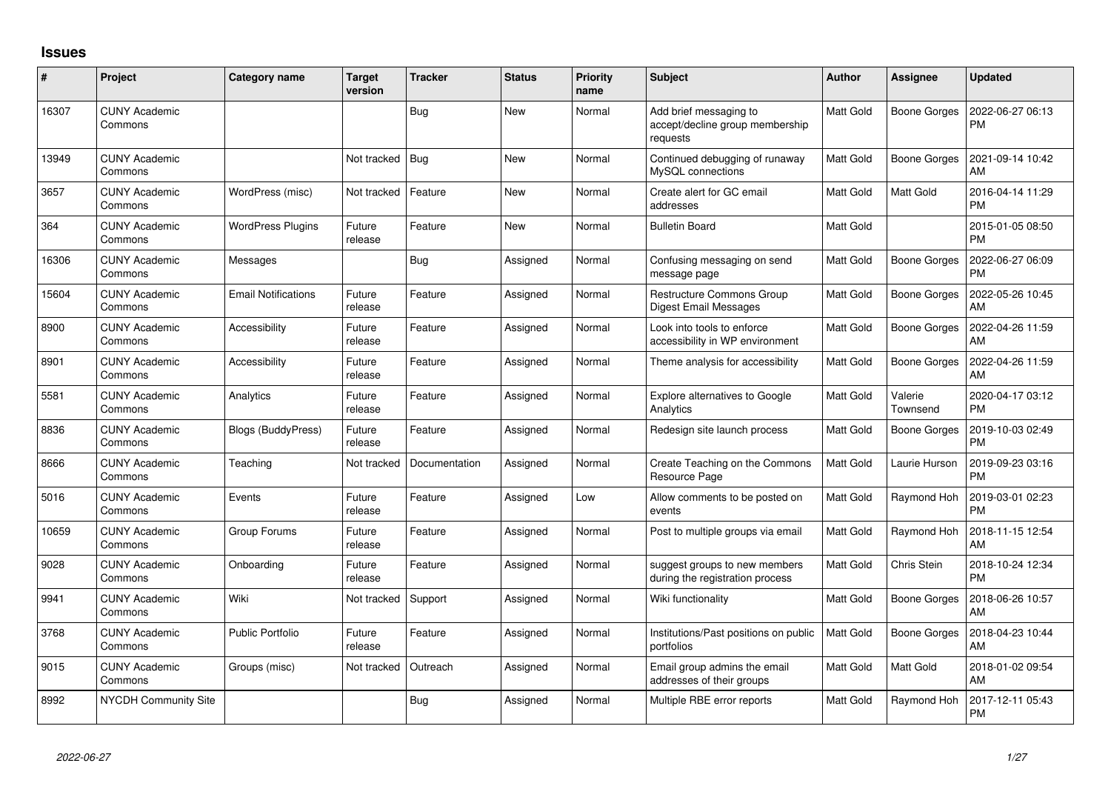## **Issues**

| #     | Project                         | Category name              | <b>Target</b><br>version | <b>Tracker</b> | <b>Status</b> | <b>Priority</b><br>name | <b>Subject</b>                                                        | Author           | <b>Assignee</b>     | <b>Updated</b>                |
|-------|---------------------------------|----------------------------|--------------------------|----------------|---------------|-------------------------|-----------------------------------------------------------------------|------------------|---------------------|-------------------------------|
| 16307 | <b>CUNY Academic</b><br>Commons |                            |                          | <b>Bug</b>     | <b>New</b>    | Normal                  | Add brief messaging to<br>accept/decline group membership<br>requests | <b>Matt Gold</b> | <b>Boone Gorges</b> | 2022-06-27 06:13<br><b>PM</b> |
| 13949 | <b>CUNY Academic</b><br>Commons |                            | Not tracked              | Bug            | <b>New</b>    | Normal                  | Continued debugging of runaway<br>MySQL connections                   | Matt Gold        | <b>Boone Gorges</b> | 2021-09-14 10:42<br>AM        |
| 3657  | <b>CUNY Academic</b><br>Commons | WordPress (misc)           | Not tracked              | Feature        | New           | Normal                  | Create alert for GC email<br>addresses                                | <b>Matt Gold</b> | Matt Gold           | 2016-04-14 11:29<br><b>PM</b> |
| 364   | <b>CUNY Academic</b><br>Commons | <b>WordPress Plugins</b>   | Future<br>release        | Feature        | New           | Normal                  | <b>Bulletin Board</b>                                                 | <b>Matt Gold</b> |                     | 2015-01-05 08:50<br><b>PM</b> |
| 16306 | <b>CUNY Academic</b><br>Commons | Messages                   |                          | Bug            | Assigned      | Normal                  | Confusing messaging on send<br>message page                           | Matt Gold        | <b>Boone Gorges</b> | 2022-06-27 06:09<br><b>PM</b> |
| 15604 | <b>CUNY Academic</b><br>Commons | <b>Email Notifications</b> | Future<br>release        | Feature        | Assigned      | Normal                  | <b>Restructure Commons Group</b><br>Digest Email Messages             | <b>Matt Gold</b> | <b>Boone Gorges</b> | 2022-05-26 10:45<br>AM        |
| 8900  | <b>CUNY Academic</b><br>Commons | Accessibility              | Future<br>release        | Feature        | Assigned      | Normal                  | Look into tools to enforce<br>accessibility in WP environment         | Matt Gold        | <b>Boone Gorges</b> | 2022-04-26 11:59<br>AM        |
| 8901  | <b>CUNY Academic</b><br>Commons | Accessibility              | Future<br>release        | Feature        | Assigned      | Normal                  | Theme analysis for accessibility                                      | <b>Matt Gold</b> | <b>Boone Gorges</b> | 2022-04-26 11:59<br>AM        |
| 5581  | <b>CUNY Academic</b><br>Commons | Analytics                  | Future<br>release        | Feature        | Assigned      | Normal                  | Explore alternatives to Google<br>Analytics                           | <b>Matt Gold</b> | Valerie<br>Townsend | 2020-04-17 03:12<br><b>PM</b> |
| 8836  | <b>CUNY Academic</b><br>Commons | <b>Blogs (BuddyPress)</b>  | Future<br>release        | Feature        | Assigned      | Normal                  | Redesign site launch process                                          | <b>Matt Gold</b> | <b>Boone Gorges</b> | 2019-10-03 02:49<br><b>PM</b> |
| 8666  | <b>CUNY Academic</b><br>Commons | Teaching                   | Not tracked              | Documentation  | Assigned      | Normal                  | Create Teaching on the Commons<br>Resource Page                       | Matt Gold        | Laurie Hurson       | 2019-09-23 03:16<br><b>PM</b> |
| 5016  | <b>CUNY Academic</b><br>Commons | Events                     | Future<br>release        | Feature        | Assigned      | Low                     | Allow comments to be posted on<br>events                              | <b>Matt Gold</b> | Raymond Hoh         | 2019-03-01 02:23<br><b>PM</b> |
| 10659 | <b>CUNY Academic</b><br>Commons | Group Forums               | Future<br>release        | Feature        | Assigned      | Normal                  | Post to multiple groups via email                                     | Matt Gold        | Raymond Hoh         | 2018-11-15 12:54<br>AM        |
| 9028  | <b>CUNY Academic</b><br>Commons | Onboarding                 | Future<br>release        | Feature        | Assigned      | Normal                  | suggest groups to new members<br>during the registration process      | <b>Matt Gold</b> | Chris Stein         | 2018-10-24 12:34<br><b>PM</b> |
| 9941  | <b>CUNY Academic</b><br>Commons | Wiki                       | Not tracked              | Support        | Assigned      | Normal                  | Wiki functionality                                                    | Matt Gold        | <b>Boone Gorges</b> | 2018-06-26 10:57<br>AM        |
| 3768  | <b>CUNY Academic</b><br>Commons | <b>Public Portfolio</b>    | Future<br>release        | Feature        | Assigned      | Normal                  | Institutions/Past positions on public<br>portfolios                   | <b>Matt Gold</b> | <b>Boone Gorges</b> | 2018-04-23 10:44<br>AM        |
| 9015  | <b>CUNY Academic</b><br>Commons | Groups (misc)              | Not tracked              | Outreach       | Assigned      | Normal                  | Email group admins the email<br>addresses of their groups             | Matt Gold        | Matt Gold           | 2018-01-02 09:54<br>AM        |
| 8992  | <b>NYCDH Community Site</b>     |                            |                          | <b>Bug</b>     | Assigned      | Normal                  | Multiple RBE error reports                                            | <b>Matt Gold</b> | Raymond Hoh         | 2017-12-11 05:43<br><b>PM</b> |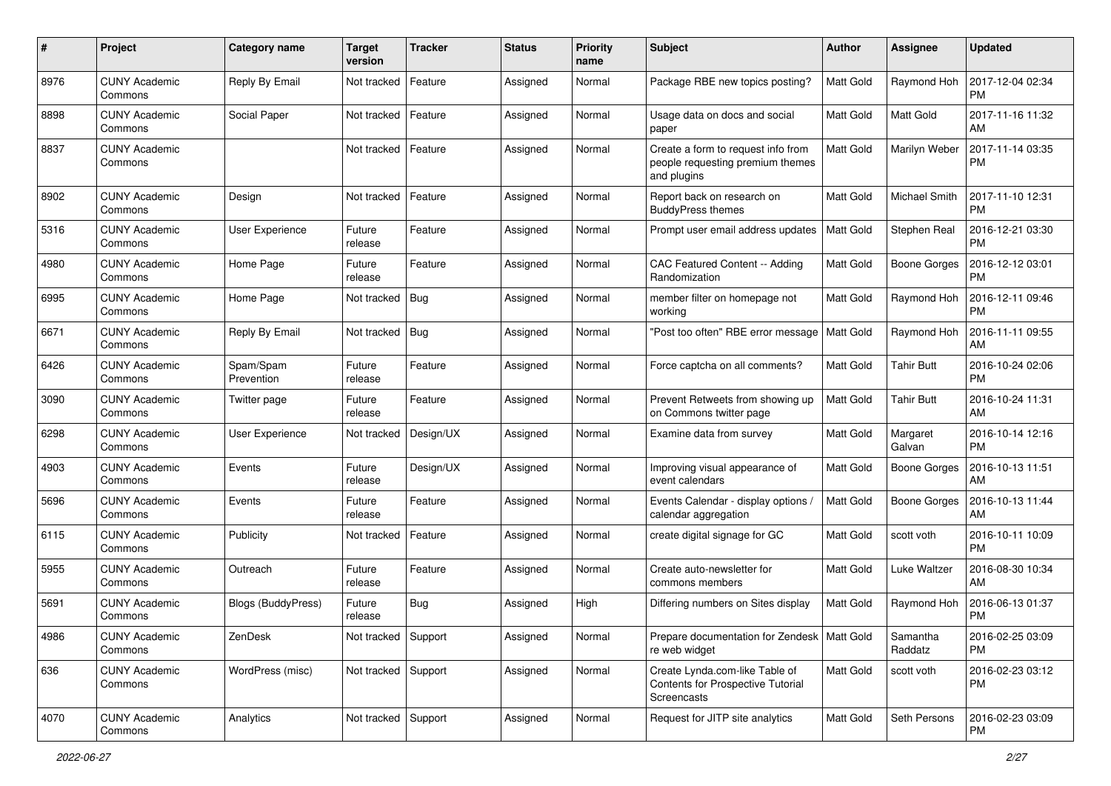| #    | Project                         | Category name           | <b>Target</b><br>version | <b>Tracker</b> | <b>Status</b> | <b>Priority</b><br>name | Subject                                                                               | <b>Author</b>    | <b>Assignee</b>     | <b>Updated</b>                |
|------|---------------------------------|-------------------------|--------------------------|----------------|---------------|-------------------------|---------------------------------------------------------------------------------------|------------------|---------------------|-------------------------------|
| 8976 | <b>CUNY Academic</b><br>Commons | Reply By Email          | Not tracked              | Feature        | Assigned      | Normal                  | Package RBE new topics posting?                                                       | <b>Matt Gold</b> | Raymond Hoh         | 2017-12-04 02:34<br><b>PM</b> |
| 8898 | <b>CUNY Academic</b><br>Commons | Social Paper            | Not tracked              | Feature        | Assigned      | Normal                  | Usage data on docs and social<br>paper                                                | <b>Matt Gold</b> | Matt Gold           | 2017-11-16 11:32<br>AM        |
| 8837 | CUNY Academic<br>Commons        |                         | Not tracked              | Feature        | Assigned      | Normal                  | Create a form to request info from<br>people requesting premium themes<br>and plugins | Matt Gold        | Marilyn Weber       | 2017-11-14 03:35<br><b>PM</b> |
| 8902 | <b>CUNY Academic</b><br>Commons | Design                  | Not tracked              | Feature        | Assigned      | Normal                  | Report back on research on<br><b>BuddyPress themes</b>                                | Matt Gold        | Michael Smith       | 2017-11-10 12:31<br><b>PM</b> |
| 5316 | <b>CUNY Academic</b><br>Commons | <b>User Experience</b>  | Future<br>release        | Feature        | Assigned      | Normal                  | Prompt user email address updates                                                     | <b>Matt Gold</b> | Stephen Real        | 2016-12-21 03:30<br><b>PM</b> |
| 4980 | <b>CUNY Academic</b><br>Commons | Home Page               | Future<br>release        | Feature        | Assigned      | Normal                  | CAC Featured Content -- Adding<br>Randomization                                       | <b>Matt Gold</b> | Boone Gorges        | 2016-12-12 03:01<br><b>PM</b> |
| 6995 | <b>CUNY Academic</b><br>Commons | Home Page               | Not tracked              | Bug            | Assigned      | Normal                  | member filter on homepage not<br>working                                              | <b>Matt Gold</b> | Raymond Hoh         | 2016-12-11 09:46<br><b>PM</b> |
| 6671 | <b>CUNY Academic</b><br>Commons | Reply By Email          | Not tracked              | Bug            | Assigned      | Normal                  | "Post too often" RBE error message                                                    | <b>Matt Gold</b> | Raymond Hoh         | 2016-11-11 09:55<br>AM        |
| 6426 | <b>CUNY Academic</b><br>Commons | Spam/Spam<br>Prevention | Future<br>release        | Feature        | Assigned      | Normal                  | Force captcha on all comments?                                                        | <b>Matt Gold</b> | <b>Tahir Butt</b>   | 2016-10-24 02:06<br><b>PM</b> |
| 3090 | <b>CUNY Academic</b><br>Commons | Twitter page            | Future<br>release        | Feature        | Assigned      | Normal                  | Prevent Retweets from showing up<br>on Commons twitter page                           | <b>Matt Gold</b> | <b>Tahir Butt</b>   | 2016-10-24 11:31<br>AM        |
| 6298 | <b>CUNY Academic</b><br>Commons | <b>User Experience</b>  | Not tracked              | Design/UX      | Assigned      | Normal                  | Examine data from survey                                                              | Matt Gold        | Margaret<br>Galvan  | 2016-10-14 12:16<br><b>PM</b> |
| 4903 | <b>CUNY Academic</b><br>Commons | Events                  | Future<br>release        | Design/UX      | Assigned      | Normal                  | Improving visual appearance of<br>event calendars                                     | <b>Matt Gold</b> | <b>Boone Gorges</b> | 2016-10-13 11:51<br>AM        |
| 5696 | <b>CUNY Academic</b><br>Commons | Events                  | Future<br>release        | Feature        | Assigned      | Normal                  | Events Calendar - display options /<br>calendar aggregation                           | <b>Matt Gold</b> | Boone Gorges        | 2016-10-13 11:44<br>AM        |
| 6115 | <b>CUNY Academic</b><br>Commons | Publicity               | Not tracked              | Feature        | Assigned      | Normal                  | create digital signage for GC                                                         | <b>Matt Gold</b> | scott voth          | 2016-10-11 10:09<br><b>PM</b> |
| 5955 | CUNY Academic<br>Commons        | Outreach                | Future<br>release        | Feature        | Assigned      | Normal                  | Create auto-newsletter for<br>commons members                                         | <b>Matt Gold</b> | Luke Waltzer        | 2016-08-30 10:34<br>AM        |
| 5691 | <b>CUNY Academic</b><br>Commons | Blogs (BuddyPress)      | Future<br>release        | Bug            | Assigned      | High                    | Differing numbers on Sites display                                                    | Matt Gold        | Raymond Hoh         | 2016-06-13 01:37<br><b>PM</b> |
| 4986 | <b>CUNY Academic</b><br>Commons | ZenDesk                 | Not tracked Support      |                | Assigned      | Normal                  | Prepare documentation for Zendesk   Matt Gold<br>re web widget                        |                  | Samantha<br>Raddatz | 2016-02-25 03:09<br><b>PM</b> |
| 636  | <b>CUNY Academic</b><br>Commons | WordPress (misc)        | Not tracked Support      |                | Assigned      | Normal                  | Create Lynda.com-like Table of<br>Contents for Prospective Tutorial<br>Screencasts    | Matt Gold        | scott voth          | 2016-02-23 03:12<br>PM        |
| 4070 | <b>CUNY Academic</b><br>Commons | Analytics               | Not tracked Support      |                | Assigned      | Normal                  | Request for JITP site analytics                                                       | Matt Gold        | Seth Persons        | 2016-02-23 03:09<br><b>PM</b> |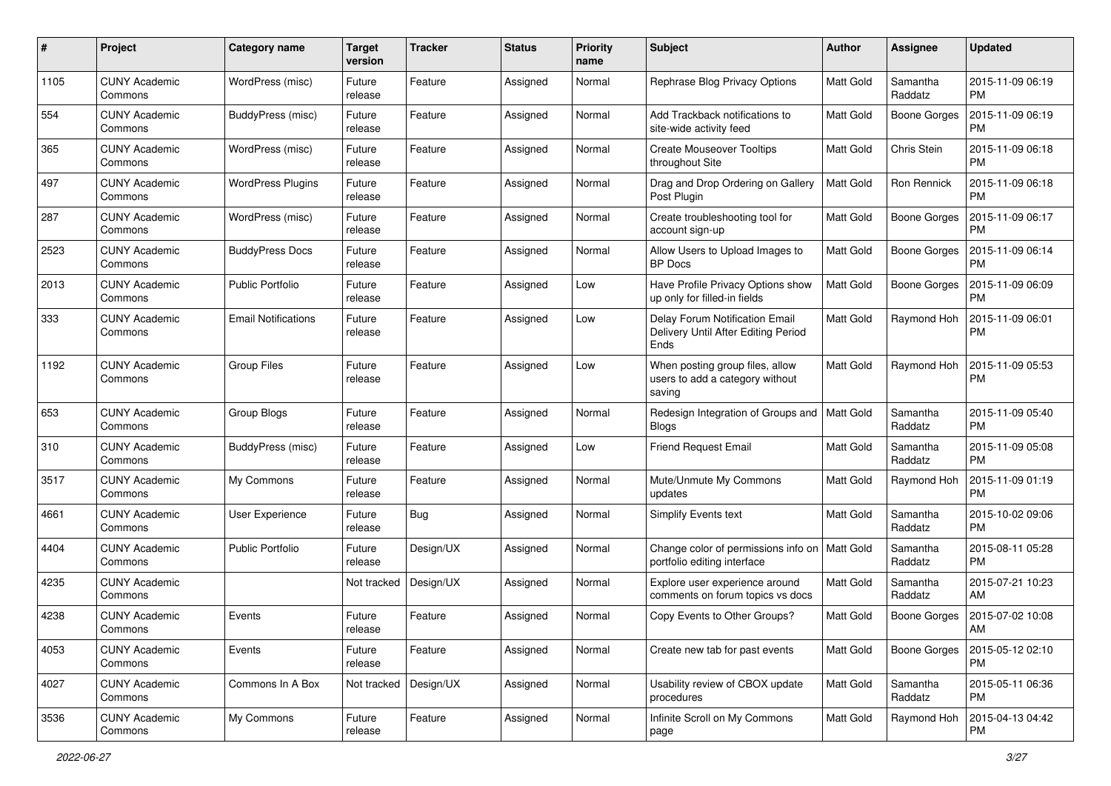| #    | Project                         | Category name              | <b>Target</b><br>version | <b>Tracker</b> | <b>Status</b> | <b>Priority</b><br>name | <b>Subject</b>                                                                 | <b>Author</b>    | Assignee            | <b>Updated</b>                |
|------|---------------------------------|----------------------------|--------------------------|----------------|---------------|-------------------------|--------------------------------------------------------------------------------|------------------|---------------------|-------------------------------|
| 1105 | <b>CUNY Academic</b><br>Commons | WordPress (misc)           | Future<br>release        | Feature        | Assigned      | Normal                  | Rephrase Blog Privacy Options                                                  | <b>Matt Gold</b> | Samantha<br>Raddatz | 2015-11-09 06:19<br><b>PM</b> |
| 554  | <b>CUNY Academic</b><br>Commons | BuddyPress (misc)          | Future<br>release        | Feature        | Assigned      | Normal                  | Add Trackback notifications to<br>site-wide activity feed                      | <b>Matt Gold</b> | <b>Boone Gorges</b> | 2015-11-09 06:19<br><b>PM</b> |
| 365  | <b>CUNY Academic</b><br>Commons | WordPress (misc)           | Future<br>release        | Feature        | Assigned      | Normal                  | <b>Create Mouseover Tooltips</b><br>throughout Site                            | <b>Matt Gold</b> | Chris Stein         | 2015-11-09 06:18<br><b>PM</b> |
| 497  | <b>CUNY Academic</b><br>Commons | <b>WordPress Plugins</b>   | Future<br>release        | Feature        | Assigned      | Normal                  | Drag and Drop Ordering on Gallery<br>Post Plugin                               | Matt Gold        | Ron Rennick         | 2015-11-09 06:18<br><b>PM</b> |
| 287  | <b>CUNY Academic</b><br>Commons | WordPress (misc)           | Future<br>release        | Feature        | Assigned      | Normal                  | Create troubleshooting tool for<br>account sign-up                             | <b>Matt Gold</b> | Boone Gorges        | 2015-11-09 06:17<br><b>PM</b> |
| 2523 | <b>CUNY Academic</b><br>Commons | <b>BuddyPress Docs</b>     | Future<br>release        | Feature        | Assigned      | Normal                  | Allow Users to Upload Images to<br><b>BP</b> Docs                              | Matt Gold        | <b>Boone Gorges</b> | 2015-11-09 06:14<br><b>PM</b> |
| 2013 | <b>CUNY Academic</b><br>Commons | <b>Public Portfolio</b>    | Future<br>release        | Feature        | Assigned      | Low                     | Have Profile Privacy Options show<br>up only for filled-in fields              | Matt Gold        | <b>Boone Gorges</b> | 2015-11-09 06:09<br><b>PM</b> |
| 333  | <b>CUNY Academic</b><br>Commons | <b>Email Notifications</b> | Future<br>release        | Feature        | Assigned      | Low                     | Delay Forum Notification Email<br>Delivery Until After Editing Period<br>Ends  | Matt Gold        | Raymond Hoh         | 2015-11-09 06:01<br><b>PM</b> |
| 1192 | <b>CUNY Academic</b><br>Commons | <b>Group Files</b>         | Future<br>release        | Feature        | Assigned      | Low                     | When posting group files, allow<br>users to add a category without<br>saving   | Matt Gold        | Raymond Hoh         | 2015-11-09 05:53<br><b>PM</b> |
| 653  | <b>CUNY Academic</b><br>Commons | Group Blogs                | Future<br>release        | Feature        | Assigned      | Normal                  | Redesign Integration of Groups and<br>Blogs                                    | <b>Matt Gold</b> | Samantha<br>Raddatz | 2015-11-09 05:40<br><b>PM</b> |
| 310  | <b>CUNY Academic</b><br>Commons | BuddyPress (misc)          | Future<br>release        | Feature        | Assigned      | Low                     | <b>Friend Request Email</b>                                                    | Matt Gold        | Samantha<br>Raddatz | 2015-11-09 05:08<br><b>PM</b> |
| 3517 | <b>CUNY Academic</b><br>Commons | My Commons                 | Future<br>release        | Feature        | Assigned      | Normal                  | Mute/Unmute My Commons<br>updates                                              | Matt Gold        | Raymond Hoh         | 2015-11-09 01:19<br><b>PM</b> |
| 4661 | <b>CUNY Academic</b><br>Commons | <b>User Experience</b>     | Future<br>release        | Bug            | Assigned      | Normal                  | <b>Simplify Events text</b>                                                    | Matt Gold        | Samantha<br>Raddatz | 2015-10-02 09:06<br><b>PM</b> |
| 4404 | <b>CUNY Academic</b><br>Commons | <b>Public Portfolio</b>    | Future<br>release        | Design/UX      | Assigned      | Normal                  | Change color of permissions info on   Matt Gold<br>portfolio editing interface |                  | Samantha<br>Raddatz | 2015-08-11 05:28<br><b>PM</b> |
| 4235 | <b>CUNY Academic</b><br>Commons |                            | Not tracked              | Design/UX      | Assigned      | Normal                  | Explore user experience around<br>comments on forum topics vs docs             | Matt Gold        | Samantha<br>Raddatz | 2015-07-21 10:23<br>AM        |
| 4238 | <b>CUNY Academic</b><br>Commons | Events                     | Future<br>reiease        | Feature        | Assigned      | Normal                  | Copy Events to Other Groups?                                                   | Matt Gold        | Boone Gorges        | 2015-07-02 10:08<br>AM        |
| 4053 | <b>CUNY Academic</b><br>Commons | Events                     | Future<br>release        | Feature        | Assigned      | Normal                  | Create new tab for past events                                                 | Matt Gold        | <b>Boone Gorges</b> | 2015-05-12 02:10<br>PM        |
| 4027 | <b>CUNY Academic</b><br>Commons | Commons In A Box           | Not tracked              | Design/UX      | Assigned      | Normal                  | Usability review of CBOX update<br>procedures                                  | Matt Gold        | Samantha<br>Raddatz | 2015-05-11 06:36<br><b>PM</b> |
| 3536 | <b>CUNY Academic</b><br>Commons | My Commons                 | Future<br>release        | Feature        | Assigned      | Normal                  | Infinite Scroll on My Commons<br>page                                          | Matt Gold        | Raymond Hoh         | 2015-04-13 04:42<br><b>PM</b> |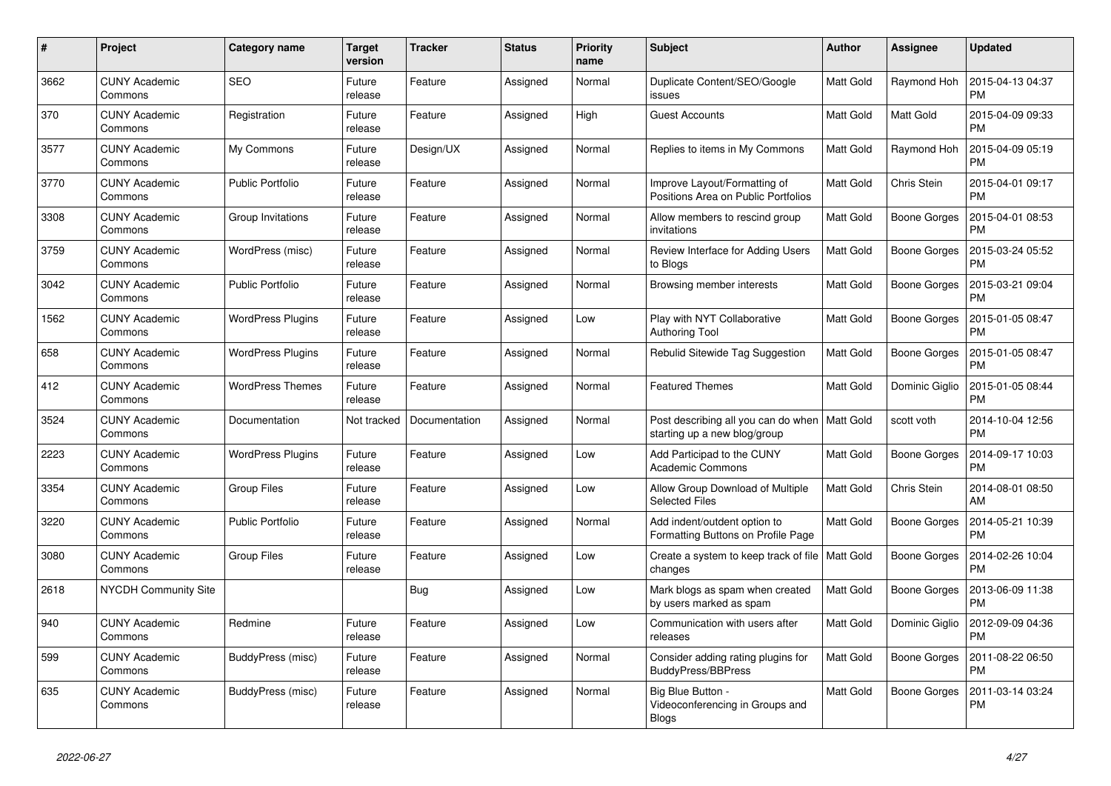| #    | Project                         | Category name            | <b>Target</b><br>version | <b>Tracker</b> | <b>Status</b> | <b>Priority</b><br>name | <b>Subject</b>                                                       | <b>Author</b>    | Assignee            | <b>Updated</b>                |
|------|---------------------------------|--------------------------|--------------------------|----------------|---------------|-------------------------|----------------------------------------------------------------------|------------------|---------------------|-------------------------------|
| 3662 | <b>CUNY Academic</b><br>Commons | <b>SEO</b>               | Future<br>release        | Feature        | Assigned      | Normal                  | Duplicate Content/SEO/Google<br>issues                               | <b>Matt Gold</b> | Raymond Hoh         | 2015-04-13 04:37<br><b>PM</b> |
| 370  | <b>CUNY Academic</b><br>Commons | Registration             | Future<br>release        | Feature        | Assigned      | High                    | <b>Guest Accounts</b>                                                | <b>Matt Gold</b> | Matt Gold           | 2015-04-09 09:33<br><b>PM</b> |
| 3577 | <b>CUNY Academic</b><br>Commons | My Commons               | Future<br>release        | Design/UX      | Assigned      | Normal                  | Replies to items in My Commons                                       | <b>Matt Gold</b> | Raymond Hoh         | 2015-04-09 05:19<br><b>PM</b> |
| 3770 | <b>CUNY Academic</b><br>Commons | <b>Public Portfolio</b>  | Future<br>release        | Feature        | Assigned      | Normal                  | Improve Layout/Formatting of<br>Positions Area on Public Portfolios  | <b>Matt Gold</b> | Chris Stein         | 2015-04-01 09:17<br><b>PM</b> |
| 3308 | <b>CUNY Academic</b><br>Commons | Group Invitations        | Future<br>release        | Feature        | Assigned      | Normal                  | Allow members to rescind group<br>invitations                        | <b>Matt Gold</b> | Boone Gorges        | 2015-04-01 08:53<br><b>PM</b> |
| 3759 | <b>CUNY Academic</b><br>Commons | WordPress (misc)         | Future<br>release        | Feature        | Assigned      | Normal                  | Review Interface for Adding Users<br>to Blogs                        | Matt Gold        | <b>Boone Gorges</b> | 2015-03-24 05:52<br><b>PM</b> |
| 3042 | <b>CUNY Academic</b><br>Commons | <b>Public Portfolio</b>  | Future<br>release        | Feature        | Assigned      | Normal                  | Browsing member interests                                            | <b>Matt Gold</b> | <b>Boone Gorges</b> | 2015-03-21 09:04<br><b>PM</b> |
| 1562 | <b>CUNY Academic</b><br>Commons | <b>WordPress Plugins</b> | Future<br>release        | Feature        | Assigned      | Low                     | Play with NYT Collaborative<br><b>Authoring Tool</b>                 | Matt Gold        | <b>Boone Gorges</b> | 2015-01-05 08:47<br><b>PM</b> |
| 658  | <b>CUNY Academic</b><br>Commons | <b>WordPress Plugins</b> | Future<br>release        | Feature        | Assigned      | Normal                  | Rebulid Sitewide Tag Suggestion                                      | <b>Matt Gold</b> | <b>Boone Gorges</b> | 2015-01-05 08:47<br><b>PM</b> |
| 412  | <b>CUNY Academic</b><br>Commons | <b>WordPress Themes</b>  | Future<br>release        | Feature        | Assigned      | Normal                  | <b>Featured Themes</b>                                               | <b>Matt Gold</b> | Dominic Giglio      | 2015-01-05 08:44<br><b>PM</b> |
| 3524 | <b>CUNY Academic</b><br>Commons | Documentation            | Not tracked              | Documentation  | Assigned      | Normal                  | Post describing all you can do when<br>starting up a new blog/group  | Matt Gold        | scott voth          | 2014-10-04 12:56<br><b>PM</b> |
| 2223 | <b>CUNY Academic</b><br>Commons | <b>WordPress Plugins</b> | Future<br>release        | Feature        | Assigned      | Low                     | Add Participad to the CUNY<br><b>Academic Commons</b>                | <b>Matt Gold</b> | <b>Boone Gorges</b> | 2014-09-17 10:03<br><b>PM</b> |
| 3354 | <b>CUNY Academic</b><br>Commons | <b>Group Files</b>       | Future<br>release        | Feature        | Assigned      | Low                     | Allow Group Download of Multiple<br><b>Selected Files</b>            | <b>Matt Gold</b> | Chris Stein         | 2014-08-01 08:50<br>AM        |
| 3220 | <b>CUNY Academic</b><br>Commons | <b>Public Portfolio</b>  | Future<br>release        | Feature        | Assigned      | Normal                  | Add indent/outdent option to<br>Formatting Buttons on Profile Page   | <b>Matt Gold</b> | <b>Boone Gorges</b> | 2014-05-21 10:39<br><b>PM</b> |
| 3080 | <b>CUNY Academic</b><br>Commons | <b>Group Files</b>       | Future<br>release        | Feature        | Assigned      | Low                     | Create a system to keep track of file<br>changes                     | <b>Matt Gold</b> | <b>Boone Gorges</b> | 2014-02-26 10:04<br><b>PM</b> |
| 2618 | <b>NYCDH Community Site</b>     |                          |                          | <b>Bug</b>     | Assigned      | Low                     | Mark blogs as spam when created<br>by users marked as spam           | Matt Gold        | <b>Boone Gorges</b> | 2013-06-09 11:38<br><b>PM</b> |
| 940  | <b>CUNY Academic</b><br>Commons | Redmine                  | Future<br>release        | Feature        | Assigned      | Low                     | Communication with users after<br>releases                           | <b>Matt Gold</b> | Dominic Giglio      | 2012-09-09 04:36<br><b>PM</b> |
| 599  | <b>CUNY Academic</b><br>Commons | BuddyPress (misc)        | Future<br>release        | Feature        | Assigned      | Normal                  | Consider adding rating plugins for<br><b>BuddyPress/BBPress</b>      | <b>Matt Gold</b> | <b>Boone Gorges</b> | 2011-08-22 06:50<br><b>PM</b> |
| 635  | <b>CUNY Academic</b><br>Commons | BuddyPress (misc)        | Future<br>release        | Feature        | Assigned      | Normal                  | Big Blue Button -<br>Videoconferencing in Groups and<br><b>Blogs</b> | <b>Matt Gold</b> | Boone Gorges        | 2011-03-14 03:24<br><b>PM</b> |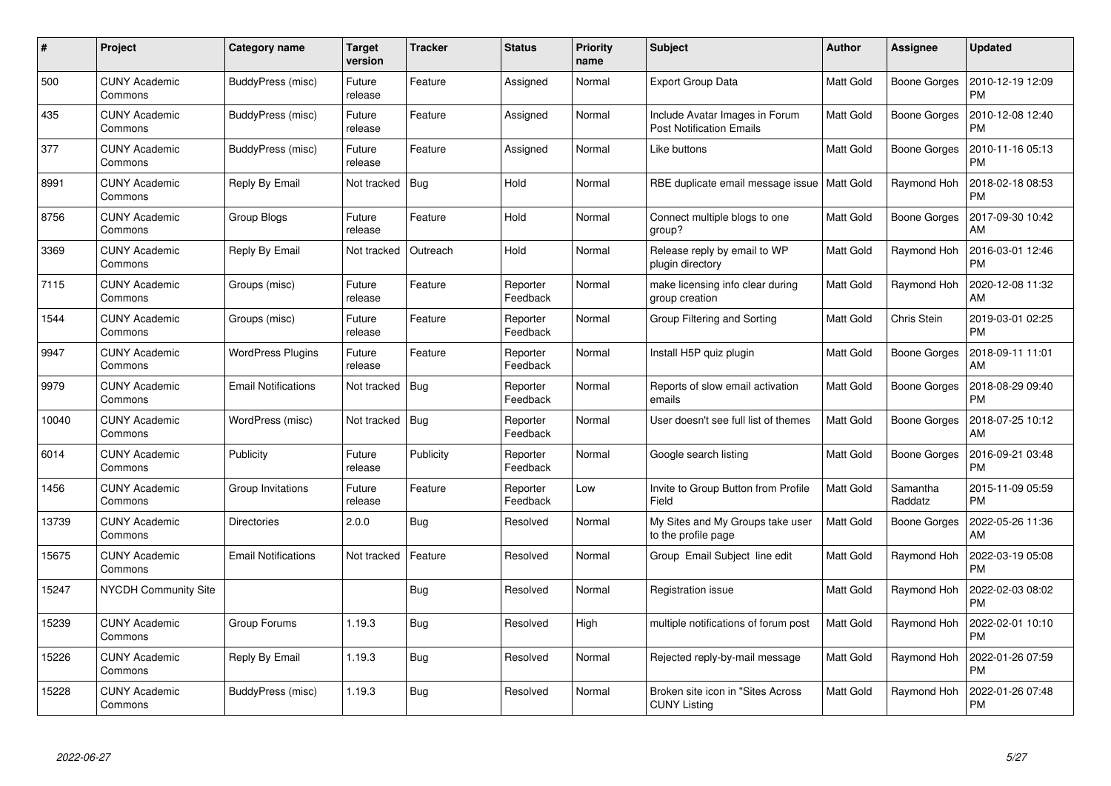| #     | Project                         | Category name              | <b>Target</b><br>version | <b>Tracker</b> | <b>Status</b>        | Priority<br>name | <b>Subject</b>                                                    | <b>Author</b>    | Assignee            | <b>Updated</b>                |
|-------|---------------------------------|----------------------------|--------------------------|----------------|----------------------|------------------|-------------------------------------------------------------------|------------------|---------------------|-------------------------------|
| 500   | <b>CUNY Academic</b><br>Commons | BuddyPress (misc)          | Future<br>release        | Feature        | Assigned             | Normal           | Export Group Data                                                 | Matt Gold        | Boone Gorges        | 2010-12-19 12:09<br><b>PM</b> |
| 435   | <b>CUNY Academic</b><br>Commons | BuddyPress (misc)          | Future<br>release        | Feature        | Assigned             | Normal           | Include Avatar Images in Forum<br><b>Post Notification Emails</b> | <b>Matt Gold</b> | <b>Boone Gorges</b> | 2010-12-08 12:40<br><b>PM</b> |
| 377   | <b>CUNY Academic</b><br>Commons | BuddyPress (misc)          | Future<br>release        | Feature        | Assigned             | Normal           | Like buttons                                                      | <b>Matt Gold</b> | <b>Boone Gorges</b> | 2010-11-16 05:13<br><b>PM</b> |
| 8991  | <b>CUNY Academic</b><br>Commons | Reply By Email             | Not tracked   Bug        |                | Hold                 | Normal           | RBE duplicate email message issue                                 | Matt Gold        | Raymond Hoh         | 2018-02-18 08:53<br><b>PM</b> |
| 8756  | <b>CUNY Academic</b><br>Commons | Group Blogs                | Future<br>release        | Feature        | Hold                 | Normal           | Connect multiple blogs to one<br>group?                           | Matt Gold        | <b>Boone Gorges</b> | 2017-09-30 10:42<br>AM        |
| 3369  | <b>CUNY Academic</b><br>Commons | Reply By Email             | Not tracked              | Outreach       | Hold                 | Normal           | Release reply by email to WP<br>plugin directory                  | Matt Gold        | Raymond Hoh         | 2016-03-01 12:46<br><b>PM</b> |
| 7115  | <b>CUNY Academic</b><br>Commons | Groups (misc)              | Future<br>release        | Feature        | Reporter<br>Feedback | Normal           | make licensing info clear during<br>group creation                | <b>Matt Gold</b> | Raymond Hoh         | 2020-12-08 11:32<br>AM        |
| 1544  | <b>CUNY Academic</b><br>Commons | Groups (misc)              | Future<br>release        | Feature        | Reporter<br>Feedback | Normal           | Group Filtering and Sorting                                       | Matt Gold        | Chris Stein         | 2019-03-01 02:25<br><b>PM</b> |
| 9947  | <b>CUNY Academic</b><br>Commons | <b>WordPress Plugins</b>   | Future<br>release        | Feature        | Reporter<br>Feedback | Normal           | Install H5P quiz plugin                                           | <b>Matt Gold</b> | <b>Boone Gorges</b> | 2018-09-11 11:01<br>AM        |
| 9979  | <b>CUNY Academic</b><br>Commons | <b>Email Notifications</b> | Not tracked              | Bug            | Reporter<br>Feedback | Normal           | Reports of slow email activation<br>emails                        | <b>Matt Gold</b> | Boone Gorges        | 2018-08-29 09:40<br><b>PM</b> |
| 10040 | <b>CUNY Academic</b><br>Commons | WordPress (misc)           | Not tracked              | Bug            | Reporter<br>Feedback | Normal           | User doesn't see full list of themes                              | Matt Gold        | <b>Boone Gorges</b> | 2018-07-25 10:12<br>AM        |
| 6014  | <b>CUNY Academic</b><br>Commons | Publicity                  | Future<br>release        | Publicity      | Reporter<br>Feedback | Normal           | Google search listing                                             | <b>Matt Gold</b> | Boone Gorges        | 2016-09-21 03:48<br><b>PM</b> |
| 1456  | <b>CUNY Academic</b><br>Commons | Group Invitations          | Future<br>release        | Feature        | Reporter<br>Feedback | Low              | Invite to Group Button from Profile<br>Field                      | <b>Matt Gold</b> | Samantha<br>Raddatz | 2015-11-09 05:59<br><b>PM</b> |
| 13739 | <b>CUNY Academic</b><br>Commons | <b>Directories</b>         | 2.0.0                    | Bug            | Resolved             | Normal           | My Sites and My Groups take user<br>to the profile page           | Matt Gold        | Boone Gorges        | 2022-05-26 11:36<br>AM        |
| 15675 | <b>CUNY Academic</b><br>Commons | <b>Email Notifications</b> | Not tracked              | Feature        | Resolved             | Normal           | Group Email Subject line edit                                     | <b>Matt Gold</b> | Raymond Hoh         | 2022-03-19 05:08<br><b>PM</b> |
| 15247 | <b>NYCDH Community Site</b>     |                            |                          | Bug            | Resolved             | Normal           | Registration issue                                                | <b>Matt Gold</b> | Raymond Hoh         | 2022-02-03 08:02<br><b>PM</b> |
| 15239 | <b>CUNY Academic</b><br>Commons | Group Forums               | 1.19.3                   | <b>Bug</b>     | Resolved             | High             | multiple notifications of forum post                              | <b>Matt Gold</b> | Raymond Hoh         | 2022-02-01 10:10<br><b>PM</b> |
| 15226 | <b>CUNY Academic</b><br>Commons | Reply By Email             | 1.19.3                   | Bug            | Resolved             | Normal           | Rejected reply-by-mail message                                    | Matt Gold        | Raymond Hoh         | 2022-01-26 07:59<br><b>PM</b> |
| 15228 | <b>CUNY Academic</b><br>Commons | BuddyPress (misc)          | 1.19.3                   | <b>Bug</b>     | Resolved             | Normal           | Broken site icon in "Sites Across<br><b>CUNY Listing</b>          | <b>Matt Gold</b> | Raymond Hoh         | 2022-01-26 07:48<br><b>PM</b> |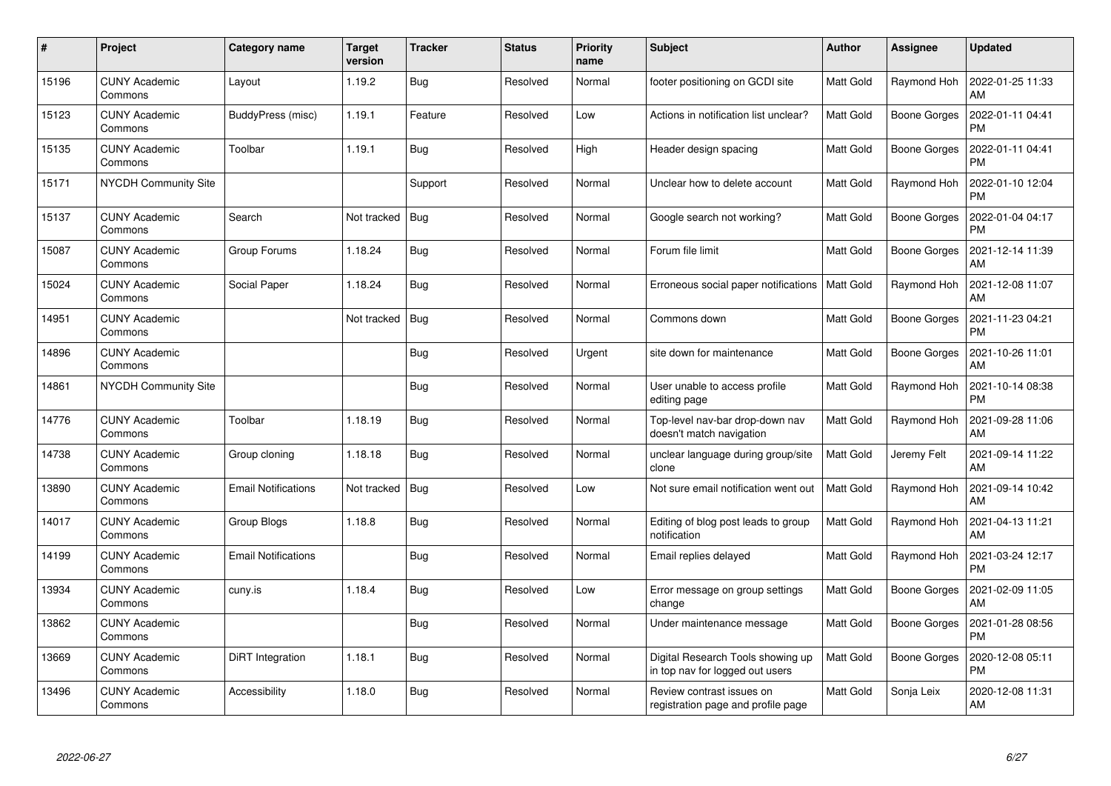| $\pmb{\#}$ | Project                         | Category name              | <b>Target</b><br>version | <b>Tracker</b> | <b>Status</b> | <b>Priority</b><br>name | <b>Subject</b>                                                       | <b>Author</b>    | Assignee            | <b>Updated</b>                |
|------------|---------------------------------|----------------------------|--------------------------|----------------|---------------|-------------------------|----------------------------------------------------------------------|------------------|---------------------|-------------------------------|
| 15196      | <b>CUNY Academic</b><br>Commons | Layout                     | 1.19.2                   | Bug            | Resolved      | Normal                  | footer positioning on GCDI site                                      | Matt Gold        | Raymond Hoh         | 2022-01-25 11:33<br>AM        |
| 15123      | <b>CUNY Academic</b><br>Commons | BuddyPress (misc)          | 1.19.1                   | Feature        | Resolved      | Low                     | Actions in notification list unclear?                                | <b>Matt Gold</b> | <b>Boone Gorges</b> | 2022-01-11 04:41<br><b>PM</b> |
| 15135      | <b>CUNY Academic</b><br>Commons | Toolbar                    | 1.19.1                   | <b>Bug</b>     | Resolved      | High                    | Header design spacing                                                | Matt Gold        | <b>Boone Gorges</b> | 2022-01-11 04:41<br><b>PM</b> |
| 15171      | <b>NYCDH Community Site</b>     |                            |                          | Support        | Resolved      | Normal                  | Unclear how to delete account                                        | <b>Matt Gold</b> | Raymond Hoh         | 2022-01-10 12:04<br><b>PM</b> |
| 15137      | <b>CUNY Academic</b><br>Commons | Search                     | Not tracked              | <b>Bug</b>     | Resolved      | Normal                  | Google search not working?                                           | <b>Matt Gold</b> | Boone Gorges        | 2022-01-04 04:17<br><b>PM</b> |
| 15087      | <b>CUNY Academic</b><br>Commons | Group Forums               | 1.18.24                  | <b>Bug</b>     | Resolved      | Normal                  | Forum file limit                                                     | Matt Gold        | Boone Gorges        | 2021-12-14 11:39<br>AM        |
| 15024      | <b>CUNY Academic</b><br>Commons | Social Paper               | 1.18.24                  | <b>Bug</b>     | Resolved      | Normal                  | Erroneous social paper notifications                                 | <b>Matt Gold</b> | Raymond Hoh         | 2021-12-08 11:07<br>AM        |
| 14951      | <b>CUNY Academic</b><br>Commons |                            | Not tracked              | <b>Bug</b>     | Resolved      | Normal                  | Commons down                                                         | Matt Gold        | Boone Gorges        | 2021-11-23 04:21<br><b>PM</b> |
| 14896      | <b>CUNY Academic</b><br>Commons |                            |                          | <b>Bug</b>     | Resolved      | Urgent                  | site down for maintenance                                            | <b>Matt Gold</b> | <b>Boone Gorges</b> | 2021-10-26 11:01<br>AM        |
| 14861      | <b>NYCDH Community Site</b>     |                            |                          | Bug            | Resolved      | Normal                  | User unable to access profile<br>editing page                        | <b>Matt Gold</b> | Raymond Hoh         | 2021-10-14 08:38<br><b>PM</b> |
| 14776      | <b>CUNY Academic</b><br>Commons | Toolbar                    | 1.18.19                  | <b>Bug</b>     | Resolved      | Normal                  | Top-level nav-bar drop-down nav<br>doesn't match navigation          | Matt Gold        | Raymond Hoh         | 2021-09-28 11:06<br>AM        |
| 14738      | <b>CUNY Academic</b><br>Commons | Group cloning              | 1.18.18                  | Bug            | Resolved      | Normal                  | unclear language during group/site<br>clone                          | <b>Matt Gold</b> | Jeremy Felt         | 2021-09-14 11:22<br>AM        |
| 13890      | <b>CUNY Academic</b><br>Commons | <b>Email Notifications</b> | Not tracked              | <b>Bug</b>     | Resolved      | Low                     | Not sure email notification went out                                 | <b>Matt Gold</b> | Raymond Hoh         | 2021-09-14 10:42<br>AM        |
| 14017      | <b>CUNY Academic</b><br>Commons | Group Blogs                | 1.18.8                   | <b>Bug</b>     | Resolved      | Normal                  | Editing of blog post leads to group<br>notification                  | Matt Gold        | Raymond Hoh         | 2021-04-13 11:21<br>AM        |
| 14199      | <b>CUNY Academic</b><br>Commons | <b>Email Notifications</b> |                          | Bug            | Resolved      | Normal                  | Email replies delayed                                                | <b>Matt Gold</b> | Raymond Hoh         | 2021-03-24 12:17<br><b>PM</b> |
| 13934      | <b>CUNY Academic</b><br>Commons | cuny.is                    | 1.18.4                   | <b>Bug</b>     | Resolved      | Low                     | Error message on group settings<br>change                            | <b>Matt Gold</b> | Boone Gorges        | 2021-02-09 11:05<br>AM        |
| 13862      | <b>CUNY Academic</b><br>Commons |                            |                          | <b>Bug</b>     | Resolved      | Normal                  | Under maintenance message                                            | <b>Matt Gold</b> | Boone Gorges        | 2021-01-28 08:56<br><b>PM</b> |
| 13669      | <b>CUNY Academic</b><br>Commons | DiRT Integration           | 1.18.1                   | Bug            | Resolved      | Normal                  | Digital Research Tools showing up<br>in top nav for logged out users | <b>Matt Gold</b> | <b>Boone Gorges</b> | 2020-12-08 05:11<br><b>PM</b> |
| 13496      | <b>CUNY Academic</b><br>Commons | Accessibility              | 1.18.0                   | <b>Bug</b>     | Resolved      | Normal                  | Review contrast issues on<br>registration page and profile page      | Matt Gold        | Sonja Leix          | 2020-12-08 11:31<br>AM        |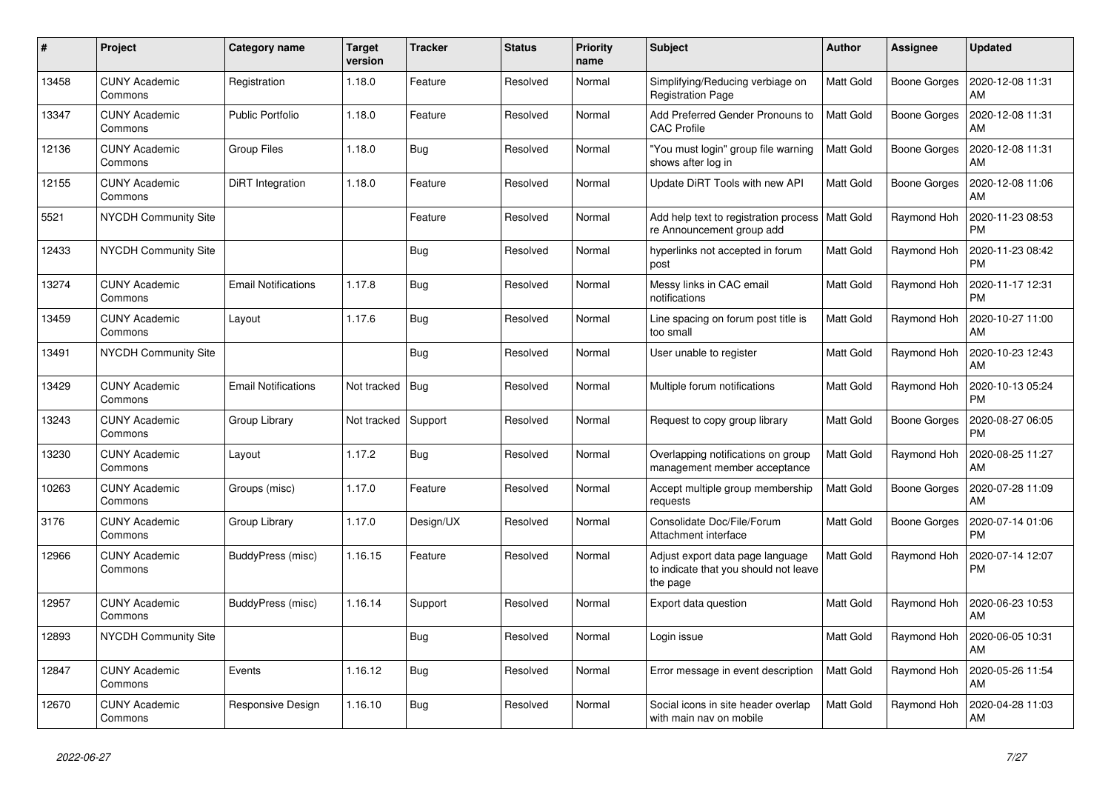| $\pmb{\sharp}$ | Project                         | Category name              | <b>Target</b><br>version | <b>Tracker</b> | <b>Status</b> | <b>Priority</b><br>name | <b>Subject</b>                                                                        | <b>Author</b>    | <b>Assignee</b>     | <b>Updated</b>                |
|----------------|---------------------------------|----------------------------|--------------------------|----------------|---------------|-------------------------|---------------------------------------------------------------------------------------|------------------|---------------------|-------------------------------|
| 13458          | <b>CUNY Academic</b><br>Commons | Registration               | 1.18.0                   | Feature        | Resolved      | Normal                  | Simplifying/Reducing verbiage on<br><b>Registration Page</b>                          | <b>Matt Gold</b> | Boone Gorges        | 2020-12-08 11:31<br>AM        |
| 13347          | <b>CUNY Academic</b><br>Commons | <b>Public Portfolio</b>    | 1.18.0                   | Feature        | Resolved      | Normal                  | Add Preferred Gender Pronouns to<br><b>CAC Profile</b>                                | <b>Matt Gold</b> | Boone Gorges        | 2020-12-08 11:31<br><b>AM</b> |
| 12136          | <b>CUNY Academic</b><br>Commons | Group Files                | 1.18.0                   | Bug            | Resolved      | Normal                  | "You must login" group file warning<br>shows after log in                             | Matt Gold        | <b>Boone Gorges</b> | 2020-12-08 11:31<br>AM        |
| 12155          | <b>CUNY Academic</b><br>Commons | DiRT Integration           | 1.18.0                   | Feature        | Resolved      | Normal                  | Update DiRT Tools with new API                                                        | <b>Matt Gold</b> | <b>Boone Gorges</b> | 2020-12-08 11:06<br>AM        |
| 5521           | NYCDH Community Site            |                            |                          | Feature        | Resolved      | Normal                  | Add help text to registration process<br>re Announcement group add                    | Matt Gold        | Raymond Hoh         | 2020-11-23 08:53<br><b>PM</b> |
| 12433          | <b>NYCDH Community Site</b>     |                            |                          | Bug            | Resolved      | Normal                  | hyperlinks not accepted in forum<br>post                                              | <b>Matt Gold</b> | Raymond Hoh         | 2020-11-23 08:42<br><b>PM</b> |
| 13274          | <b>CUNY Academic</b><br>Commons | <b>Email Notifications</b> | 1.17.8                   | <b>Bug</b>     | Resolved      | Normal                  | Messy links in CAC email<br>notifications                                             | <b>Matt Gold</b> | Raymond Hoh         | 2020-11-17 12:31<br><b>PM</b> |
| 13459          | <b>CUNY Academic</b><br>Commons | Layout                     | 1.17.6                   | <b>Bug</b>     | Resolved      | Normal                  | Line spacing on forum post title is<br>too small                                      | Matt Gold        | Raymond Hoh         | 2020-10-27 11:00<br>AM        |
| 13491          | <b>NYCDH Community Site</b>     |                            |                          | Bug            | Resolved      | Normal                  | User unable to register                                                               | <b>Matt Gold</b> | Raymond Hoh         | 2020-10-23 12:43<br>AM        |
| 13429          | <b>CUNY Academic</b><br>Commons | <b>Email Notifications</b> | Not tracked              | Bug            | Resolved      | Normal                  | Multiple forum notifications                                                          | <b>Matt Gold</b> | Raymond Hoh         | 2020-10-13 05:24<br><b>PM</b> |
| 13243          | <b>CUNY Academic</b><br>Commons | Group Library              | Not tracked              | Support        | Resolved      | Normal                  | Request to copy group library                                                         | <b>Matt Gold</b> | <b>Boone Gorges</b> | 2020-08-27 06:05<br><b>PM</b> |
| 13230          | <b>CUNY Academic</b><br>Commons | Layout                     | 1.17.2                   | Bug            | Resolved      | Normal                  | Overlapping notifications on group<br>management member acceptance                    | <b>Matt Gold</b> | Raymond Hoh         | 2020-08-25 11:27<br>AM        |
| 10263          | <b>CUNY Academic</b><br>Commons | Groups (misc)              | 1.17.0                   | Feature        | Resolved      | Normal                  | Accept multiple group membership<br>requests                                          | Matt Gold        | <b>Boone Gorges</b> | 2020-07-28 11:09<br><b>AM</b> |
| 3176           | <b>CUNY Academic</b><br>Commons | Group Library              | 1.17.0                   | Design/UX      | Resolved      | Normal                  | Consolidate Doc/File/Forum<br>Attachment interface                                    | Matt Gold        | <b>Boone Gorges</b> | 2020-07-14 01:06<br><b>PM</b> |
| 12966          | <b>CUNY Academic</b><br>Commons | BuddyPress (misc)          | 1.16.15                  | Feature        | Resolved      | Normal                  | Adjust export data page language<br>to indicate that you should not leave<br>the page | <b>Matt Gold</b> | Raymond Hoh         | 2020-07-14 12:07<br>PM        |
| 12957          | <b>CUNY Academic</b><br>Commons | BuddyPress (misc)          | 1.16.14                  | Support        | Resolved      | Normal                  | Export data question                                                                  | Matt Gold        | Raymond Hoh         | 2020-06-23 10:53<br><b>AM</b> |
| 12893          | <b>NYCDH Community Site</b>     |                            |                          | Bug            | Resolved      | Normal                  | Login issue                                                                           | Matt Gold        | Raymond Hoh         | 2020-06-05 10:31<br>AM        |
| 12847          | <b>CUNY Academic</b><br>Commons | Events                     | 1.16.12                  | <b>Bug</b>     | Resolved      | Normal                  | Error message in event description                                                    | <b>Matt Gold</b> | Raymond Hoh         | 2020-05-26 11:54<br>AM        |
| 12670          | <b>CUNY Academic</b><br>Commons | Responsive Design          | 1.16.10                  | Bug            | Resolved      | Normal                  | Social icons in site header overlap<br>with main nav on mobile                        | Matt Gold        | Raymond Hoh         | 2020-04-28 11:03<br>AM        |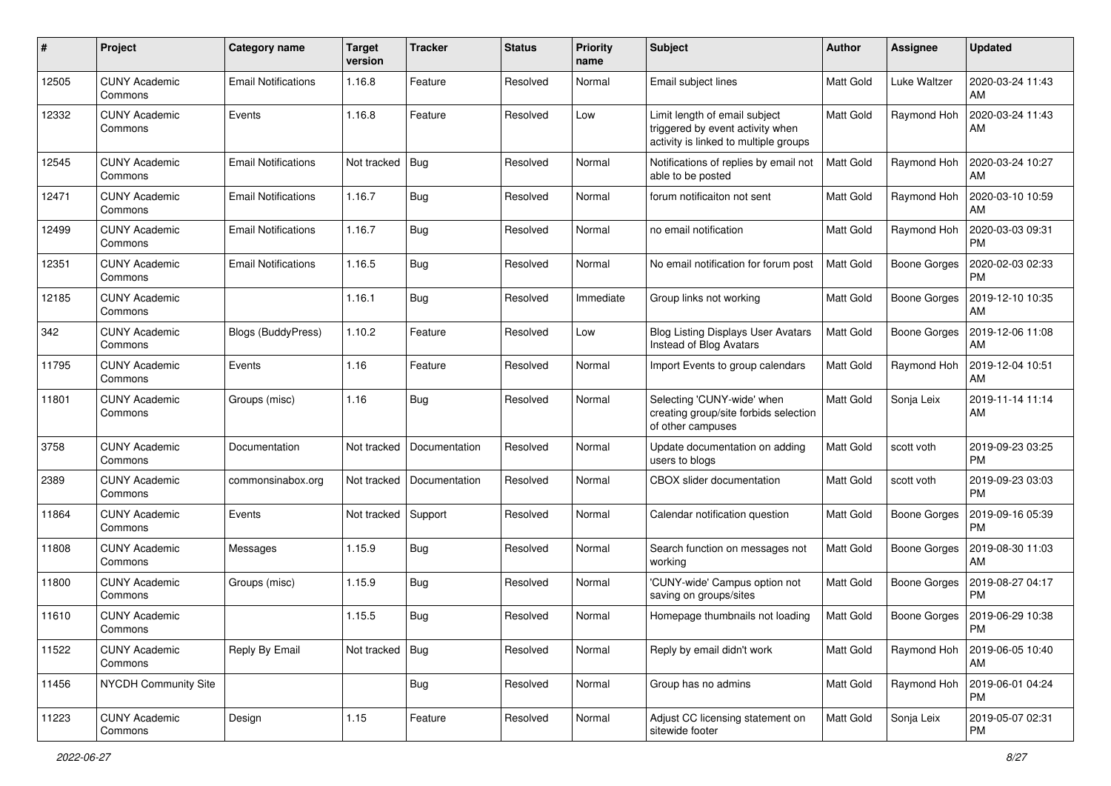| #     | Project                         | Category name              | <b>Target</b><br>version | <b>Tracker</b> | <b>Status</b> | <b>Priority</b><br>name | Subject                                                                                                    | Author           | Assignee            | <b>Updated</b>                |
|-------|---------------------------------|----------------------------|--------------------------|----------------|---------------|-------------------------|------------------------------------------------------------------------------------------------------------|------------------|---------------------|-------------------------------|
| 12505 | <b>CUNY Academic</b><br>Commons | <b>Email Notifications</b> | 1.16.8                   | Feature        | Resolved      | Normal                  | Email subject lines                                                                                        | <b>Matt Gold</b> | <b>Luke Waltzer</b> | 2020-03-24 11:43<br>AM        |
| 12332 | <b>CUNY Academic</b><br>Commons | Events                     | 1.16.8                   | Feature        | Resolved      | Low                     | Limit length of email subject<br>triggered by event activity when<br>activity is linked to multiple groups | <b>Matt Gold</b> | Raymond Hoh         | 2020-03-24 11:43<br>AM        |
| 12545 | <b>CUNY Academic</b><br>Commons | <b>Email Notifications</b> | Not tracked              | Bug            | Resolved      | Normal                  | Notifications of replies by email not<br>able to be posted                                                 | <b>Matt Gold</b> | Raymond Hoh         | 2020-03-24 10:27<br>AM        |
| 12471 | <b>CUNY Academic</b><br>Commons | <b>Email Notifications</b> | 1.16.7                   | <b>Bug</b>     | Resolved      | Normal                  | forum notificaiton not sent                                                                                | <b>Matt Gold</b> | Raymond Hoh         | 2020-03-10 10:59<br>AM        |
| 12499 | <b>CUNY Academic</b><br>Commons | <b>Email Notifications</b> | 1.16.7                   | <b>Bug</b>     | Resolved      | Normal                  | no email notification                                                                                      | Matt Gold        | Raymond Hoh         | 2020-03-03 09:31<br><b>PM</b> |
| 12351 | <b>CUNY Academic</b><br>Commons | <b>Email Notifications</b> | 1.16.5                   | <b>Bug</b>     | Resolved      | Normal                  | No email notification for forum post                                                                       | <b>Matt Gold</b> | <b>Boone Gorges</b> | 2020-02-03 02:33<br><b>PM</b> |
| 12185 | <b>CUNY Academic</b><br>Commons |                            | 1.16.1                   | <b>Bug</b>     | Resolved      | Immediate               | Group links not working                                                                                    | Matt Gold        | <b>Boone Gorges</b> | 2019-12-10 10:35<br>AM        |
| 342   | <b>CUNY Academic</b><br>Commons | Blogs (BuddyPress)         | 1.10.2                   | Feature        | Resolved      | Low                     | <b>Blog Listing Displays User Avatars</b><br>Instead of Blog Avatars                                       | Matt Gold        | <b>Boone Gorges</b> | 2019-12-06 11:08<br>AM        |
| 11795 | <b>CUNY Academic</b><br>Commons | Events                     | 1.16                     | Feature        | Resolved      | Normal                  | Import Events to group calendars                                                                           | Matt Gold        | Raymond Hoh         | 2019-12-04 10:51<br>AM        |
| 11801 | <b>CUNY Academic</b><br>Commons | Groups (misc)              | 1.16                     | <b>Bug</b>     | Resolved      | Normal                  | Selecting 'CUNY-wide' when<br>creating group/site forbids selection<br>of other campuses                   | Matt Gold        | Sonja Leix          | 2019-11-14 11:14<br>AM        |
| 3758  | <b>CUNY Academic</b><br>Commons | Documentation              | Not tracked              | Documentation  | Resolved      | Normal                  | Update documentation on adding<br>users to blogs                                                           | <b>Matt Gold</b> | scott voth          | 2019-09-23 03:25<br><b>PM</b> |
| 2389  | <b>CUNY Academic</b><br>Commons | commonsinabox.org          | Not tracked              | Documentation  | Resolved      | Normal                  | CBOX slider documentation                                                                                  | Matt Gold        | scott voth          | 2019-09-23 03:03<br><b>PM</b> |
| 11864 | <b>CUNY Academic</b><br>Commons | Events                     | Not tracked              | Support        | Resolved      | Normal                  | Calendar notification question                                                                             | Matt Gold        | <b>Boone Gorges</b> | 2019-09-16 05:39<br><b>PM</b> |
| 11808 | <b>CUNY Academic</b><br>Commons | Messages                   | 1.15.9                   | <b>Bug</b>     | Resolved      | Normal                  | Search function on messages not<br>working                                                                 | <b>Matt Gold</b> | <b>Boone Gorges</b> | 2019-08-30 11:03<br>AM        |
| 11800 | <b>CUNY Academic</b><br>Commons | Groups (misc)              | 1.15.9                   | <b>Bug</b>     | Resolved      | Normal                  | 'CUNY-wide' Campus option not<br>saving on groups/sites                                                    | <b>Matt Gold</b> | <b>Boone Gorges</b> | 2019-08-27 04:17<br><b>PM</b> |
| 11610 | <b>CUNY Academic</b><br>Commons |                            | 1.15.5                   | <b>Bug</b>     | Resolved      | Normal                  | Homepage thumbnails not loading                                                                            | Matt Gold        | Boone Gorges        | 2019-06-29 10:38<br>PM        |
| 11522 | <b>CUNY Academic</b><br>Commons | Reply By Email             | Not tracked              | Bug            | Resolved      | Normal                  | Reply by email didn't work                                                                                 | Matt Gold        | Raymond Hoh         | 2019-06-05 10:40<br>AM        |
| 11456 | NYCDH Community Site            |                            |                          | <b>Bug</b>     | Resolved      | Normal                  | Group has no admins                                                                                        | Matt Gold        | Raymond Hoh         | 2019-06-01 04:24<br><b>PM</b> |
| 11223 | <b>CUNY Academic</b><br>Commons | Design                     | 1.15                     | Feature        | Resolved      | Normal                  | Adjust CC licensing statement on<br>sitewide footer                                                        | Matt Gold        | Sonja Leix          | 2019-05-07 02:31<br><b>PM</b> |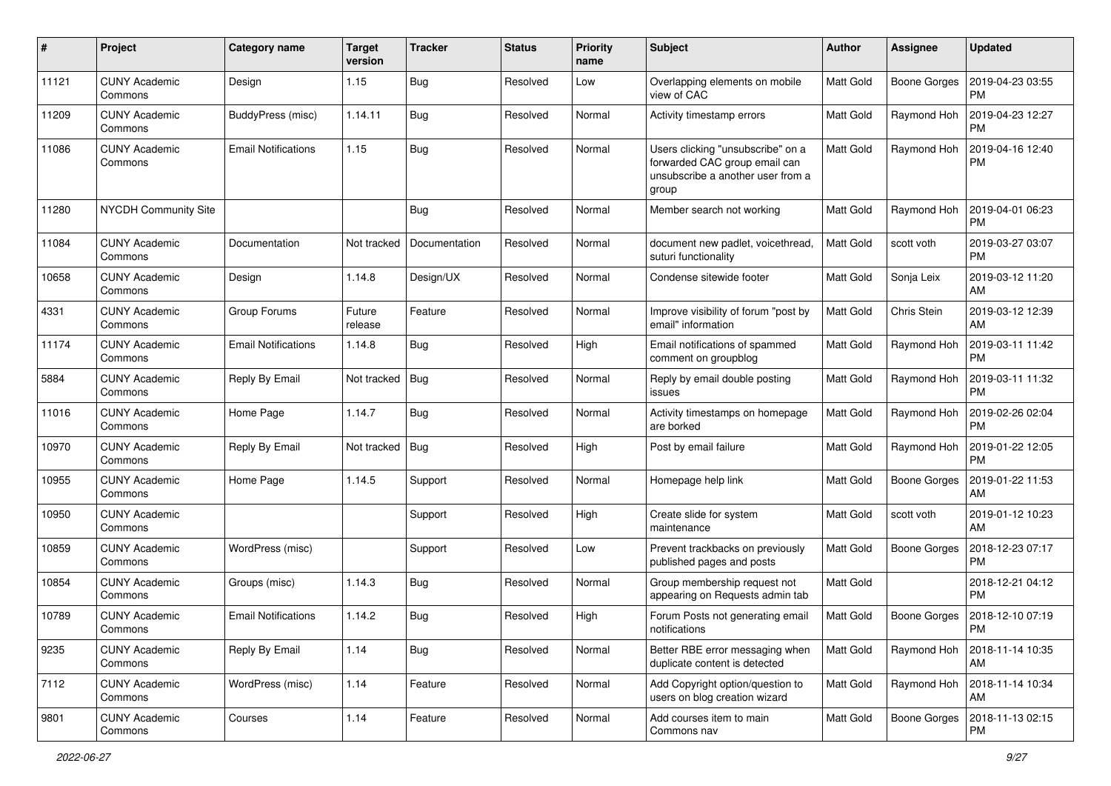| #     | Project                         | Category name              | <b>Target</b><br>version | <b>Tracker</b> | <b>Status</b> | <b>Priority</b><br>name | Subject                                                                                                          | Author           | Assignee            | <b>Updated</b>                |
|-------|---------------------------------|----------------------------|--------------------------|----------------|---------------|-------------------------|------------------------------------------------------------------------------------------------------------------|------------------|---------------------|-------------------------------|
| 11121 | <b>CUNY Academic</b><br>Commons | Design                     | 1.15                     | <b>Bug</b>     | Resolved      | Low                     | Overlapping elements on mobile<br>view of CAC                                                                    | <b>Matt Gold</b> | <b>Boone Gorges</b> | 2019-04-23 03:55<br><b>PM</b> |
| 11209 | <b>CUNY Academic</b><br>Commons | BuddyPress (misc)          | 1.14.11                  | <b>Bug</b>     | Resolved      | Normal                  | Activity timestamp errors                                                                                        | <b>Matt Gold</b> | Raymond Hoh         | 2019-04-23 12:27<br><b>PM</b> |
| 11086 | <b>CUNY Academic</b><br>Commons | <b>Email Notifications</b> | 1.15                     | <b>Bug</b>     | Resolved      | Normal                  | Users clicking "unsubscribe" on a<br>forwarded CAC group email can<br>unsubscribe a another user from a<br>group | <b>Matt Gold</b> | Raymond Hoh         | 2019-04-16 12:40<br><b>PM</b> |
| 11280 | NYCDH Community Site            |                            |                          | <b>Bug</b>     | Resolved      | Normal                  | Member search not working                                                                                        | <b>Matt Gold</b> | Raymond Hoh         | 2019-04-01 06:23<br><b>PM</b> |
| 11084 | <b>CUNY Academic</b><br>Commons | Documentation              | Not tracked              | Documentation  | Resolved      | Normal                  | document new padlet, voicethread,<br>suturi functionality                                                        | <b>Matt Gold</b> | scott voth          | 2019-03-27 03:07<br><b>PM</b> |
| 10658 | <b>CUNY Academic</b><br>Commons | Design                     | 1.14.8                   | Design/UX      | Resolved      | Normal                  | Condense sitewide footer                                                                                         | <b>Matt Gold</b> | Sonja Leix          | 2019-03-12 11:20<br>AM        |
| 4331  | <b>CUNY Academic</b><br>Commons | Group Forums               | Future<br>release        | Feature        | Resolved      | Normal                  | Improve visibility of forum "post by<br>email" information                                                       | <b>Matt Gold</b> | Chris Stein         | 2019-03-12 12:39<br>AM        |
| 11174 | <b>CUNY Academic</b><br>Commons | <b>Email Notifications</b> | 1.14.8                   | Bug            | Resolved      | High                    | Email notifications of spammed<br>comment on groupblog                                                           | <b>Matt Gold</b> | Raymond Hoh         | 2019-03-11 11:42<br><b>PM</b> |
| 5884  | <b>CUNY Academic</b><br>Commons | Reply By Email             | Not tracked              | Bug            | Resolved      | Normal                  | Reply by email double posting<br>issues                                                                          | <b>Matt Gold</b> | Raymond Hoh         | 2019-03-11 11:32<br><b>PM</b> |
| 11016 | <b>CUNY Academic</b><br>Commons | Home Page                  | 1.14.7                   | <b>Bug</b>     | Resolved      | Normal                  | Activity timestamps on homepage<br>are borked                                                                    | <b>Matt Gold</b> | Raymond Hoh         | 2019-02-26 02:04<br><b>PM</b> |
| 10970 | <b>CUNY Academic</b><br>Commons | Reply By Email             | Not tracked              | <b>Bug</b>     | Resolved      | High                    | Post by email failure                                                                                            | Matt Gold        | Raymond Hoh         | 2019-01-22 12:05<br><b>PM</b> |
| 10955 | <b>CUNY Academic</b><br>Commons | Home Page                  | 1.14.5                   | Support        | Resolved      | Normal                  | Homepage help link                                                                                               | Matt Gold        | <b>Boone Gorges</b> | 2019-01-22 11:53<br>AM        |
| 10950 | <b>CUNY Academic</b><br>Commons |                            |                          | Support        | Resolved      | High                    | Create slide for system<br>maintenance                                                                           | <b>Matt Gold</b> | scott voth          | 2019-01-12 10:23<br>AM        |
| 10859 | <b>CUNY Academic</b><br>Commons | WordPress (misc)           |                          | Support        | Resolved      | Low                     | Prevent trackbacks on previously<br>published pages and posts                                                    | <b>Matt Gold</b> | <b>Boone Gorges</b> | 2018-12-23 07:17<br><b>PM</b> |
| 10854 | <b>CUNY Academic</b><br>Commons | Groups (misc)              | 1.14.3                   | <b>Bug</b>     | Resolved      | Normal                  | Group membership request not<br>appearing on Requests admin tab                                                  | Matt Gold        |                     | 2018-12-21 04:12<br><b>PM</b> |
| 10789 | <b>CUNY Academic</b><br>Commons | <b>Email Notifications</b> | 1.14.2                   | Bug            | Resolved      | High                    | Forum Posts not generating email<br>notifications                                                                | Matt Gold        | Boone Gorges        | 2018-12-10 07:19<br>PM        |
| 9235  | <b>CUNY Academic</b><br>Commons | Reply By Email             | 1.14                     | <b>Bug</b>     | Resolved      | Normal                  | Better RBE error messaging when<br>duplicate content is detected                                                 | Matt Gold        | Raymond Hoh         | 2018-11-14 10:35<br>AM        |
| 7112  | <b>CUNY Academic</b><br>Commons | WordPress (misc)           | 1.14                     | Feature        | Resolved      | Normal                  | Add Copyright option/question to<br>users on blog creation wizard                                                | Matt Gold        | Raymond Hoh         | 2018-11-14 10:34<br>AM        |
| 9801  | <b>CUNY Academic</b><br>Commons | Courses                    | 1.14                     | Feature        | Resolved      | Normal                  | Add courses item to main<br>Commons nav                                                                          | Matt Gold        | <b>Boone Gorges</b> | 2018-11-13 02:15<br><b>PM</b> |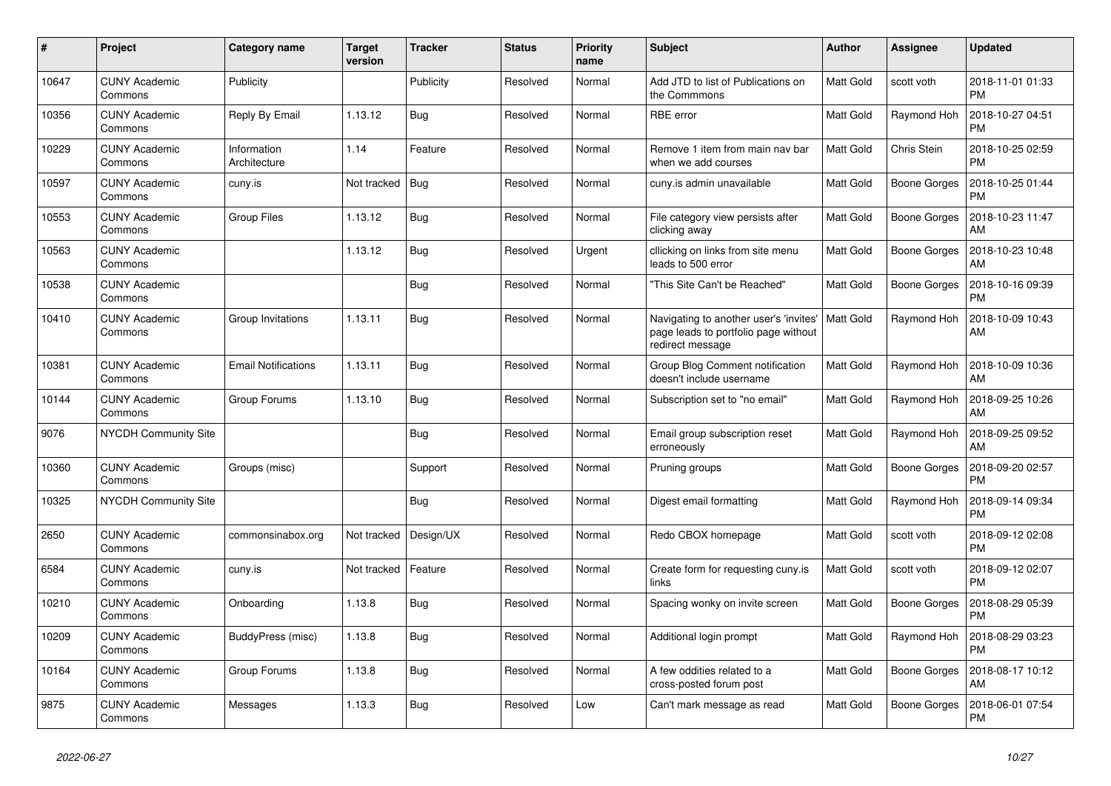| $\sharp$ | Project                         | Category name               | <b>Target</b><br>version | <b>Tracker</b> | <b>Status</b> | <b>Priority</b><br>name | <b>Subject</b>                                                                                     | <b>Author</b>    | Assignee            | <b>Updated</b>                |
|----------|---------------------------------|-----------------------------|--------------------------|----------------|---------------|-------------------------|----------------------------------------------------------------------------------------------------|------------------|---------------------|-------------------------------|
| 10647    | <b>CUNY Academic</b><br>Commons | Publicity                   |                          | Publicity      | Resolved      | Normal                  | Add JTD to list of Publications on<br>the Commmons                                                 | <b>Matt Gold</b> | scott voth          | 2018-11-01 01:33<br><b>PM</b> |
| 10356    | <b>CUNY Academic</b><br>Commons | Reply By Email              | 1.13.12                  | Bug            | Resolved      | Normal                  | <b>RBE</b> error                                                                                   | <b>Matt Gold</b> | Raymond Hoh         | 2018-10-27 04:51<br><b>PM</b> |
| 10229    | <b>CUNY Academic</b><br>Commons | Information<br>Architecture | 1.14                     | Feature        | Resolved      | Normal                  | Remove 1 item from main nav bar<br>when we add courses                                             | <b>Matt Gold</b> | Chris Stein         | 2018-10-25 02:59<br><b>PM</b> |
| 10597    | <b>CUNY Academic</b><br>Commons | cuny.is                     | Not tracked              | Bug            | Resolved      | Normal                  | cuny.is admin unavailable                                                                          | <b>Matt Gold</b> | <b>Boone Gorges</b> | 2018-10-25 01:44<br><b>PM</b> |
| 10553    | <b>CUNY Academic</b><br>Commons | <b>Group Files</b>          | 1.13.12                  | Bug            | Resolved      | Normal                  | File category view persists after<br>clicking away                                                 | Matt Gold        | <b>Boone Gorges</b> | 2018-10-23 11:47<br>AM        |
| 10563    | <b>CUNY Academic</b><br>Commons |                             | 1.13.12                  | Bug            | Resolved      | Urgent                  | cllicking on links from site menu<br>leads to 500 error                                            | <b>Matt Gold</b> | Boone Gorges        | 2018-10-23 10:48<br>AM        |
| 10538    | <b>CUNY Academic</b><br>Commons |                             |                          | <b>Bug</b>     | Resolved      | Normal                  | 'This Site Can't be Reached"                                                                       | <b>Matt Gold</b> | Boone Gorges        | 2018-10-16 09:39<br><b>PM</b> |
| 10410    | <b>CUNY Academic</b><br>Commons | Group Invitations           | 1.13.11                  | <b>Bug</b>     | Resolved      | Normal                  | Navigating to another user's 'invites'<br>page leads to portfolio page without<br>redirect message | <b>Matt Gold</b> | Raymond Hoh         | 2018-10-09 10:43<br>AM        |
| 10381    | <b>CUNY Academic</b><br>Commons | <b>Email Notifications</b>  | 1.13.11                  | Bug            | Resolved      | Normal                  | Group Blog Comment notification<br>doesn't include username                                        | Matt Gold        | Raymond Hoh         | 2018-10-09 10:36<br>AM        |
| 10144    | <b>CUNY Academic</b><br>Commons | Group Forums                | 1.13.10                  | <b>Bug</b>     | Resolved      | Normal                  | Subscription set to "no email"                                                                     | Matt Gold        | Raymond Hoh         | 2018-09-25 10:26<br>AM        |
| 9076     | <b>NYCDH Community Site</b>     |                             |                          | Bug            | Resolved      | Normal                  | Email group subscription reset<br>erroneously                                                      | <b>Matt Gold</b> | Raymond Hoh         | 2018-09-25 09:52<br>AM        |
| 10360    | <b>CUNY Academic</b><br>Commons | Groups (misc)               |                          | Support        | Resolved      | Normal                  | Pruning groups                                                                                     | Matt Gold        | <b>Boone Gorges</b> | 2018-09-20 02:57<br><b>PM</b> |
| 10325    | <b>NYCDH Community Site</b>     |                             |                          | Bug            | Resolved      | Normal                  | Digest email formatting                                                                            | Matt Gold        | Raymond Hoh         | 2018-09-14 09:34<br><b>PM</b> |
| 2650     | <b>CUNY Academic</b><br>Commons | commonsinabox.org           | Not tracked              | Design/UX      | Resolved      | Normal                  | Redo CBOX homepage                                                                                 | <b>Matt Gold</b> | scott voth          | 2018-09-12 02:08<br><b>PM</b> |
| 6584     | <b>CUNY Academic</b><br>Commons | cuny.is                     | Not tracked              | Feature        | Resolved      | Normal                  | Create form for requesting cuny.is<br>links                                                        | Matt Gold        | scott voth          | 2018-09-12 02:07<br><b>PM</b> |
| 10210    | <b>CUNY Academic</b><br>Commons | Onboarding                  | 1.13.8                   | <b>Bug</b>     | Resolved      | Normal                  | Spacing wonky on invite screen                                                                     | Matt Gold        | <b>Boone Gorges</b> | 2018-08-29 05:39<br><b>PM</b> |
| 10209    | <b>CUNY Academic</b><br>Commons | BuddyPress (misc)           | 1.13.8                   | Bug            | Resolved      | Normal                  | Additional login prompt                                                                            | <b>Matt Gold</b> | Raymond Hoh         | 2018-08-29 03:23<br><b>PM</b> |
| 10164    | <b>CUNY Academic</b><br>Commons | Group Forums                | 1.13.8                   | <b>Bug</b>     | Resolved      | Normal                  | A few oddities related to a<br>cross-posted forum post                                             | <b>Matt Gold</b> | Boone Gorges        | 2018-08-17 10:12<br>AM        |
| 9875     | <b>CUNY Academic</b><br>Commons | Messages                    | 1.13.3                   | Bug            | Resolved      | Low                     | Can't mark message as read                                                                         | Matt Gold        | <b>Boone Gorges</b> | 2018-06-01 07:54<br>PM        |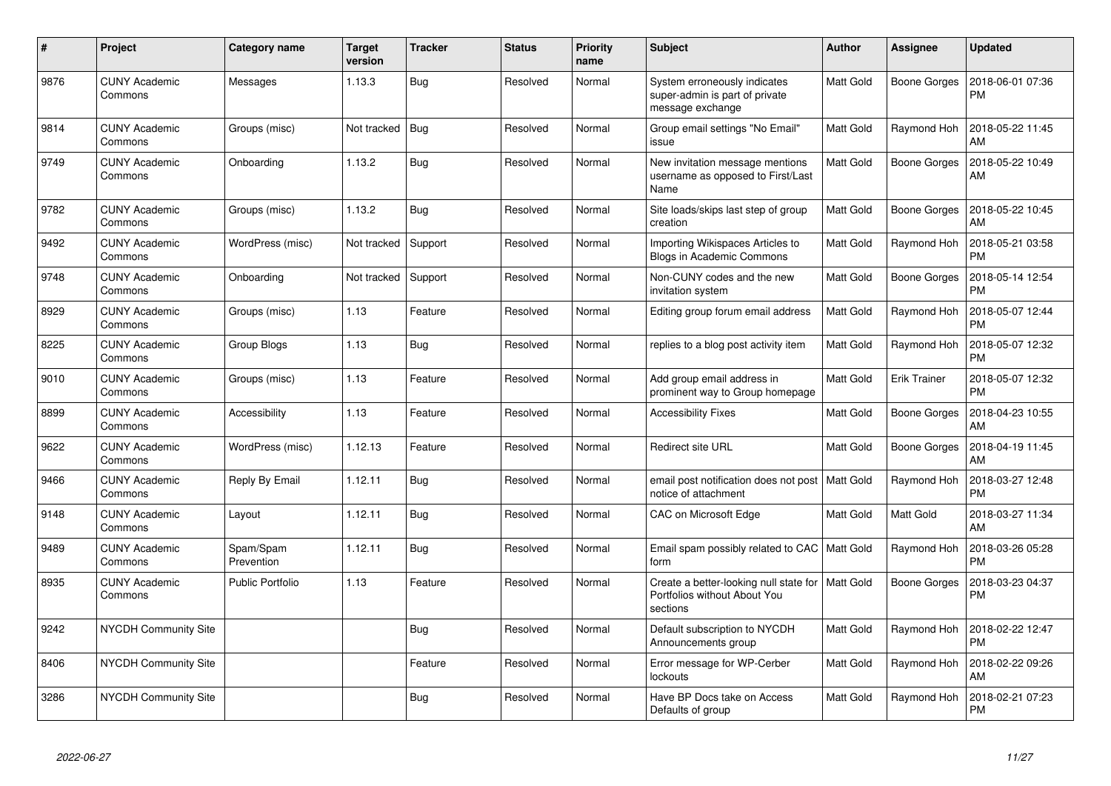| $\pmb{\sharp}$ | Project                         | Category name           | <b>Target</b><br>version | <b>Tracker</b> | <b>Status</b> | <b>Priority</b><br>name | <b>Subject</b>                                                                     | <b>Author</b>    | Assignee            | <b>Updated</b>                |
|----------------|---------------------------------|-------------------------|--------------------------|----------------|---------------|-------------------------|------------------------------------------------------------------------------------|------------------|---------------------|-------------------------------|
| 9876           | <b>CUNY Academic</b><br>Commons | Messages                | 1.13.3                   | Bug            | Resolved      | Normal                  | System erroneously indicates<br>super-admin is part of private<br>message exchange | <b>Matt Gold</b> | Boone Gorges        | 2018-06-01 07:36<br><b>PM</b> |
| 9814           | <b>CUNY Academic</b><br>Commons | Groups (misc)           | Not tracked              | Bug            | Resolved      | Normal                  | Group email settings "No Email"<br>issue                                           | <b>Matt Gold</b> | Raymond Hoh         | 2018-05-22 11:45<br>AM        |
| 9749           | <b>CUNY Academic</b><br>Commons | Onboarding              | 1.13.2                   | Bug            | Resolved      | Normal                  | New invitation message mentions<br>username as opposed to First/Last<br>Name       | Matt Gold        | <b>Boone Gorges</b> | 2018-05-22 10:49<br>AM        |
| 9782           | <b>CUNY Academic</b><br>Commons | Groups (misc)           | 1.13.2                   | Bug            | Resolved      | Normal                  | Site loads/skips last step of group<br>creation                                    | Matt Gold        | Boone Gorges        | 2018-05-22 10:45<br>AM        |
| 9492           | <b>CUNY Academic</b><br>Commons | WordPress (misc)        | Not tracked              | Support        | Resolved      | Normal                  | Importing Wikispaces Articles to<br>Blogs in Academic Commons                      | Matt Gold        | Raymond Hoh         | 2018-05-21 03:58<br><b>PM</b> |
| 9748           | <b>CUNY Academic</b><br>Commons | Onboarding              | Not tracked              | Support        | Resolved      | Normal                  | Non-CUNY codes and the new<br>invitation system                                    | <b>Matt Gold</b> | <b>Boone Gorges</b> | 2018-05-14 12:54<br><b>PM</b> |
| 8929           | <b>CUNY Academic</b><br>Commons | Groups (misc)           | 1.13                     | Feature        | Resolved      | Normal                  | Editing group forum email address                                                  | <b>Matt Gold</b> | Raymond Hoh         | 2018-05-07 12:44<br><b>PM</b> |
| 8225           | <b>CUNY Academic</b><br>Commons | Group Blogs             | 1.13                     | <b>Bug</b>     | Resolved      | Normal                  | replies to a blog post activity item                                               | Matt Gold        | Raymond Hoh         | 2018-05-07 12:32<br><b>PM</b> |
| 9010           | <b>CUNY Academic</b><br>Commons | Groups (misc)           | 1.13                     | Feature        | Resolved      | Normal                  | Add group email address in<br>prominent way to Group homepage                      | Matt Gold        | Erik Trainer        | 2018-05-07 12:32<br><b>PM</b> |
| 8899           | <b>CUNY Academic</b><br>Commons | Accessibility           | 1.13                     | Feature        | Resolved      | Normal                  | <b>Accessibility Fixes</b>                                                         | Matt Gold        | Boone Gorges        | 2018-04-23 10:55<br>AM        |
| 9622           | <b>CUNY Academic</b><br>Commons | WordPress (misc)        | 1.12.13                  | Feature        | Resolved      | Normal                  | Redirect site URL                                                                  | Matt Gold        | Boone Gorges        | 2018-04-19 11:45<br>AM        |
| 9466           | <b>CUNY Academic</b><br>Commons | Reply By Email          | 1.12.11                  | Bug            | Resolved      | Normal                  | email post notification does not post   Matt Gold<br>notice of attachment          |                  | Raymond Hoh         | 2018-03-27 12:48<br><b>PM</b> |
| 9148           | <b>CUNY Academic</b><br>Commons | Layout                  | 1.12.11                  | <b>Bug</b>     | Resolved      | Normal                  | <b>CAC on Microsoft Edge</b>                                                       | <b>Matt Gold</b> | Matt Gold           | 2018-03-27 11:34<br>AM        |
| 9489           | <b>CUNY Academic</b><br>Commons | Spam/Spam<br>Prevention | 1.12.11                  | Bug            | Resolved      | Normal                  | Email spam possibly related to CAC   Matt Gold<br>form                             |                  | Raymond Hoh         | 2018-03-26 05:28<br><b>PM</b> |
| 8935           | <b>CUNY Academic</b><br>Commons | <b>Public Portfolio</b> | 1.13                     | Feature        | Resolved      | Normal                  | Create a better-looking null state for<br>Portfolios without About You<br>sections | <b>Matt Gold</b> | <b>Boone Gorges</b> | 2018-03-23 04:37<br><b>PM</b> |
| 9242           | <b>NYCDH Community Site</b>     |                         |                          | Bug            | Resolved      | Normal                  | Default subscription to NYCDH<br>Announcements group                               | Matt Gold        | Raymond Hoh         | 2018-02-22 12:47<br><b>PM</b> |
| 8406           | <b>NYCDH Community Site</b>     |                         |                          | Feature        | Resolved      | Normal                  | Error message for WP-Cerber<br>lockouts                                            | <b>Matt Gold</b> | Raymond Hoh         | 2018-02-22 09:26<br>AM        |
| 3286           | <b>NYCDH Community Site</b>     |                         |                          | Bug            | Resolved      | Normal                  | Have BP Docs take on Access<br>Defaults of group                                   | Matt Gold        | Raymond Hoh         | 2018-02-21 07:23<br><b>PM</b> |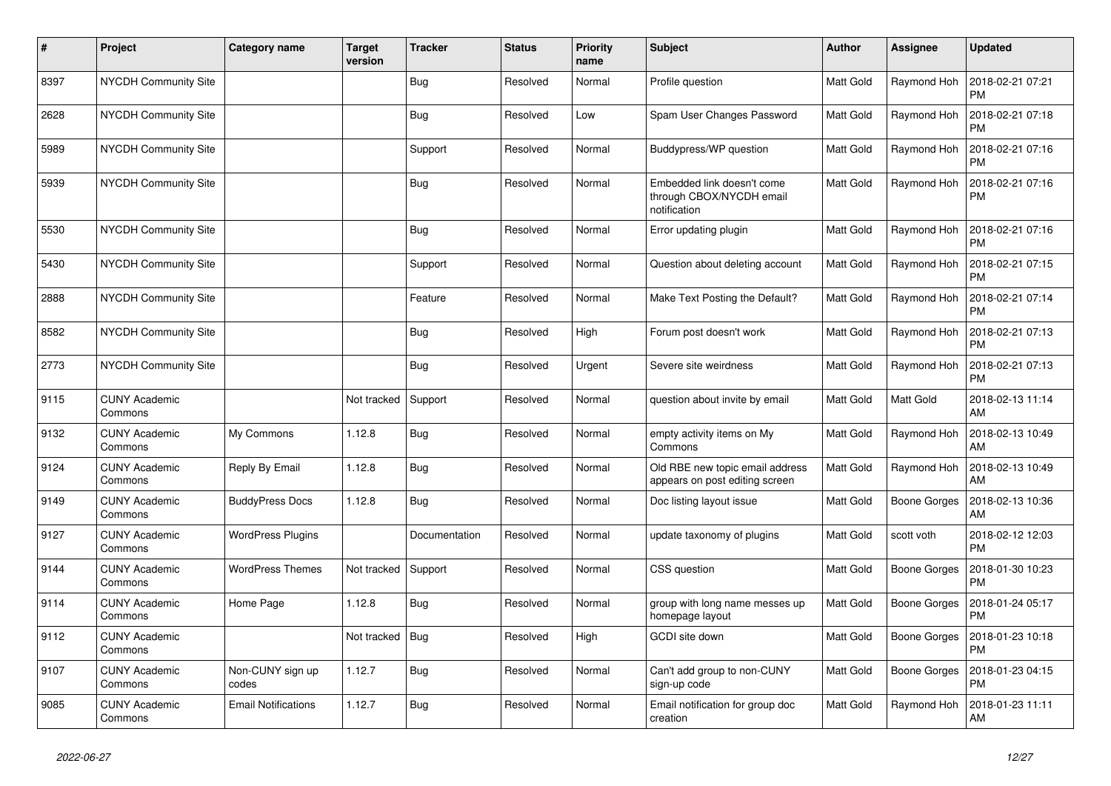| $\vert$ # | Project                         | Category name              | Target<br>version | <b>Tracker</b> | <b>Status</b> | <b>Priority</b><br>name | <b>Subject</b>                                                         | <b>Author</b>    | Assignee            | <b>Updated</b>                |
|-----------|---------------------------------|----------------------------|-------------------|----------------|---------------|-------------------------|------------------------------------------------------------------------|------------------|---------------------|-------------------------------|
| 8397      | <b>NYCDH Community Site</b>     |                            |                   | Bug            | Resolved      | Normal                  | Profile question                                                       | <b>Matt Gold</b> | Raymond Hoh         | 2018-02-21 07:21<br>PM        |
| 2628      | NYCDH Community Site            |                            |                   | Bug            | Resolved      | Low                     | Spam User Changes Password                                             | Matt Gold        | Raymond Hoh         | 2018-02-21 07:18<br><b>PM</b> |
| 5989      | <b>NYCDH Community Site</b>     |                            |                   | Support        | Resolved      | Normal                  | Buddypress/WP question                                                 | <b>Matt Gold</b> | Raymond Hoh         | 2018-02-21 07:16<br><b>PM</b> |
| 5939      | NYCDH Community Site            |                            |                   | <b>Bug</b>     | Resolved      | Normal                  | Embedded link doesn't come<br>through CBOX/NYCDH email<br>notification | <b>Matt Gold</b> | Raymond Hoh         | 2018-02-21 07:16<br><b>PM</b> |
| 5530      | <b>NYCDH Community Site</b>     |                            |                   | Bug            | Resolved      | Normal                  | Error updating plugin                                                  | <b>Matt Gold</b> | Raymond Hoh         | 2018-02-21 07:16<br><b>PM</b> |
| 5430      | NYCDH Community Site            |                            |                   | Support        | Resolved      | Normal                  | Question about deleting account                                        | <b>Matt Gold</b> | Raymond Hoh         | 2018-02-21 07:15<br><b>PM</b> |
| 2888      | NYCDH Community Site            |                            |                   | Feature        | Resolved      | Normal                  | Make Text Posting the Default?                                         | <b>Matt Gold</b> | Raymond Hoh         | 2018-02-21 07:14<br><b>PM</b> |
| 8582      | <b>NYCDH Community Site</b>     |                            |                   | <b>Bug</b>     | Resolved      | High                    | Forum post doesn't work                                                | Matt Gold        | Raymond Hoh         | 2018-02-21 07:13<br><b>PM</b> |
| 2773      | NYCDH Community Site            |                            |                   | Bug            | Resolved      | Urgent                  | Severe site weirdness                                                  | Matt Gold        | Raymond Hoh         | 2018-02-21 07:13<br><b>PM</b> |
| 9115      | <b>CUNY Academic</b><br>Commons |                            | Not tracked       | Support        | Resolved      | Normal                  | question about invite by email                                         | Matt Gold        | Matt Gold           | 2018-02-13 11:14<br>AM        |
| 9132      | <b>CUNY Academic</b><br>Commons | My Commons                 | 1.12.8            | <b>Bug</b>     | Resolved      | Normal                  | empty activity items on My<br>Commons                                  | <b>Matt Gold</b> | Raymond Hoh         | 2018-02-13 10:49<br>AM        |
| 9124      | <b>CUNY Academic</b><br>Commons | Reply By Email             | 1.12.8            | Bug            | Resolved      | Normal                  | Old RBE new topic email address<br>appears on post editing screen      | <b>Matt Gold</b> | Raymond Hoh         | 2018-02-13 10:49<br>AM        |
| 9149      | <b>CUNY Academic</b><br>Commons | <b>BuddyPress Docs</b>     | 1.12.8            | <b>Bug</b>     | Resolved      | Normal                  | Doc listing layout issue                                               | <b>Matt Gold</b> | <b>Boone Gorges</b> | 2018-02-13 10:36<br>AM        |
| 9127      | <b>CUNY Academic</b><br>Commons | <b>WordPress Plugins</b>   |                   | Documentation  | Resolved      | Normal                  | update taxonomy of plugins                                             | <b>Matt Gold</b> | scott voth          | 2018-02-12 12:03<br><b>PM</b> |
| 9144      | <b>CUNY Academic</b><br>Commons | <b>WordPress Themes</b>    | Not tracked       | Support        | Resolved      | Normal                  | CSS question                                                           | Matt Gold        | Boone Gorges        | 2018-01-30 10:23<br><b>PM</b> |
| 9114      | <b>CUNY Academic</b><br>Commons | Home Page                  | 1.12.8            | <b>Bug</b>     | Resolved      | Normal                  | group with long name messes up<br>homepage layout                      | <b>Matt Gold</b> | <b>Boone Gorges</b> | 2018-01-24 05:17<br><b>PM</b> |
| 9112      | <b>CUNY Academic</b><br>Commons |                            | Not tracked       | Bug            | Resolved      | High                    | GCDI site down                                                         | <b>Matt Gold</b> | Boone Gorges        | 2018-01-23 10:18<br><b>PM</b> |
| 9107      | <b>CUNY Academic</b><br>Commons | Non-CUNY sign up<br>codes  | 1.12.7            | <b>Bug</b>     | Resolved      | Normal                  | Can't add group to non-CUNY<br>sign-up code                            | <b>Matt Gold</b> | Boone Gorges        | 2018-01-23 04:15<br>PM        |
| 9085      | <b>CUNY Academic</b><br>Commons | <b>Email Notifications</b> | 1.12.7            | Bug            | Resolved      | Normal                  | Email notification for group doc<br>creation                           | <b>Matt Gold</b> | Raymond Hoh         | 2018-01-23 11:11<br>AM        |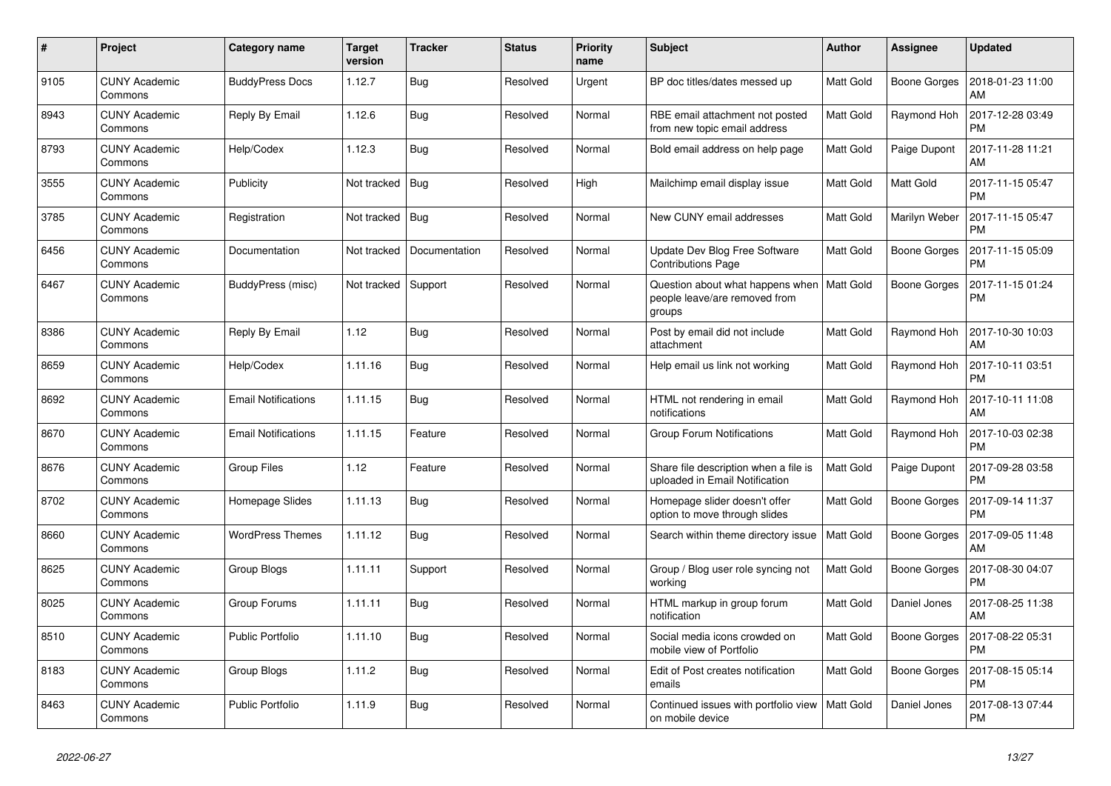| $\#$ | Project                         | Category name              | <b>Target</b><br>version | <b>Tracker</b> | <b>Status</b> | <b>Priority</b><br>name | <b>Subject</b>                                                              | <b>Author</b>    | Assignee      | <b>Updated</b>                |
|------|---------------------------------|----------------------------|--------------------------|----------------|---------------|-------------------------|-----------------------------------------------------------------------------|------------------|---------------|-------------------------------|
| 9105 | <b>CUNY Academic</b><br>Commons | <b>BuddyPress Docs</b>     | 1.12.7                   | Bug            | Resolved      | Urgent                  | BP doc titles/dates messed up                                               | <b>Matt Gold</b> | Boone Gorges  | 2018-01-23 11:00<br><b>AM</b> |
| 8943 | <b>CUNY Academic</b><br>Commons | Reply By Email             | 1.12.6                   | <b>Bug</b>     | Resolved      | Normal                  | RBE email attachment not posted<br>from new topic email address             | <b>Matt Gold</b> | Raymond Hoh   | 2017-12-28 03:49<br><b>PM</b> |
| 8793 | <b>CUNY Academic</b><br>Commons | Help/Codex                 | 1.12.3                   | Bug            | Resolved      | Normal                  | Bold email address on help page                                             | Matt Gold        | Paige Dupont  | 2017-11-28 11:21<br>AM        |
| 3555 | <b>CUNY Academic</b><br>Commons | Publicity                  | Not tracked              | <b>Bug</b>     | Resolved      | High                    | Mailchimp email display issue                                               | Matt Gold        | Matt Gold     | 2017-11-15 05:47<br><b>PM</b> |
| 3785 | <b>CUNY Academic</b><br>Commons | Registration               | Not tracked              | Bug            | Resolved      | Normal                  | New CUNY email addresses                                                    | <b>Matt Gold</b> | Marilyn Weber | 2017-11-15 05:47<br>PM        |
| 6456 | <b>CUNY Academic</b><br>Commons | Documentation              | Not tracked              | Documentation  | Resolved      | Normal                  | Update Dev Blog Free Software<br><b>Contributions Page</b>                  | Matt Gold        | Boone Gorges  | 2017-11-15 05:09<br><b>PM</b> |
| 6467 | <b>CUNY Academic</b><br>Commons | BuddyPress (misc)          | Not tracked Support      |                | Resolved      | Normal                  | Question about what happens when<br>people leave/are removed from<br>groups | Matt Gold        | Boone Gorges  | 2017-11-15 01:24<br><b>PM</b> |
| 8386 | <b>CUNY Academic</b><br>Commons | Reply By Email             | 1.12                     | <b>Bug</b>     | Resolved      | Normal                  | Post by email did not include<br>attachment                                 | <b>Matt Gold</b> | Raymond Hoh   | 2017-10-30 10:03<br>AM        |
| 8659 | <b>CUNY Academic</b><br>Commons | Help/Codex                 | 1.11.16                  | <b>Bug</b>     | Resolved      | Normal                  | Help email us link not working                                              | <b>Matt Gold</b> | Raymond Hoh   | 2017-10-11 03:51<br><b>PM</b> |
| 8692 | <b>CUNY Academic</b><br>Commons | <b>Email Notifications</b> | 1.11.15                  | Bug            | Resolved      | Normal                  | HTML not rendering in email<br>notifications                                | Matt Gold        | Raymond Hoh   | 2017-10-11 11:08<br>AM        |
| 8670 | <b>CUNY Academic</b><br>Commons | <b>Email Notifications</b> | 1.11.15                  | Feature        | Resolved      | Normal                  | <b>Group Forum Notifications</b>                                            | Matt Gold        | Raymond Hoh   | 2017-10-03 02:38<br><b>PM</b> |
| 8676 | <b>CUNY Academic</b><br>Commons | <b>Group Files</b>         | 1.12                     | Feature        | Resolved      | Normal                  | Share file description when a file is<br>uploaded in Email Notification     | <b>Matt Gold</b> | Paige Dupont  | 2017-09-28 03:58<br><b>PM</b> |
| 8702 | <b>CUNY Academic</b><br>Commons | Homepage Slides            | 1.11.13                  | Bug            | Resolved      | Normal                  | Homepage slider doesn't offer<br>option to move through slides              | <b>Matt Gold</b> | Boone Gorges  | 2017-09-14 11:37<br><b>PM</b> |
| 8660 | <b>CUNY Academic</b><br>Commons | <b>WordPress Themes</b>    | 1.11.12                  | Bug            | Resolved      | Normal                  | Search within theme directory issue                                         | Matt Gold        | Boone Gorges  | 2017-09-05 11:48<br>AM        |
| 8625 | <b>CUNY Academic</b><br>Commons | Group Blogs                | 1.11.11                  | Support        | Resolved      | Normal                  | Group / Blog user role syncing not<br>working                               | <b>Matt Gold</b> | Boone Gorges  | 2017-08-30 04:07<br><b>PM</b> |
| 8025 | <b>CUNY Academic</b><br>Commons | Group Forums               | 1.11.11                  | Bug            | Resolved      | Normal                  | HTML markup in group forum<br>notification                                  | <b>Matt Gold</b> | Daniel Jones  | 2017-08-25 11:38<br>AM        |
| 8510 | <b>CUNY Academic</b><br>Commons | <b>Public Portfolio</b>    | 1.11.10                  | <b>Bug</b>     | Resolved      | Normal                  | Social media icons crowded on<br>mobile view of Portfolio                   | Matt Gold        | Boone Gorges  | 2017-08-22 05:31<br><b>PM</b> |
| 8183 | <b>CUNY Academic</b><br>Commons | Group Blogs                | 1.11.2                   | <b>Bug</b>     | Resolved      | Normal                  | Edit of Post creates notification<br>emails                                 | <b>Matt Gold</b> | Boone Gorges  | 2017-08-15 05:14<br><b>PM</b> |
| 8463 | <b>CUNY Academic</b><br>Commons | <b>Public Portfolio</b>    | 1.11.9                   | Bug            | Resolved      | Normal                  | Continued issues with portfolio view   Matt Gold<br>on mobile device        |                  | Daniel Jones  | 2017-08-13 07:44<br><b>PM</b> |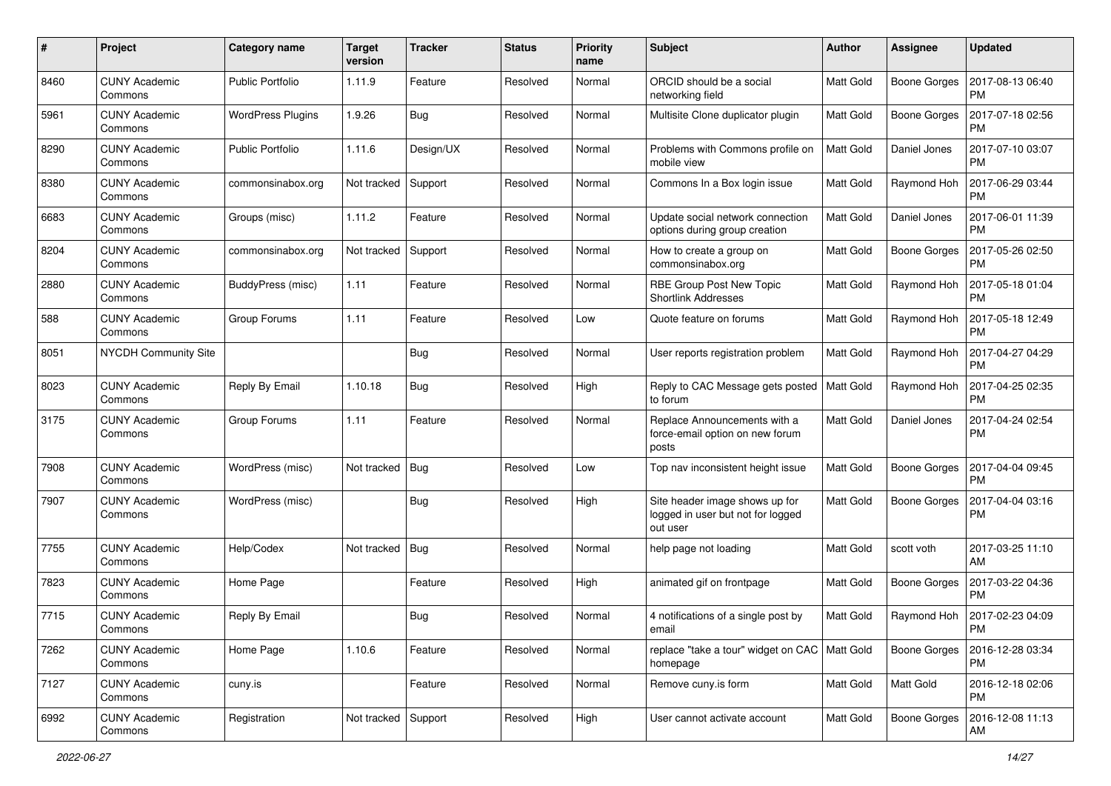| #    | Project                         | Category name            | <b>Target</b><br>version | <b>Tracker</b> | <b>Status</b> | <b>Priority</b><br>name | <b>Subject</b>                                                                  | <b>Author</b>    | <b>Assignee</b>     | <b>Updated</b>                |
|------|---------------------------------|--------------------------|--------------------------|----------------|---------------|-------------------------|---------------------------------------------------------------------------------|------------------|---------------------|-------------------------------|
| 8460 | <b>CUNY Academic</b><br>Commons | <b>Public Portfolio</b>  | 1.11.9                   | Feature        | Resolved      | Normal                  | ORCID should be a social<br>networking field                                    | <b>Matt Gold</b> | <b>Boone Gorges</b> | 2017-08-13 06:40<br><b>PM</b> |
| 5961 | <b>CUNY Academic</b><br>Commons | <b>WordPress Plugins</b> | 1.9.26                   | Bug            | Resolved      | Normal                  | Multisite Clone duplicator plugin                                               | <b>Matt Gold</b> | <b>Boone Gorges</b> | 2017-07-18 02:56<br><b>PM</b> |
| 8290 | <b>CUNY Academic</b><br>Commons | <b>Public Portfolio</b>  | 1.11.6                   | Design/UX      | Resolved      | Normal                  | Problems with Commons profile on<br>mobile view                                 | <b>Matt Gold</b> | Daniel Jones        | 2017-07-10 03:07<br><b>PM</b> |
| 8380 | <b>CUNY Academic</b><br>Commons | commonsinabox.org        | Not tracked              | Support        | Resolved      | Normal                  | Commons In a Box login issue                                                    | Matt Gold        | Raymond Hoh         | 2017-06-29 03:44<br><b>PM</b> |
| 6683 | <b>CUNY Academic</b><br>Commons | Groups (misc)            | 1.11.2                   | Feature        | Resolved      | Normal                  | Update social network connection<br>options during group creation               | <b>Matt Gold</b> | Daniel Jones        | 2017-06-01 11:39<br>PM        |
| 8204 | <b>CUNY Academic</b><br>Commons | commonsinabox.org        | Not tracked              | Support        | Resolved      | Normal                  | How to create a group on<br>commonsinabox.org                                   | Matt Gold        | Boone Gorges        | 2017-05-26 02:50<br><b>PM</b> |
| 2880 | <b>CUNY Academic</b><br>Commons | BuddyPress (misc)        | 1.11                     | Feature        | Resolved      | Normal                  | RBE Group Post New Topic<br><b>Shortlink Addresses</b>                          | Matt Gold        | Raymond Hoh         | 2017-05-18 01:04<br><b>PM</b> |
| 588  | <b>CUNY Academic</b><br>Commons | Group Forums             | 1.11                     | Feature        | Resolved      | Low                     | Quote feature on forums                                                         | <b>Matt Gold</b> | Raymond Hoh         | 2017-05-18 12:49<br><b>PM</b> |
| 8051 | NYCDH Community Site            |                          |                          | <b>Bug</b>     | Resolved      | Normal                  | User reports registration problem                                               | Matt Gold        | Raymond Hoh         | 2017-04-27 04:29<br><b>PM</b> |
| 8023 | <b>CUNY Academic</b><br>Commons | Reply By Email           | 1.10.18                  | <b>Bug</b>     | Resolved      | High                    | Reply to CAC Message gets posted<br>to forum                                    | Matt Gold        | Raymond Hoh         | 2017-04-25 02:35<br><b>PM</b> |
| 3175 | <b>CUNY Academic</b><br>Commons | Group Forums             | 1.11                     | Feature        | Resolved      | Normal                  | Replace Announcements with a<br>force-email option on new forum<br>posts        | <b>Matt Gold</b> | Daniel Jones        | 2017-04-24 02:54<br><b>PM</b> |
| 7908 | <b>CUNY Academic</b><br>Commons | WordPress (misc)         | Not tracked              | Bug            | Resolved      | Low                     | Top nav inconsistent height issue                                               | Matt Gold        | <b>Boone Gorges</b> | 2017-04-04 09:45<br><b>PM</b> |
| 7907 | <b>CUNY Academic</b><br>Commons | WordPress (misc)         |                          | <b>Bug</b>     | Resolved      | High                    | Site header image shows up for<br>logged in user but not for logged<br>out user | <b>Matt Gold</b> | <b>Boone Gorges</b> | 2017-04-04 03:16<br><b>PM</b> |
| 7755 | <b>CUNY Academic</b><br>Commons | Help/Codex               | Not tracked              | Bug            | Resolved      | Normal                  | help page not loading                                                           | <b>Matt Gold</b> | scott voth          | 2017-03-25 11:10<br>AM        |
| 7823 | <b>CUNY Academic</b><br>Commons | Home Page                |                          | Feature        | Resolved      | High                    | animated gif on frontpage                                                       | <b>Matt Gold</b> | <b>Boone Gorges</b> | 2017-03-22 04:36<br><b>PM</b> |
| 7715 | <b>CUNY Academic</b><br>Commons | Reply By Email           |                          | <b>Bug</b>     | Resolved      | Normal                  | 4 notifications of a single post by<br>email                                    | Matt Gold        | Raymond Hoh         | 2017-02-23 04:09<br>PM        |
| 7262 | <b>CUNY Academic</b><br>Commons | Home Page                | 1.10.6                   | Feature        | Resolved      | Normal                  | replace "take a tour" widget on CAC   Matt Gold<br>homepage                     |                  | <b>Boone Gorges</b> | 2016-12-28 03:34<br>PM        |
| 7127 | <b>CUNY Academic</b><br>Commons | cuny.is                  |                          | Feature        | Resolved      | Normal                  | Remove cuny.is form                                                             | Matt Gold        | Matt Gold           | 2016-12-18 02:06<br><b>PM</b> |
| 6992 | <b>CUNY Academic</b><br>Commons | Registration             | Not tracked Support      |                | Resolved      | High                    | User cannot activate account                                                    | Matt Gold        | <b>Boone Gorges</b> | 2016-12-08 11:13<br>AM        |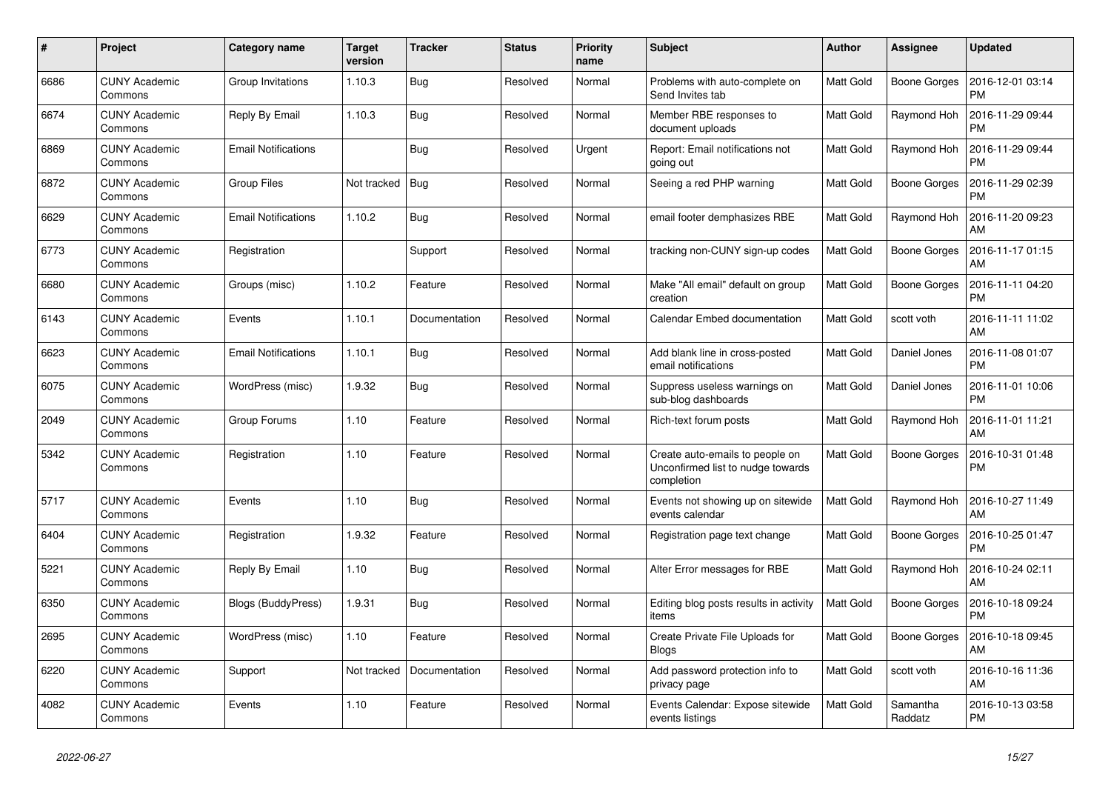| #    | Project                         | Category name              | <b>Target</b><br>version | <b>Tracker</b> | <b>Status</b> | Priority<br>name | <b>Subject</b>                                                                     | <b>Author</b>    | Assignee            | <b>Updated</b>                |
|------|---------------------------------|----------------------------|--------------------------|----------------|---------------|------------------|------------------------------------------------------------------------------------|------------------|---------------------|-------------------------------|
| 6686 | <b>CUNY Academic</b><br>Commons | Group Invitations          | 1.10.3                   | Bug            | Resolved      | Normal           | Problems with auto-complete on<br>Send Invites tab                                 | <b>Matt Gold</b> | <b>Boone Gorges</b> | 2016-12-01 03:14<br><b>PM</b> |
| 6674 | <b>CUNY Academic</b><br>Commons | Reply By Email             | 1.10.3                   | Bug            | Resolved      | Normal           | Member RBE responses to<br>document uploads                                        | <b>Matt Gold</b> | Raymond Hoh         | 2016-11-29 09:44<br><b>PM</b> |
| 6869 | <b>CUNY Academic</b><br>Commons | <b>Email Notifications</b> |                          | <b>Bug</b>     | Resolved      | Urgent           | Report: Email notifications not<br>going out                                       | <b>Matt Gold</b> | Raymond Hoh         | 2016-11-29 09:44<br><b>PM</b> |
| 6872 | <b>CUNY Academic</b><br>Commons | <b>Group Files</b>         | Not tracked              | Bug            | Resolved      | Normal           | Seeing a red PHP warning                                                           | Matt Gold        | <b>Boone Gorges</b> | 2016-11-29 02:39<br><b>PM</b> |
| 6629 | <b>CUNY Academic</b><br>Commons | <b>Email Notifications</b> | 1.10.2                   | Bug            | Resolved      | Normal           | email footer demphasizes RBE                                                       | Matt Gold        | Raymond Hoh         | 2016-11-20 09:23<br>AM        |
| 6773 | <b>CUNY Academic</b><br>Commons | Registration               |                          | Support        | Resolved      | Normal           | tracking non-CUNY sign-up codes                                                    | <b>Matt Gold</b> | <b>Boone Gorges</b> | 2016-11-17 01:15<br>AM        |
| 6680 | <b>CUNY Academic</b><br>Commons | Groups (misc)              | 1.10.2                   | Feature        | Resolved      | Normal           | Make "All email" default on group<br>creation                                      | <b>Matt Gold</b> | Boone Gorges        | 2016-11-11 04:20<br><b>PM</b> |
| 6143 | <b>CUNY Academic</b><br>Commons | Events                     | 1.10.1                   | Documentation  | Resolved      | Normal           | Calendar Embed documentation                                                       | <b>Matt Gold</b> | scott voth          | 2016-11-11 11:02<br>AM        |
| 6623 | <b>CUNY Academic</b><br>Commons | <b>Email Notifications</b> | 1.10.1                   | <b>Bug</b>     | Resolved      | Normal           | Add blank line in cross-posted<br>email notifications                              | <b>Matt Gold</b> | Daniel Jones        | 2016-11-08 01:07<br><b>PM</b> |
| 6075 | <b>CUNY Academic</b><br>Commons | WordPress (misc)           | 1.9.32                   | Bug            | Resolved      | Normal           | Suppress useless warnings on<br>sub-blog dashboards                                | <b>Matt Gold</b> | Daniel Jones        | 2016-11-01 10:06<br><b>PM</b> |
| 2049 | <b>CUNY Academic</b><br>Commons | Group Forums               | 1.10                     | Feature        | Resolved      | Normal           | Rich-text forum posts                                                              | <b>Matt Gold</b> | Raymond Hoh         | 2016-11-01 11:21<br>AM        |
| 5342 | <b>CUNY Academic</b><br>Commons | Registration               | 1.10                     | Feature        | Resolved      | Normal           | Create auto-emails to people on<br>Unconfirmed list to nudge towards<br>completion | <b>Matt Gold</b> | <b>Boone Gorges</b> | 2016-10-31 01:48<br><b>PM</b> |
| 5717 | <b>CUNY Academic</b><br>Commons | Events                     | 1.10                     | <b>Bug</b>     | Resolved      | Normal           | Events not showing up on sitewide<br>events calendar                               | Matt Gold        | Raymond Hoh         | 2016-10-27 11:49<br>AM        |
| 6404 | <b>CUNY Academic</b><br>Commons | Registration               | 1.9.32                   | Feature        | Resolved      | Normal           | Registration page text change                                                      | <b>Matt Gold</b> | <b>Boone Gorges</b> | 2016-10-25 01:47<br><b>PM</b> |
| 5221 | <b>CUNY Academic</b><br>Commons | Reply By Email             | 1.10                     | Bug            | Resolved      | Normal           | Alter Error messages for RBE                                                       | <b>Matt Gold</b> | Raymond Hoh         | 2016-10-24 02:11<br>AM        |
| 6350 | <b>CUNY Academic</b><br>Commons | Blogs (BuddyPress)         | 1.9.31                   | Bug            | Resolved      | Normal           | Editing blog posts results in activity<br>items                                    | Matt Gold        | <b>Boone Gorges</b> | 2016-10-18 09:24<br><b>PM</b> |
| 2695 | <b>CUNY Academic</b><br>Commons | WordPress (misc)           | 1.10                     | Feature        | Resolved      | Normal           | Create Private File Uploads for<br><b>Blogs</b>                                    | <b>Matt Gold</b> | Boone Gorges        | 2016-10-18 09:45<br>AM        |
| 6220 | <b>CUNY Academic</b><br>Commons | Support                    | Not tracked              | Documentation  | Resolved      | Normal           | Add password protection info to<br>privacy page                                    | <b>Matt Gold</b> | scott voth          | 2016-10-16 11:36<br>AM        |
| 4082 | <b>CUNY Academic</b><br>Commons | Events                     | 1.10                     | Feature        | Resolved      | Normal           | Events Calendar: Expose sitewide<br>events listings                                | <b>Matt Gold</b> | Samantha<br>Raddatz | 2016-10-13 03:58<br><b>PM</b> |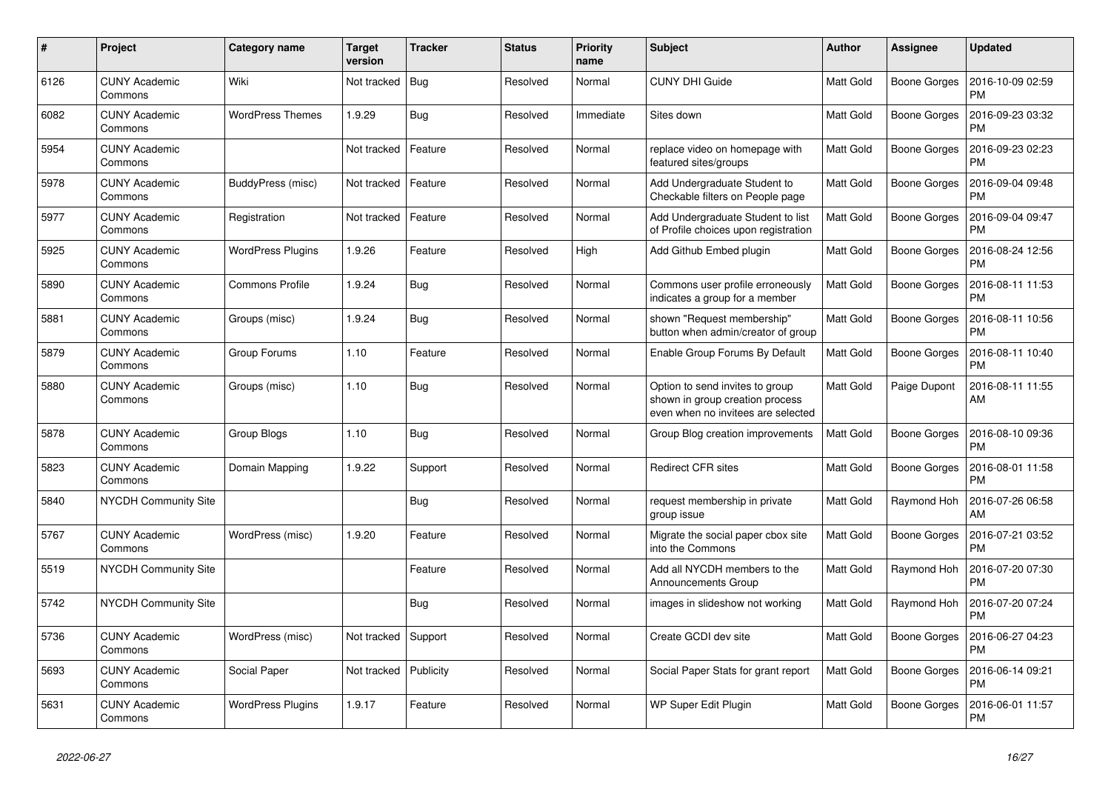| #    | Project                         | Category name            | <b>Target</b><br>version | <b>Tracker</b> | <b>Status</b> | <b>Priority</b><br>name | <b>Subject</b>                                                                                           | <b>Author</b>    | <b>Assignee</b>     | <b>Updated</b>                |
|------|---------------------------------|--------------------------|--------------------------|----------------|---------------|-------------------------|----------------------------------------------------------------------------------------------------------|------------------|---------------------|-------------------------------|
| 6126 | <b>CUNY Academic</b><br>Commons | Wiki                     | Not tracked              | Bug            | Resolved      | Normal                  | <b>CUNY DHI Guide</b>                                                                                    | <b>Matt Gold</b> | Boone Gorges        | 2016-10-09 02:59<br><b>PM</b> |
| 6082 | <b>CUNY Academic</b><br>Commons | <b>WordPress Themes</b>  | 1.9.29                   | Bug            | Resolved      | Immediate               | Sites down                                                                                               | Matt Gold        | Boone Gorges        | 2016-09-23 03:32<br><b>PM</b> |
| 5954 | <b>CUNY Academic</b><br>Commons |                          | Not tracked              | Feature        | Resolved      | Normal                  | replace video on homepage with<br>featured sites/groups                                                  | <b>Matt Gold</b> | Boone Gorges        | 2016-09-23 02:23<br><b>PM</b> |
| 5978 | <b>CUNY Academic</b><br>Commons | BuddyPress (misc)        | Not tracked              | Feature        | Resolved      | Normal                  | Add Undergraduate Student to<br>Checkable filters on People page                                         | Matt Gold        | Boone Gorges        | 2016-09-04 09:48<br><b>PM</b> |
| 5977 | <b>CUNY Academic</b><br>Commons | Registration             | Not tracked              | Feature        | Resolved      | Normal                  | Add Undergraduate Student to list<br>of Profile choices upon registration                                | Matt Gold        | Boone Gorges        | 2016-09-04 09:47<br><b>PM</b> |
| 5925 | <b>CUNY Academic</b><br>Commons | <b>WordPress Plugins</b> | 1.9.26                   | Feature        | Resolved      | High                    | Add Github Embed plugin                                                                                  | Matt Gold        | Boone Gorges        | 2016-08-24 12:56<br><b>PM</b> |
| 5890 | <b>CUNY Academic</b><br>Commons | <b>Commons Profile</b>   | 1.9.24                   | Bug            | Resolved      | Normal                  | Commons user profile erroneously<br>indicates a group for a member                                       | <b>Matt Gold</b> | Boone Gorges        | 2016-08-11 11:53<br><b>PM</b> |
| 5881 | <b>CUNY Academic</b><br>Commons | Groups (misc)            | 1.9.24                   | Bug            | Resolved      | Normal                  | shown "Request membership"<br>button when admin/creator of group                                         | Matt Gold        | Boone Gorges        | 2016-08-11 10:56<br>PM        |
| 5879 | <b>CUNY Academic</b><br>Commons | Group Forums             | 1.10                     | Feature        | Resolved      | Normal                  | Enable Group Forums By Default                                                                           | <b>Matt Gold</b> | Boone Gorges        | 2016-08-11 10:40<br>PM        |
| 5880 | <b>CUNY Academic</b><br>Commons | Groups (misc)            | 1.10                     | Bug            | Resolved      | Normal                  | Option to send invites to group<br>shown in group creation process<br>even when no invitees are selected | <b>Matt Gold</b> | Paige Dupont        | 2016-08-11 11:55<br>AM        |
| 5878 | <b>CUNY Academic</b><br>Commons | Group Blogs              | 1.10                     | <b>Bug</b>     | Resolved      | Normal                  | Group Blog creation improvements                                                                         | Matt Gold        | Boone Gorges        | 2016-08-10 09:36<br><b>PM</b> |
| 5823 | <b>CUNY Academic</b><br>Commons | Domain Mapping           | 1.9.22                   | Support        | Resolved      | Normal                  | <b>Redirect CFR sites</b>                                                                                | Matt Gold        | Boone Gorges        | 2016-08-01 11:58<br>PM        |
| 5840 | <b>NYCDH Community Site</b>     |                          |                          | <b>Bug</b>     | Resolved      | Normal                  | request membership in private<br>group issue                                                             | Matt Gold        | Raymond Hoh         | 2016-07-26 06:58<br>AM        |
| 5767 | <b>CUNY Academic</b><br>Commons | WordPress (misc)         | 1.9.20                   | Feature        | Resolved      | Normal                  | Migrate the social paper cbox site<br>into the Commons                                                   | Matt Gold        | <b>Boone Gorges</b> | 2016-07-21 03:52<br><b>PM</b> |
| 5519 | <b>NYCDH Community Site</b>     |                          |                          | Feature        | Resolved      | Normal                  | Add all NYCDH members to the<br><b>Announcements Group</b>                                               | <b>Matt Gold</b> | Raymond Hoh         | 2016-07-20 07:30<br>PM        |
| 5742 | <b>NYCDH Community Site</b>     |                          |                          | <b>Bug</b>     | Resolved      | Normal                  | images in slideshow not working                                                                          | Matt Gold        | Raymond Hoh         | 2016-07-20 07:24<br><b>PM</b> |
| 5736 | <b>CUNY Academic</b><br>Commons | WordPress (misc)         | Not tracked              | Support        | Resolved      | Normal                  | Create GCDI dev site                                                                                     | Matt Gold        | Boone Gorges        | 2016-06-27 04:23<br><b>PM</b> |
| 5693 | <b>CUNY Academic</b><br>Commons | Social Paper             | Not tracked              | Publicity      | Resolved      | Normal                  | Social Paper Stats for grant report                                                                      | <b>Matt Gold</b> | Boone Gorges        | 2016-06-14 09:21<br>PM        |
| 5631 | <b>CUNY Academic</b><br>Commons | <b>WordPress Plugins</b> | 1.9.17                   | Feature        | Resolved      | Normal                  | WP Super Edit Plugin                                                                                     | Matt Gold        | Boone Gorges        | 2016-06-01 11:57<br><b>PM</b> |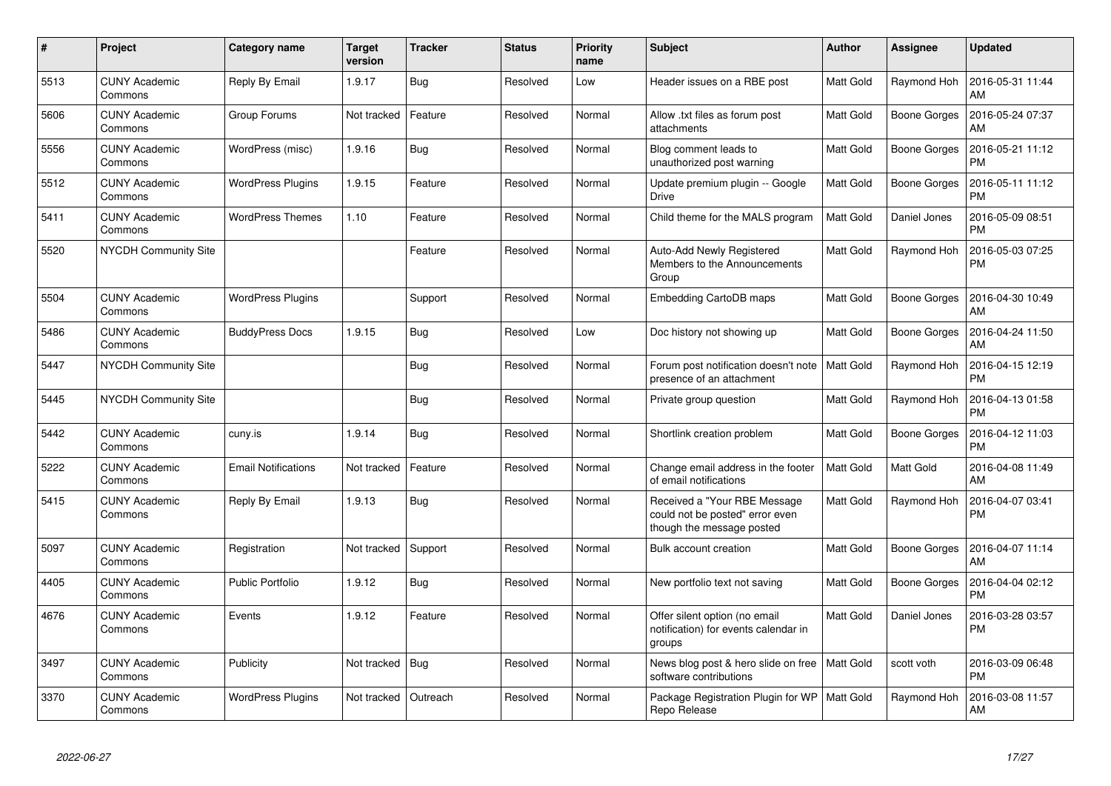| $\pmb{\#}$ | Project                         | Category name              | <b>Target</b><br>version | <b>Tracker</b> | <b>Status</b> | <b>Priority</b><br>name | <b>Subject</b>                                                                               | <b>Author</b>    | Assignee            | <b>Updated</b>                |
|------------|---------------------------------|----------------------------|--------------------------|----------------|---------------|-------------------------|----------------------------------------------------------------------------------------------|------------------|---------------------|-------------------------------|
| 5513       | <b>CUNY Academic</b><br>Commons | Reply By Email             | 1.9.17                   | Bug            | Resolved      | Low                     | Header issues on a RBE post                                                                  | <b>Matt Gold</b> | Raymond Hoh         | 2016-05-31 11:44<br>AM        |
| 5606       | <b>CUNY Academic</b><br>Commons | Group Forums               | Not tracked              | Feature        | Resolved      | Normal                  | Allow .txt files as forum post<br>attachments                                                | <b>Matt Gold</b> | <b>Boone Gorges</b> | 2016-05-24 07:37<br>AM        |
| 5556       | <b>CUNY Academic</b><br>Commons | WordPress (misc)           | 1.9.16                   | Bug            | Resolved      | Normal                  | Blog comment leads to<br>unauthorized post warning                                           | <b>Matt Gold</b> | <b>Boone Gorges</b> | 2016-05-21 11:12<br><b>PM</b> |
| 5512       | <b>CUNY Academic</b><br>Commons | <b>WordPress Plugins</b>   | 1.9.15                   | Feature        | Resolved      | Normal                  | Update premium plugin -- Google<br><b>Drive</b>                                              | <b>Matt Gold</b> | <b>Boone Gorges</b> | 2016-05-11 11:12<br><b>PM</b> |
| 5411       | <b>CUNY Academic</b><br>Commons | <b>WordPress Themes</b>    | 1.10                     | Feature        | Resolved      | Normal                  | Child theme for the MALS program                                                             | <b>Matt Gold</b> | Daniel Jones        | 2016-05-09 08:51<br><b>PM</b> |
| 5520       | <b>NYCDH Community Site</b>     |                            |                          | Feature        | Resolved      | Normal                  | Auto-Add Newly Registered<br>Members to the Announcements<br>Group                           | Matt Gold        | Raymond Hoh         | 2016-05-03 07:25<br><b>PM</b> |
| 5504       | <b>CUNY Academic</b><br>Commons | <b>WordPress Plugins</b>   |                          | Support        | Resolved      | Normal                  | <b>Embedding CartoDB maps</b>                                                                | <b>Matt Gold</b> | <b>Boone Gorges</b> | 2016-04-30 10:49<br>AM        |
| 5486       | <b>CUNY Academic</b><br>Commons | <b>BuddyPress Docs</b>     | 1.9.15                   | Bug            | Resolved      | Low                     | Doc history not showing up                                                                   | <b>Matt Gold</b> | <b>Boone Gorges</b> | 2016-04-24 11:50<br>AM        |
| 5447       | <b>NYCDH Community Site</b>     |                            |                          | Bug            | Resolved      | Normal                  | Forum post notification doesn't note<br>presence of an attachment                            | Matt Gold        | Raymond Hoh         | 2016-04-15 12:19<br><b>PM</b> |
| 5445       | <b>NYCDH Community Site</b>     |                            |                          | <b>Bug</b>     | Resolved      | Normal                  | Private group question                                                                       | Matt Gold        | Raymond Hoh         | 2016-04-13 01:58<br><b>PM</b> |
| 5442       | <b>CUNY Academic</b><br>Commons | cuny.is                    | 1.9.14                   | Bug            | Resolved      | Normal                  | Shortlink creation problem                                                                   | Matt Gold        | <b>Boone Gorges</b> | 2016-04-12 11:03<br><b>PM</b> |
| 5222       | <b>CUNY Academic</b><br>Commons | <b>Email Notifications</b> | Not tracked              | Feature        | Resolved      | Normal                  | Change email address in the footer<br>of email notifications                                 | Matt Gold        | Matt Gold           | 2016-04-08 11:49<br>AM        |
| 5415       | <b>CUNY Academic</b><br>Commons | Reply By Email             | 1.9.13                   | <b>Bug</b>     | Resolved      | Normal                  | Received a "Your RBE Message<br>could not be posted" error even<br>though the message posted | <b>Matt Gold</b> | Raymond Hoh         | 2016-04-07 03:41<br><b>PM</b> |
| 5097       | <b>CUNY Academic</b><br>Commons | Registration               | Not tracked              | Support        | Resolved      | Normal                  | Bulk account creation                                                                        | <b>Matt Gold</b> | Boone Gorges        | 2016-04-07 11:14<br>AM        |
| 4405       | <b>CUNY Academic</b><br>Commons | <b>Public Portfolio</b>    | 1.9.12                   | <b>Bug</b>     | Resolved      | Normal                  | New portfolio text not saving                                                                | <b>Matt Gold</b> | <b>Boone Gorges</b> | 2016-04-04 02:12<br><b>PM</b> |
| 4676       | <b>CUNY Academic</b><br>Commons | Events                     | 1.9.12                   | Feature        | Resolved      | Normal                  | Offer silent option (no email<br>notification) for events calendar in<br>groups              | Matt Gold        | Daniel Jones        | 2016-03-28 03:57<br><b>PM</b> |
| 3497       | <b>CUNY Academic</b><br>Commons | Publicity                  | Not tracked              | <b>Bug</b>     | Resolved      | Normal                  | News blog post & hero slide on free   Matt Gold<br>software contributions                    |                  | scott voth          | 2016-03-09 06:48<br><b>PM</b> |
| 3370       | <b>CUNY Academic</b><br>Commons | <b>WordPress Plugins</b>   | Not tracked              | Outreach       | Resolved      | Normal                  | Package Registration Plugin for WP<br>Repo Release                                           | Matt Gold        | Raymond Hoh         | 2016-03-08 11:57<br>AM        |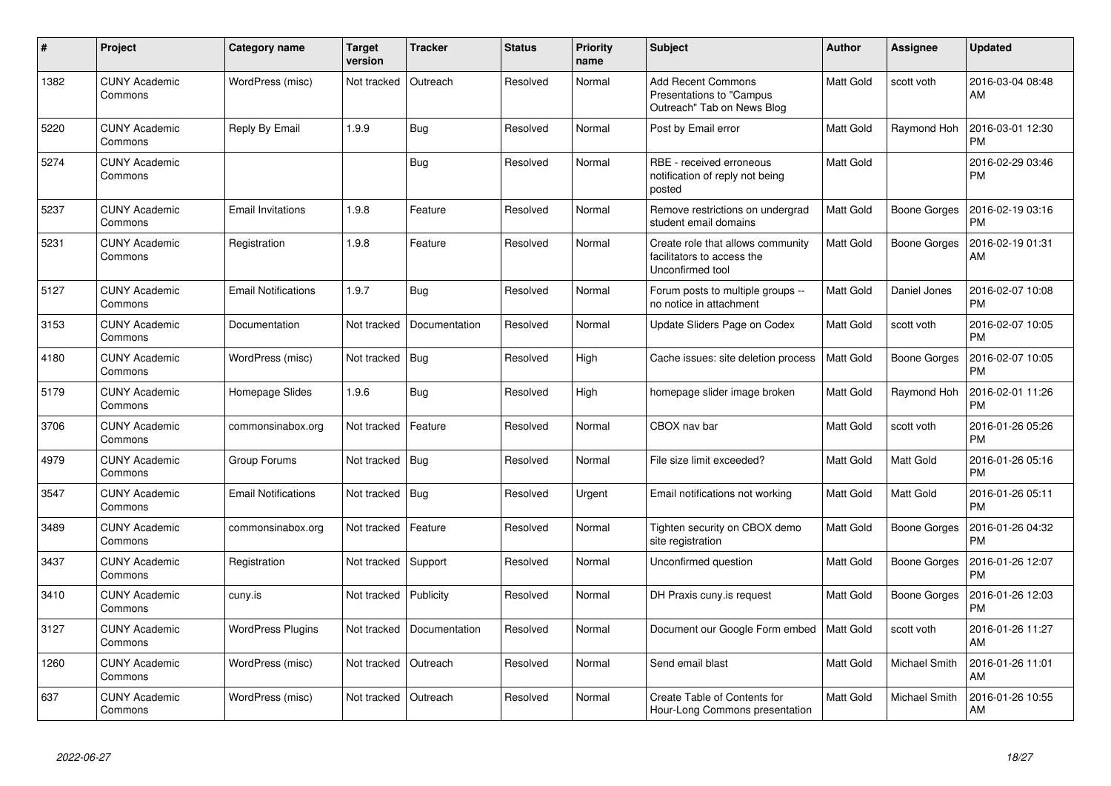| #    | Project                         | Category name              | <b>Target</b><br>version | <b>Tracker</b> | <b>Status</b> | <b>Priority</b><br>name | <b>Subject</b>                                                                      | <b>Author</b>    | Assignee            | Updated                       |
|------|---------------------------------|----------------------------|--------------------------|----------------|---------------|-------------------------|-------------------------------------------------------------------------------------|------------------|---------------------|-------------------------------|
| 1382 | <b>CUNY Academic</b><br>Commons | WordPress (misc)           | Not tracked              | Outreach       | Resolved      | Normal                  | <b>Add Recent Commons</b><br>Presentations to "Campus<br>Outreach" Tab on News Blog | <b>Matt Gold</b> | scott voth          | 2016-03-04 08:48<br>AM        |
| 5220 | <b>CUNY Academic</b><br>Commons | Reply By Email             | 1.9.9                    | Bug            | Resolved      | Normal                  | Post by Email error                                                                 | <b>Matt Gold</b> | Raymond Hoh         | 2016-03-01 12:30<br><b>PM</b> |
| 5274 | <b>CUNY Academic</b><br>Commons |                            |                          | <b>Bug</b>     | Resolved      | Normal                  | RBE - received erroneous<br>notification of reply not being<br>posted               | Matt Gold        |                     | 2016-02-29 03:46<br><b>PM</b> |
| 5237 | <b>CUNY Academic</b><br>Commons | <b>Email Invitations</b>   | 1.9.8                    | Feature        | Resolved      | Normal                  | Remove restrictions on undergrad<br>student email domains                           | Matt Gold        | Boone Gorges        | 2016-02-19 03:16<br><b>PM</b> |
| 5231 | <b>CUNY Academic</b><br>Commons | Registration               | 1.9.8                    | Feature        | Resolved      | Normal                  | Create role that allows community<br>facilitators to access the<br>Unconfirmed tool | <b>Matt Gold</b> | <b>Boone Gorges</b> | 2016-02-19 01:31<br>AM        |
| 5127 | <b>CUNY Academic</b><br>Commons | <b>Email Notifications</b> | 1.9.7                    | Bug            | Resolved      | Normal                  | Forum posts to multiple groups --<br>no notice in attachment                        | <b>Matt Gold</b> | Daniel Jones        | 2016-02-07 10:08<br><b>PM</b> |
| 3153 | <b>CUNY Academic</b><br>Commons | Documentation              | Not tracked              | Documentation  | Resolved      | Normal                  | Update Sliders Page on Codex                                                        | Matt Gold        | scott voth          | 2016-02-07 10:05<br><b>PM</b> |
| 4180 | <b>CUNY Academic</b><br>Commons | WordPress (misc)           | Not tracked              | Bug            | Resolved      | High                    | Cache issues: site deletion process                                                 | <b>Matt Gold</b> | <b>Boone Gorges</b> | 2016-02-07 10:05<br><b>PM</b> |
| 5179 | <b>CUNY Academic</b><br>Commons | Homepage Slides            | 1.9.6                    | Bug            | Resolved      | High                    | homepage slider image broken                                                        | <b>Matt Gold</b> | Raymond Hoh         | 2016-02-01 11:26<br><b>PM</b> |
| 3706 | <b>CUNY Academic</b><br>Commons | commonsinabox.org          | Not tracked              | Feature        | Resolved      | Normal                  | CBOX nav bar                                                                        | Matt Gold        | scott voth          | 2016-01-26 05:26<br><b>PM</b> |
| 4979 | <b>CUNY Academic</b><br>Commons | Group Forums               | Not tracked              | Bug            | Resolved      | Normal                  | File size limit exceeded?                                                           | <b>Matt Gold</b> | Matt Gold           | 2016-01-26 05:16<br><b>PM</b> |
| 3547 | <b>CUNY Academic</b><br>Commons | <b>Email Notifications</b> | Not tracked              | Bug            | Resolved      | Urgent                  | Email notifications not working                                                     | <b>Matt Gold</b> | Matt Gold           | 2016-01-26 05:11<br><b>PM</b> |
| 3489 | <b>CUNY Academic</b><br>Commons | commonsinabox.org          | Not tracked              | Feature        | Resolved      | Normal                  | Tighten security on CBOX demo<br>site registration                                  | Matt Gold        | <b>Boone Gorges</b> | 2016-01-26 04:32<br><b>PM</b> |
| 3437 | <b>CUNY Academic</b><br>Commons | Registration               | Not tracked              | Support        | Resolved      | Normal                  | Unconfirmed question                                                                | <b>Matt Gold</b> | <b>Boone Gorges</b> | 2016-01-26 12:07<br><b>PM</b> |
| 3410 | <b>CUNY Academic</b><br>Commons | cuny.is                    | Not tracked              | Publicity      | Resolved      | Normal                  | DH Praxis cuny.is request                                                           | <b>Matt Gold</b> | <b>Boone Gorges</b> | 2016-01-26 12:03<br><b>PM</b> |
| 3127 | <b>CUNY Academic</b><br>Commons | <b>WordPress Plugins</b>   | Not tracked              | Documentation  | Resolved      | Normal                  | Document our Google Form embed                                                      | <b>Matt Gold</b> | scott voth          | 2016-01-26 11:27<br>AM        |
| 1260 | <b>CUNY Academic</b><br>Commons | WordPress (misc)           | Not tracked              | Outreach       | Resolved      | Normal                  | Send email blast                                                                    | Matt Gold        | Michael Smith       | 2016-01-26 11:01<br>AM        |
| 637  | <b>CUNY Academic</b><br>Commons | WordPress (misc)           | Not tracked              | Outreach       | Resolved      | Normal                  | Create Table of Contents for<br>Hour-Long Commons presentation                      | Matt Gold        | Michael Smith       | 2016-01-26 10:55<br>AM        |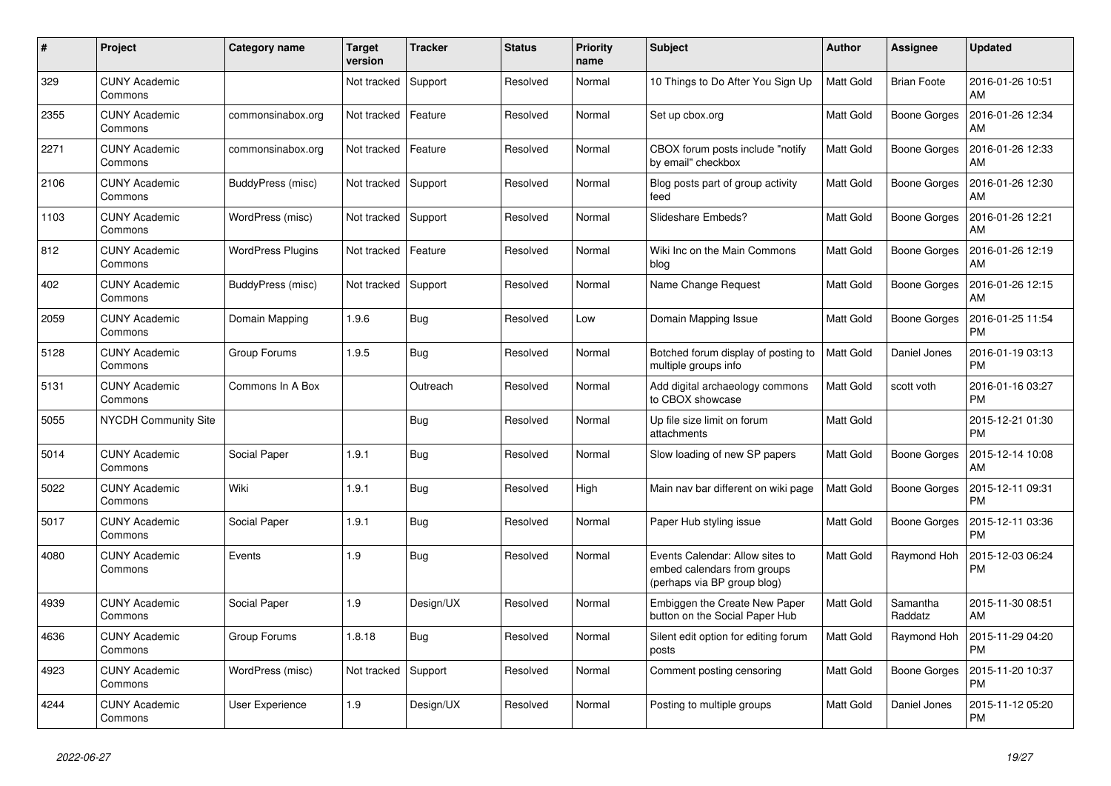| #    | Project                         | Category name            | <b>Target</b><br>version | <b>Tracker</b> | <b>Status</b> | <b>Priority</b><br>name | <b>Subject</b>                                                                                | <b>Author</b>    | Assignee            | <b>Updated</b>                |
|------|---------------------------------|--------------------------|--------------------------|----------------|---------------|-------------------------|-----------------------------------------------------------------------------------------------|------------------|---------------------|-------------------------------|
| 329  | <b>CUNY Academic</b><br>Commons |                          | Not tracked              | Support        | Resolved      | Normal                  | 10 Things to Do After You Sign Up                                                             | <b>Matt Gold</b> | <b>Brian Foote</b>  | 2016-01-26 10:51<br>AM        |
| 2355 | <b>CUNY Academic</b><br>Commons | commonsinabox.org        | Not tracked              | Feature        | Resolved      | Normal                  | Set up cbox.org                                                                               | <b>Matt Gold</b> | <b>Boone Gorges</b> | 2016-01-26 12:34<br>AM        |
| 2271 | <b>CUNY Academic</b><br>Commons | commonsinabox.org        | Not tracked              | Feature        | Resolved      | Normal                  | CBOX forum posts include "notify<br>by email" checkbox                                        | <b>Matt Gold</b> | <b>Boone Gorges</b> | 2016-01-26 12:33<br>AM        |
| 2106 | <b>CUNY Academic</b><br>Commons | BuddyPress (misc)        | Not tracked   Support    |                | Resolved      | Normal                  | Blog posts part of group activity<br>feed                                                     | Matt Gold        | Boone Gorges        | 2016-01-26 12:30<br>AM        |
| 1103 | <b>CUNY Academic</b><br>Commons | WordPress (misc)         | Not tracked              | Support        | Resolved      | Normal                  | Slideshare Embeds?                                                                            | Matt Gold        | <b>Boone Gorges</b> | 2016-01-26 12:21<br>AM        |
| 812  | <b>CUNY Academic</b><br>Commons | <b>WordPress Plugins</b> | Not tracked              | Feature        | Resolved      | Normal                  | Wiki Inc on the Main Commons<br>blog                                                          | <b>Matt Gold</b> | <b>Boone Gorges</b> | 2016-01-26 12:19<br>AM        |
| 402  | <b>CUNY Academic</b><br>Commons | BuddyPress (misc)        | Not tracked   Support    |                | Resolved      | Normal                  | Name Change Request                                                                           | <b>Matt Gold</b> | <b>Boone Gorges</b> | 2016-01-26 12:15<br>AM        |
| 2059 | <b>CUNY Academic</b><br>Commons | Domain Mapping           | 1.9.6                    | Bug            | Resolved      | Low                     | Domain Mapping Issue                                                                          | Matt Gold        | <b>Boone Gorges</b> | 2016-01-25 11:54<br><b>PM</b> |
| 5128 | <b>CUNY Academic</b><br>Commons | Group Forums             | 1.9.5                    | <b>Bug</b>     | Resolved      | Normal                  | Botched forum display of posting to<br>multiple groups info                                   | Matt Gold        | Daniel Jones        | 2016-01-19 03:13<br><b>PM</b> |
| 5131 | <b>CUNY Academic</b><br>Commons | Commons In A Box         |                          | Outreach       | Resolved      | Normal                  | Add digital archaeology commons<br>to CBOX showcase                                           | <b>Matt Gold</b> | scott voth          | 2016-01-16 03:27<br><b>PM</b> |
| 5055 | <b>NYCDH Community Site</b>     |                          |                          | <b>Bug</b>     | Resolved      | Normal                  | Up file size limit on forum<br>attachments                                                    | Matt Gold        |                     | 2015-12-21 01:30<br><b>PM</b> |
| 5014 | <b>CUNY Academic</b><br>Commons | <b>Social Paper</b>      | 1.9.1                    | Bug            | Resolved      | Normal                  | Slow loading of new SP papers                                                                 | <b>Matt Gold</b> | <b>Boone Gorges</b> | 2015-12-14 10:08<br>AM        |
| 5022 | <b>CUNY Academic</b><br>Commons | Wiki                     | 1.9.1                    | Bug            | Resolved      | High                    | Main nav bar different on wiki page                                                           | Matt Gold        | Boone Gorges        | 2015-12-11 09:31<br><b>PM</b> |
| 5017 | <b>CUNY Academic</b><br>Commons | Social Paper             | 1.9.1                    | Bug            | Resolved      | Normal                  | Paper Hub styling issue                                                                       | <b>Matt Gold</b> | <b>Boone Gorges</b> | 2015-12-11 03:36<br><b>PM</b> |
| 4080 | <b>CUNY Academic</b><br>Commons | Events                   | 1.9                      | Bug            | Resolved      | Normal                  | Events Calendar: Allow sites to<br>embed calendars from groups<br>(perhaps via BP group blog) | <b>Matt Gold</b> | Raymond Hoh         | 2015-12-03 06:24<br><b>PM</b> |
| 4939 | <b>CUNY Academic</b><br>Commons | Social Paper             | 1.9                      | Design/UX      | Resolved      | Normal                  | Embiggen the Create New Paper<br>button on the Social Paper Hub                               | <b>Matt Gold</b> | Samantha<br>Raddatz | 2015-11-30 08:51<br>AM        |
| 4636 | <b>CUNY Academic</b><br>Commons | Group Forums             | 1.8.18                   | Bug            | Resolved      | Normal                  | Silent edit option for editing forum<br>posts                                                 | <b>Matt Gold</b> | Raymond Hoh         | 2015-11-29 04:20<br><b>PM</b> |
| 4923 | <b>CUNY Academic</b><br>Commons | WordPress (misc)         | Not tracked              | Support        | Resolved      | Normal                  | Comment posting censoring                                                                     | <b>Matt Gold</b> | Boone Gorges        | 2015-11-20 10:37<br><b>PM</b> |
| 4244 | <b>CUNY Academic</b><br>Commons | <b>User Experience</b>   | 1.9                      | Design/UX      | Resolved      | Normal                  | Posting to multiple groups                                                                    | <b>Matt Gold</b> | Daniel Jones        | 2015-11-12 05:20<br><b>PM</b> |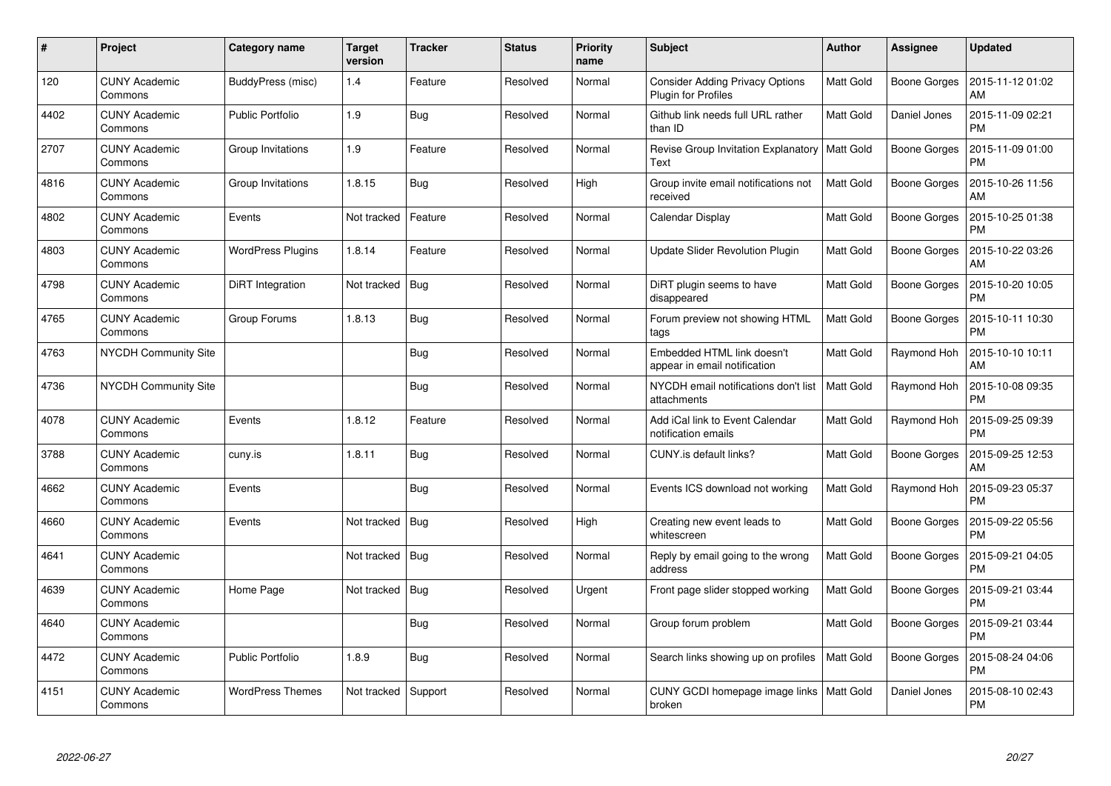| #    | <b>Project</b>                  | Category name            | <b>Target</b><br>version | <b>Tracker</b> | <b>Status</b> | <b>Priority</b><br>name | Subject                                                       | <b>Author</b>    | Assignee            | <b>Updated</b>                |
|------|---------------------------------|--------------------------|--------------------------|----------------|---------------|-------------------------|---------------------------------------------------------------|------------------|---------------------|-------------------------------|
| 120  | <b>CUNY Academic</b><br>Commons | BuddyPress (misc)        | 1.4                      | Feature        | Resolved      | Normal                  | <b>Consider Adding Privacy Options</b><br>Plugin for Profiles | <b>Matt Gold</b> | <b>Boone Gorges</b> | 2015-11-12 01:02<br>AM        |
| 4402 | <b>CUNY Academic</b><br>Commons | <b>Public Portfolio</b>  | 1.9                      | Bug            | Resolved      | Normal                  | Github link needs full URL rather<br>than ID                  | <b>Matt Gold</b> | Daniel Jones        | 2015-11-09 02:21<br><b>PM</b> |
| 2707 | <b>CUNY Academic</b><br>Commons | Group Invitations        | 1.9                      | Feature        | Resolved      | Normal                  | Revise Group Invitation Explanatory<br>Text                   | <b>Matt Gold</b> | Boone Gorges        | 2015-11-09 01:00<br><b>PM</b> |
| 4816 | <b>CUNY Academic</b><br>Commons | Group Invitations        | 1.8.15                   | <b>Bug</b>     | Resolved      | High                    | Group invite email notifications not<br>received              | <b>Matt Gold</b> | Boone Gorges        | 2015-10-26 11:56<br>AM        |
| 4802 | <b>CUNY Academic</b><br>Commons | Events                   | Not tracked              | Feature        | Resolved      | Normal                  | Calendar Display                                              | <b>Matt Gold</b> | Boone Gorges        | 2015-10-25 01:38<br><b>PM</b> |
| 4803 | <b>CUNY Academic</b><br>Commons | <b>WordPress Plugins</b> | 1.8.14                   | Feature        | Resolved      | Normal                  | Update Slider Revolution Plugin                               | Matt Gold        | Boone Gorges        | 2015-10-22 03:26<br>AM        |
| 4798 | <b>CUNY Academic</b><br>Commons | DiRT Integration         | Not tracked              | Bug            | Resolved      | Normal                  | DiRT plugin seems to have<br>disappeared                      | <b>Matt Gold</b> | <b>Boone Gorges</b> | 2015-10-20 10:05<br><b>PM</b> |
| 4765 | <b>CUNY Academic</b><br>Commons | Group Forums             | 1.8.13                   | Bug            | Resolved      | Normal                  | Forum preview not showing HTML<br>tags                        | Matt Gold        | <b>Boone Gorges</b> | 2015-10-11 10:30<br><b>PM</b> |
| 4763 | NYCDH Community Site            |                          |                          | Bug            | Resolved      | Normal                  | Embedded HTML link doesn't<br>appear in email notification    | <b>Matt Gold</b> | Raymond Hoh         | 2015-10-10 10:11<br>AM        |
| 4736 | NYCDH Community Site            |                          |                          | <b>Bug</b>     | Resolved      | Normal                  | NYCDH email notifications don't list<br>attachments           | <b>Matt Gold</b> | Raymond Hoh         | 2015-10-08 09:35<br><b>PM</b> |
| 4078 | <b>CUNY Academic</b><br>Commons | Events                   | 1.8.12                   | Feature        | Resolved      | Normal                  | Add iCal link to Event Calendar<br>notification emails        | <b>Matt Gold</b> | Raymond Hoh         | 2015-09-25 09:39<br><b>PM</b> |
| 3788 | <b>CUNY Academic</b><br>Commons | cuny.is                  | 1.8.11                   | Bug            | Resolved      | Normal                  | CUNY.is default links?                                        | <b>Matt Gold</b> | Boone Gorges        | 2015-09-25 12:53<br>AM        |
| 4662 | <b>CUNY Academic</b><br>Commons | Events                   |                          | <b>Bug</b>     | Resolved      | Normal                  | Events ICS download not working                               | <b>Matt Gold</b> | Raymond Hoh         | 2015-09-23 05:37<br><b>PM</b> |
| 4660 | <b>CUNY Academic</b><br>Commons | Events                   | Not tracked              | Bug            | Resolved      | High                    | Creating new event leads to<br>whitescreen                    | Matt Gold        | Boone Gorges        | 2015-09-22 05:56<br><b>PM</b> |
| 4641 | <b>CUNY Academic</b><br>Commons |                          | Not tracked              | Bug            | Resolved      | Normal                  | Reply by email going to the wrong<br>address                  | <b>Matt Gold</b> | Boone Gorges        | 2015-09-21 04:05<br><b>PM</b> |
| 4639 | <b>CUNY Academic</b><br>Commons | Home Page                | Not tracked   Bug        |                | Resolved      | Urgent                  | Front page slider stopped working                             | <b>Matt Gold</b> | Boone Gorges        | 2015-09-21 03:44<br>PM        |
| 4640 | <b>CUNY Academic</b><br>Commons |                          |                          | <b>Bug</b>     | Resolved      | Normal                  | Group forum problem                                           | <b>Matt Gold</b> | Boone Gorges        | 2015-09-21 03:44<br>PM        |
| 4472 | <b>CUNY Academic</b><br>Commons | <b>Public Portfolio</b>  | 1.8.9                    | Bug            | Resolved      | Normal                  | Search links showing up on profiles                           | <b>Matt Gold</b> | Boone Gorges        | 2015-08-24 04:06<br><b>PM</b> |
| 4151 | <b>CUNY Academic</b><br>Commons | <b>WordPress Themes</b>  | Not tracked              | Support        | Resolved      | Normal                  | CUNY GCDI homepage image links<br>broken                      | Matt Gold        | Daniel Jones        | 2015-08-10 02:43<br><b>PM</b> |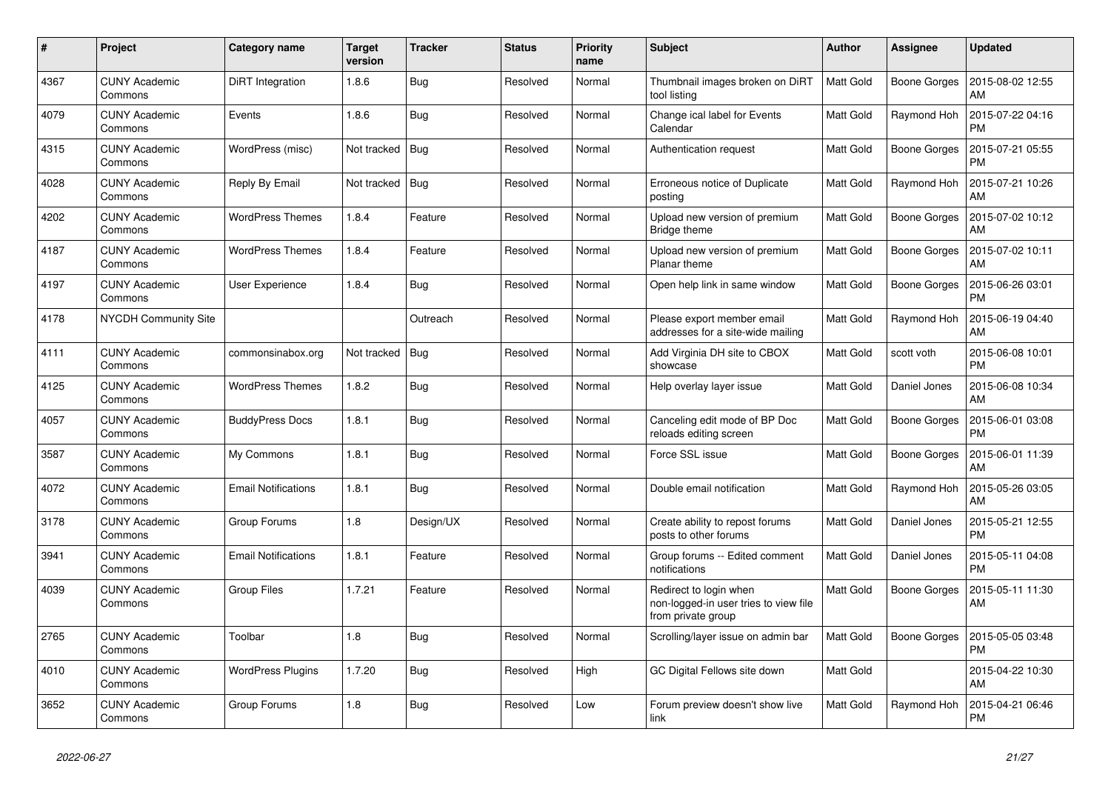| #    | Project                         | Category name              | <b>Target</b><br>version | <b>Tracker</b> | <b>Status</b> | <b>Priority</b><br>name | <b>Subject</b>                                                                        | <b>Author</b>    | Assignee            | <b>Updated</b>                |
|------|---------------------------------|----------------------------|--------------------------|----------------|---------------|-------------------------|---------------------------------------------------------------------------------------|------------------|---------------------|-------------------------------|
| 4367 | <b>CUNY Academic</b><br>Commons | DiRT Integration           | 1.8.6                    | Bug            | Resolved      | Normal                  | Thumbnail images broken on DiRT<br>tool listing                                       | <b>Matt Gold</b> | <b>Boone Gorges</b> | 2015-08-02 12:55<br>AM        |
| 4079 | <b>CUNY Academic</b><br>Commons | Events                     | 1.8.6                    | Bug            | Resolved      | Normal                  | Change ical label for Events<br>Calendar                                              | <b>Matt Gold</b> | Raymond Hoh         | 2015-07-22 04:16<br><b>PM</b> |
| 4315 | <b>CUNY Academic</b><br>Commons | WordPress (misc)           | Not tracked   Bug        |                | Resolved      | Normal                  | Authentication request                                                                | <b>Matt Gold</b> | <b>Boone Gorges</b> | 2015-07-21 05:55<br><b>PM</b> |
| 4028 | <b>CUNY Academic</b><br>Commons | Reply By Email             | Not tracked   Bug        |                | Resolved      | Normal                  | Erroneous notice of Duplicate<br>posting                                              | <b>Matt Gold</b> | Raymond Hoh         | 2015-07-21 10:26<br>AM        |
| 4202 | <b>CUNY Academic</b><br>Commons | <b>WordPress Themes</b>    | 1.8.4                    | Feature        | Resolved      | Normal                  | Upload new version of premium<br>Bridge theme                                         | <b>Matt Gold</b> | Boone Gorges        | 2015-07-02 10:12<br>AM        |
| 4187 | <b>CUNY Academic</b><br>Commons | <b>WordPress Themes</b>    | 1.8.4                    | Feature        | Resolved      | Normal                  | Upload new version of premium<br>Planar theme                                         | Matt Gold        | <b>Boone Gorges</b> | 2015-07-02 10:11<br>AM        |
| 4197 | <b>CUNY Academic</b><br>Commons | <b>User Experience</b>     | 1.8.4                    | Bug            | Resolved      | Normal                  | Open help link in same window                                                         | <b>Matt Gold</b> | <b>Boone Gorges</b> | 2015-06-26 03:01<br><b>PM</b> |
| 4178 | <b>NYCDH Community Site</b>     |                            |                          | Outreach       | Resolved      | Normal                  | Please export member email<br>addresses for a site-wide mailing                       | <b>Matt Gold</b> | Raymond Hoh         | 2015-06-19 04:40<br>AM        |
| 4111 | <b>CUNY Academic</b><br>Commons | commonsinabox.org          | Not tracked              | Bug            | Resolved      | Normal                  | Add Virginia DH site to CBOX<br>showcase                                              | <b>Matt Gold</b> | scott voth          | 2015-06-08 10:01<br><b>PM</b> |
| 4125 | <b>CUNY Academic</b><br>Commons | <b>WordPress Themes</b>    | 1.8.2                    | Bug            | Resolved      | Normal                  | Help overlay layer issue                                                              | <b>Matt Gold</b> | Daniel Jones        | 2015-06-08 10:34<br>AM        |
| 4057 | <b>CUNY Academic</b><br>Commons | <b>BuddyPress Docs</b>     | 1.8.1                    | <b>Bug</b>     | Resolved      | Normal                  | Canceling edit mode of BP Doc<br>reloads editing screen                               | <b>Matt Gold</b> | <b>Boone Gorges</b> | 2015-06-01 03:08<br><b>PM</b> |
| 3587 | <b>CUNY Academic</b><br>Commons | My Commons                 | 1.8.1                    | Bug            | Resolved      | Normal                  | Force SSL issue                                                                       | Matt Gold        | <b>Boone Gorges</b> | 2015-06-01 11:39<br>AM        |
| 4072 | <b>CUNY Academic</b><br>Commons | <b>Email Notifications</b> | 1.8.1                    | Bug            | Resolved      | Normal                  | Double email notification                                                             | <b>Matt Gold</b> | Raymond Hoh         | 2015-05-26 03:05<br>AM        |
| 3178 | <b>CUNY Academic</b><br>Commons | Group Forums               | 1.8                      | Design/UX      | Resolved      | Normal                  | Create ability to repost forums<br>posts to other forums                              | <b>Matt Gold</b> | Daniel Jones        | 2015-05-21 12:55<br><b>PM</b> |
| 3941 | <b>CUNY Academic</b><br>Commons | <b>Email Notifications</b> | 1.8.1                    | Feature        | Resolved      | Normal                  | Group forums -- Edited comment<br>notifications                                       | Matt Gold        | Daniel Jones        | 2015-05-11 04:08<br><b>PM</b> |
| 4039 | <b>CUNY Academic</b><br>Commons | <b>Group Files</b>         | 1.7.21                   | Feature        | Resolved      | Normal                  | Redirect to login when<br>non-logged-in user tries to view file<br>from private group | <b>Matt Gold</b> | <b>Boone Gorges</b> | 2015-05-11 11:30<br>AM        |
| 2765 | <b>CUNY Academic</b><br>Commons | Toolbar                    | 1.8                      | <b>Bug</b>     | Resolved      | Normal                  | Scrolling/layer issue on admin bar                                                    | <b>Matt Gold</b> | <b>Boone Gorges</b> | 2015-05-05 03:48<br><b>PM</b> |
| 4010 | <b>CUNY Academic</b><br>Commons | <b>WordPress Plugins</b>   | 1.7.20                   | Bug            | Resolved      | High                    | GC Digital Fellows site down                                                          | <b>Matt Gold</b> |                     | 2015-04-22 10:30<br>AM        |
| 3652 | <b>CUNY Academic</b><br>Commons | Group Forums               | 1.8                      | Bug            | Resolved      | Low                     | Forum preview doesn't show live<br>link                                               | <b>Matt Gold</b> | Raymond Hoh         | 2015-04-21 06:46<br><b>PM</b> |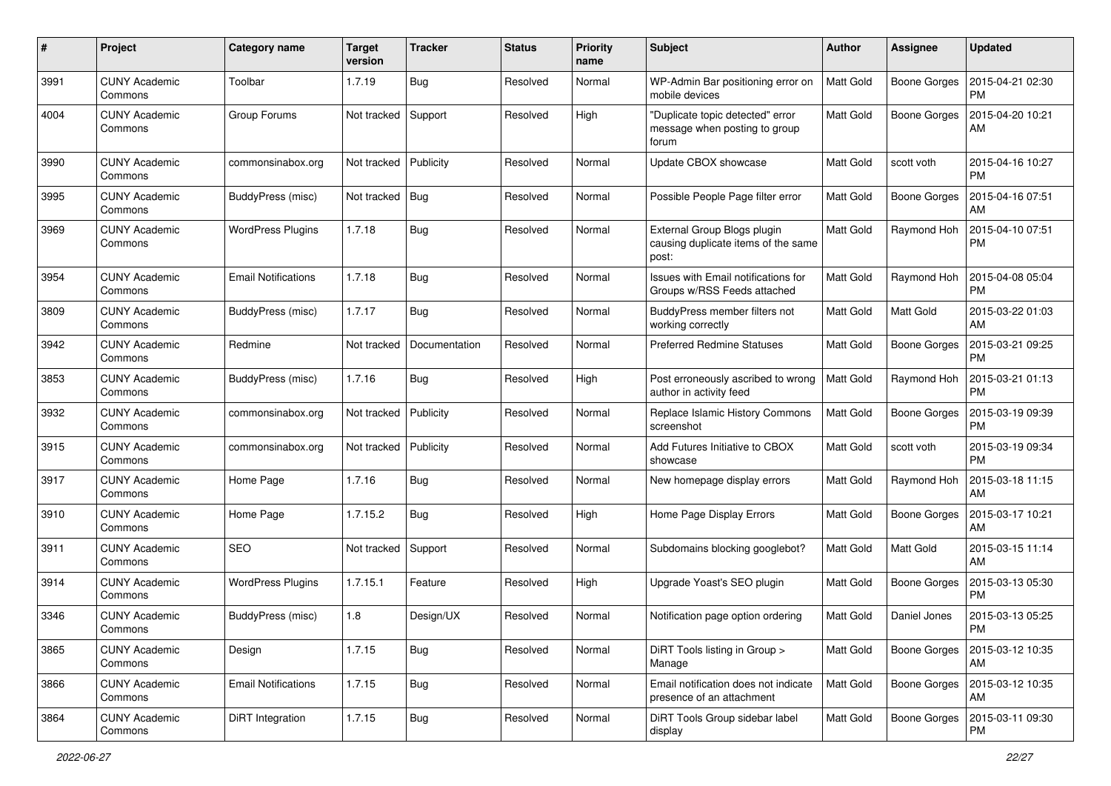| #    | Project                         | Category name              | <b>Target</b><br>version | <b>Tracker</b> | <b>Status</b> | Priority<br>name | Subject                                                                     | <b>Author</b>    | <b>Assignee</b>     | <b>Updated</b>                |
|------|---------------------------------|----------------------------|--------------------------|----------------|---------------|------------------|-----------------------------------------------------------------------------|------------------|---------------------|-------------------------------|
| 3991 | <b>CUNY Academic</b><br>Commons | Toolbar                    | 1.7.19                   | <b>Bug</b>     | Resolved      | Normal           | WP-Admin Bar positioning error on<br>mobile devices                         | <b>Matt Gold</b> | Boone Gorges        | 2015-04-21 02:30<br><b>PM</b> |
| 4004 | <b>CUNY Academic</b><br>Commons | Group Forums               | Not tracked              | Support        | Resolved      | High             | "Duplicate topic detected" error<br>message when posting to group<br>forum  | Matt Gold        | Boone Gorges        | 2015-04-20 10:21<br>AM        |
| 3990 | <b>CUNY Academic</b><br>Commons | commonsinabox.org          | Not tracked              | Publicity      | Resolved      | Normal           | Update CBOX showcase                                                        | <b>Matt Gold</b> | scott voth          | 2015-04-16 10:27<br><b>PM</b> |
| 3995 | CUNY Academic<br>Commons        | BuddyPress (misc)          | Not tracked              | Bug            | Resolved      | Normal           | Possible People Page filter error                                           | Matt Gold        | <b>Boone Gorges</b> | 2015-04-16 07:51<br>AM        |
| 3969 | <b>CUNY Academic</b><br>Commons | <b>WordPress Plugins</b>   | 1.7.18                   | <b>Bug</b>     | Resolved      | Normal           | External Group Blogs plugin<br>causing duplicate items of the same<br>post: | <b>Matt Gold</b> | Raymond Hoh         | 2015-04-10 07:51<br><b>PM</b> |
| 3954 | <b>CUNY Academic</b><br>Commons | <b>Email Notifications</b> | 1.7.18                   | <b>Bug</b>     | Resolved      | Normal           | Issues with Email notifications for<br>Groups w/RSS Feeds attached          | Matt Gold        | Raymond Hoh         | 2015-04-08 05:04<br><b>PM</b> |
| 3809 | <b>CUNY Academic</b><br>Commons | BuddyPress (misc)          | 1.7.17                   | <b>Bug</b>     | Resolved      | Normal           | BuddyPress member filters not<br>working correctly                          | <b>Matt Gold</b> | Matt Gold           | 2015-03-22 01:03<br>AM        |
| 3942 | <b>CUNY Academic</b><br>Commons | Redmine                    | Not tracked              | Documentation  | Resolved      | Normal           | <b>Preferred Redmine Statuses</b>                                           | <b>Matt Gold</b> | <b>Boone Gorges</b> | 2015-03-21 09:25<br><b>PM</b> |
| 3853 | <b>CUNY Academic</b><br>Commons | BuddyPress (misc)          | 1.7.16                   | <b>Bug</b>     | Resolved      | High             | Post erroneously ascribed to wrong<br>author in activity feed               | Matt Gold        | Raymond Hoh         | 2015-03-21 01:13<br><b>PM</b> |
| 3932 | <b>CUNY Academic</b><br>Commons | commonsinabox.org          | Not tracked              | Publicity      | Resolved      | Normal           | Replace Islamic History Commons<br>screenshot                               | <b>Matt Gold</b> | <b>Boone Gorges</b> | 2015-03-19 09:39<br><b>PM</b> |
| 3915 | CUNY Academic<br>Commons        | commonsinabox.org          | Not tracked              | Publicity      | Resolved      | Normal           | Add Futures Initiative to CBOX<br>showcase                                  | <b>Matt Gold</b> | scott voth          | 2015-03-19 09:34<br><b>PM</b> |
| 3917 | CUNY Academic<br>Commons        | Home Page                  | 1.7.16                   | <b>Bug</b>     | Resolved      | Normal           | New homepage display errors                                                 | <b>Matt Gold</b> | Raymond Hoh         | 2015-03-18 11:15<br>AM        |
| 3910 | <b>CUNY Academic</b><br>Commons | Home Page                  | 1.7.15.2                 | Bug            | Resolved      | High             | Home Page Display Errors                                                    | <b>Matt Gold</b> | <b>Boone Gorges</b> | 2015-03-17 10:21<br>AM        |
| 3911 | <b>CUNY Academic</b><br>Commons | <b>SEO</b>                 | Not tracked              | Support        | Resolved      | Normal           | Subdomains blocking googlebot?                                              | <b>Matt Gold</b> | Matt Gold           | 2015-03-15 11:14<br>AM        |
| 3914 | <b>CUNY Academic</b><br>Commons | <b>WordPress Plugins</b>   | 1.7.15.1                 | Feature        | Resolved      | High             | Upgrade Yoast's SEO plugin                                                  | <b>Matt Gold</b> | <b>Boone Gorges</b> | 2015-03-13 05:30<br><b>PM</b> |
| 3346 | <b>CUNY Academic</b><br>Commons | BuddyPress (misc)          | 1.8                      | Design/UX      | Resolved      | Normal           | Notification page option ordering                                           | Matt Gold        | Daniel Jones        | 2015-03-13 05:25<br>PM        |
| 3865 | <b>CUNY Academic</b><br>Commons | Design                     | 1.7.15                   | Bug            | Resolved      | Normal           | DiRT Tools listing in Group ><br>Manage                                     | Matt Gold        | <b>Boone Gorges</b> | 2015-03-12 10:35<br>AM        |
| 3866 | <b>CUNY Academic</b><br>Commons | <b>Email Notifications</b> | 1.7.15                   | <b>Bug</b>     | Resolved      | Normal           | Email notification does not indicate<br>presence of an attachment           | Matt Gold        | Boone Gorges        | 2015-03-12 10:35<br>AM        |
| 3864 | <b>CUNY Academic</b><br>Commons | DiRT Integration           | 1.7.15                   | <b>Bug</b>     | Resolved      | Normal           | DiRT Tools Group sidebar label<br>display                                   | Matt Gold        | <b>Boone Gorges</b> | 2015-03-11 09:30<br><b>PM</b> |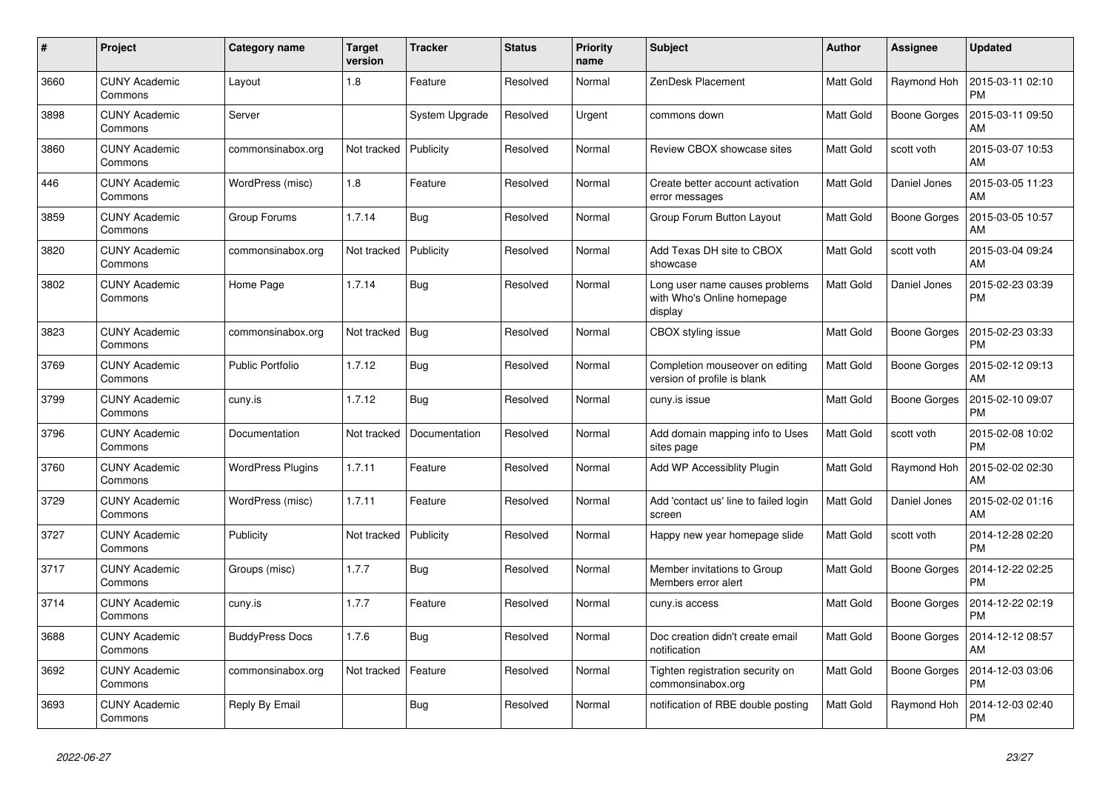| $\pmb{\#}$ | Project                         | Category name            | <b>Target</b><br>version | <b>Tracker</b> | <b>Status</b> | <b>Priority</b><br>name | <b>Subject</b>                                                          | <b>Author</b>    | Assignee            | <b>Updated</b>                |
|------------|---------------------------------|--------------------------|--------------------------|----------------|---------------|-------------------------|-------------------------------------------------------------------------|------------------|---------------------|-------------------------------|
| 3660       | <b>CUNY Academic</b><br>Commons | Layout                   | 1.8                      | Feature        | Resolved      | Normal                  | ZenDesk Placement                                                       | <b>Matt Gold</b> | Raymond Hoh         | 2015-03-11 02:10<br><b>PM</b> |
| 3898       | <b>CUNY Academic</b><br>Commons | Server                   |                          | System Upgrade | Resolved      | Urgent                  | commons down                                                            | <b>Matt Gold</b> | <b>Boone Gorges</b> | 2015-03-11 09:50<br>AM        |
| 3860       | <b>CUNY Academic</b><br>Commons | commonsinabox.org        | Not tracked              | Publicity      | Resolved      | Normal                  | Review CBOX showcase sites                                              | Matt Gold        | scott voth          | 2015-03-07 10:53<br>AM        |
| 446        | <b>CUNY Academic</b><br>Commons | WordPress (misc)         | 1.8                      | Feature        | Resolved      | Normal                  | Create better account activation<br>error messages                      | <b>Matt Gold</b> | Daniel Jones        | 2015-03-05 11:23<br>AM        |
| 3859       | <b>CUNY Academic</b><br>Commons | Group Forums             | 1.7.14                   | Bug            | Resolved      | Normal                  | Group Forum Button Layout                                               | Matt Gold        | <b>Boone Gorges</b> | 2015-03-05 10:57<br>AM        |
| 3820       | <b>CUNY Academic</b><br>Commons | commonsinabox.org        | Not tracked              | Publicity      | Resolved      | Normal                  | Add Texas DH site to CBOX<br>showcase                                   | <b>Matt Gold</b> | scott voth          | 2015-03-04 09:24<br>AM        |
| 3802       | <b>CUNY Academic</b><br>Commons | Home Page                | 1.7.14                   | Bug            | Resolved      | Normal                  | Long user name causes problems<br>with Who's Online homepage<br>display | <b>Matt Gold</b> | Daniel Jones        | 2015-02-23 03:39<br><b>PM</b> |
| 3823       | <b>CUNY Academic</b><br>Commons | commonsinabox.org        | Not tracked              | Bug            | Resolved      | Normal                  | CBOX styling issue                                                      | <b>Matt Gold</b> | Boone Gorges        | 2015-02-23 03:33<br><b>PM</b> |
| 3769       | <b>CUNY Academic</b><br>Commons | <b>Public Portfolio</b>  | 1.7.12                   | Bug            | Resolved      | Normal                  | Completion mouseover on editing<br>version of profile is blank          | Matt Gold        | Boone Gorges        | 2015-02-12 09:13<br>AM        |
| 3799       | <b>CUNY Academic</b><br>Commons | cuny.is                  | 1.7.12                   | Bug            | Resolved      | Normal                  | cuny.is issue                                                           | Matt Gold        | Boone Gorges        | 2015-02-10 09:07<br><b>PM</b> |
| 3796       | <b>CUNY Academic</b><br>Commons | Documentation            | Not tracked              | Documentation  | Resolved      | Normal                  | Add domain mapping info to Uses<br>sites page                           | <b>Matt Gold</b> | scott voth          | 2015-02-08 10:02<br><b>PM</b> |
| 3760       | <b>CUNY Academic</b><br>Commons | <b>WordPress Plugins</b> | 1.7.11                   | Feature        | Resolved      | Normal                  | Add WP Accessiblity Plugin                                              | Matt Gold        | Raymond Hoh         | 2015-02-02 02:30<br>AM        |
| 3729       | <b>CUNY Academic</b><br>Commons | WordPress (misc)         | 1.7.11                   | Feature        | Resolved      | Normal                  | Add 'contact us' line to failed login<br>screen                         | Matt Gold        | Daniel Jones        | 2015-02-02 01:16<br>AM        |
| 3727       | <b>CUNY Academic</b><br>Commons | Publicity                | Not tracked              | Publicity      | Resolved      | Normal                  | Happy new year homepage slide                                           | <b>Matt Gold</b> | scott voth          | 2014-12-28 02:20<br><b>PM</b> |
| 3717       | <b>CUNY Academic</b><br>Commons | Groups (misc)            | 1.7.7                    | <b>Bug</b>     | Resolved      | Normal                  | Member invitations to Group<br>Members error alert                      | <b>Matt Gold</b> | Boone Gorges        | 2014-12-22 02:25<br><b>PM</b> |
| 3714       | <b>CUNY Academic</b><br>Commons | cuny.is                  | 1.7.7                    | Feature        | Resolved      | Normal                  | cuny.is access                                                          | Matt Gold        | Boone Gorges        | 2014-12-22 02:19<br><b>PM</b> |
| 3688       | <b>CUNY Academic</b><br>Commons | <b>BuddyPress Docs</b>   | 1.7.6                    | Bug            | Resolved      | Normal                  | Doc creation didn't create email<br>notification                        | <b>Matt Gold</b> | Boone Gorges        | 2014-12-12 08:57<br>AM        |
| 3692       | <b>CUNY Academic</b><br>Commons | commonsinabox.org        | Not tracked              | Feature        | Resolved      | Normal                  | Tighten registration security on<br>commonsinabox.org                   | <b>Matt Gold</b> | Boone Gorges        | 2014-12-03 03:06<br><b>PM</b> |
| 3693       | <b>CUNY Academic</b><br>Commons | Reply By Email           |                          | Bug            | Resolved      | Normal                  | notification of RBE double posting                                      | Matt Gold        | Raymond Hoh         | 2014-12-03 02:40<br><b>PM</b> |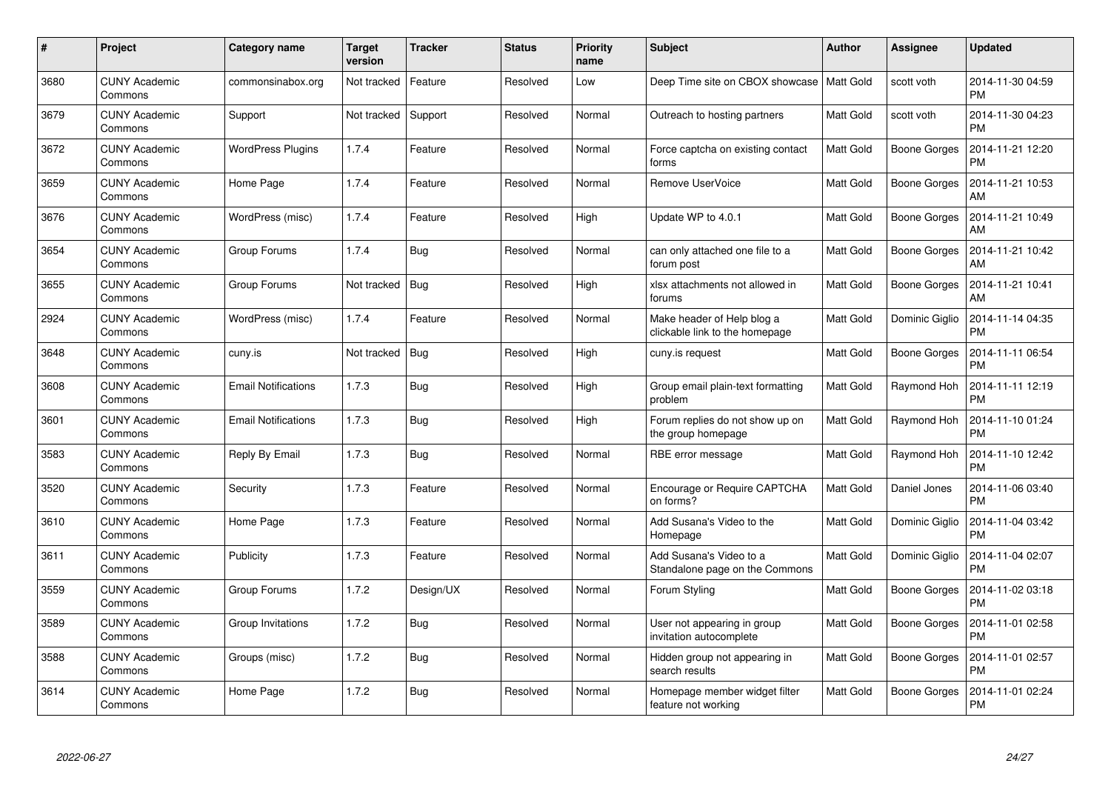| #    | Project                         | <b>Category name</b>       | <b>Target</b><br>version | <b>Tracker</b> | <b>Status</b> | <b>Priority</b><br>name | <b>Subject</b>                                               | <b>Author</b>    | Assignee            | <b>Updated</b>                |
|------|---------------------------------|----------------------------|--------------------------|----------------|---------------|-------------------------|--------------------------------------------------------------|------------------|---------------------|-------------------------------|
| 3680 | <b>CUNY Academic</b><br>Commons | commonsinabox.org          | Not tracked              | Feature        | Resolved      | Low                     | Deep Time site on CBOX showcase                              | Matt Gold        | scott voth          | 2014-11-30 04:59<br><b>PM</b> |
| 3679 | <b>CUNY Academic</b><br>Commons | Support                    | Not tracked              | Support        | Resolved      | Normal                  | Outreach to hosting partners                                 | <b>Matt Gold</b> | scott voth          | 2014-11-30 04:23<br><b>PM</b> |
| 3672 | <b>CUNY Academic</b><br>Commons | <b>WordPress Plugins</b>   | 1.7.4                    | Feature        | Resolved      | Normal                  | Force captcha on existing contact<br>forms                   | <b>Matt Gold</b> | <b>Boone Gorges</b> | 2014-11-21 12:20<br><b>PM</b> |
| 3659 | <b>CUNY Academic</b><br>Commons | Home Page                  | 1.7.4                    | Feature        | Resolved      | Normal                  | Remove UserVoice                                             | <b>Matt Gold</b> | Boone Gorges        | 2014-11-21 10:53<br>AM        |
| 3676 | <b>CUNY Academic</b><br>Commons | WordPress (misc)           | 1.7.4                    | Feature        | Resolved      | High                    | Update WP to 4.0.1                                           | <b>Matt Gold</b> | <b>Boone Gorges</b> | 2014-11-21 10:49<br>AM        |
| 3654 | <b>CUNY Academic</b><br>Commons | Group Forums               | 1.7.4                    | Bug            | Resolved      | Normal                  | can only attached one file to a<br>forum post                | <b>Matt Gold</b> | <b>Boone Gorges</b> | 2014-11-21 10:42<br>AM        |
| 3655 | <b>CUNY Academic</b><br>Commons | Group Forums               | Not tracked              | Bug            | Resolved      | High                    | xlsx attachments not allowed in<br>forums                    | <b>Matt Gold</b> | <b>Boone Gorges</b> | 2014-11-21 10:41<br>AM        |
| 2924 | <b>CUNY Academic</b><br>Commons | WordPress (misc)           | 1.7.4                    | Feature        | Resolved      | Normal                  | Make header of Help blog a<br>clickable link to the homepage | <b>Matt Gold</b> | Dominic Giglio      | 2014-11-14 04:35<br><b>PM</b> |
| 3648 | <b>CUNY Academic</b><br>Commons | cuny.is                    | Not tracked              | Bug            | Resolved      | High                    | cuny.is request                                              | <b>Matt Gold</b> | <b>Boone Gorges</b> | 2014-11-11 06:54<br><b>PM</b> |
| 3608 | <b>CUNY Academic</b><br>Commons | <b>Email Notifications</b> | 1.7.3                    | <b>Bug</b>     | Resolved      | High                    | Group email plain-text formatting<br>problem                 | Matt Gold        | Raymond Hoh         | 2014-11-11 12:19<br><b>PM</b> |
| 3601 | <b>CUNY Academic</b><br>Commons | <b>Email Notifications</b> | 1.7.3                    | <b>Bug</b>     | Resolved      | High                    | Forum replies do not show up on<br>the group homepage        | Matt Gold        | Raymond Hoh         | 2014-11-10 01:24<br><b>PM</b> |
| 3583 | <b>CUNY Academic</b><br>Commons | Reply By Email             | 1.7.3                    | Bug            | Resolved      | Normal                  | RBE error message                                            | <b>Matt Gold</b> | Raymond Hoh         | 2014-11-10 12:42<br><b>PM</b> |
| 3520 | <b>CUNY Academic</b><br>Commons | Security                   | 1.7.3                    | Feature        | Resolved      | Normal                  | Encourage or Require CAPTCHA<br>on forms?                    | <b>Matt Gold</b> | Daniel Jones        | 2014-11-06 03:40<br><b>PM</b> |
| 3610 | <b>CUNY Academic</b><br>Commons | Home Page                  | 1.7.3                    | Feature        | Resolved      | Normal                  | Add Susana's Video to the<br>Homepage                        | <b>Matt Gold</b> | Dominic Giglio      | 2014-11-04 03:42<br><b>PM</b> |
| 3611 | <b>CUNY Academic</b><br>Commons | Publicity                  | 1.7.3                    | Feature        | Resolved      | Normal                  | Add Susana's Video to a<br>Standalone page on the Commons    | <b>Matt Gold</b> | Dominic Giglio      | 2014-11-04 02:07<br><b>PM</b> |
| 3559 | <b>CUNY Academic</b><br>Commons | Group Forums               | 1.7.2                    | Design/UX      | Resolved      | Normal                  | Forum Styling                                                | <b>Matt Gold</b> | Boone Gorges        | 2014-11-02 03:18<br><b>PM</b> |
| 3589 | <b>CUNY Academic</b><br>Commons | Group Invitations          | 1.7.2                    | Bug            | Resolved      | Normal                  | User not appearing in group<br>invitation autocomplete       | <b>Matt Gold</b> | <b>Boone Gorges</b> | 2014-11-01 02:58<br><b>PM</b> |
| 3588 | <b>CUNY Academic</b><br>Commons | Groups (misc)              | 1.7.2                    | <b>Bug</b>     | Resolved      | Normal                  | Hidden group not appearing in<br>search results              | <b>Matt Gold</b> | <b>Boone Gorges</b> | 2014-11-01 02:57<br><b>PM</b> |
| 3614 | <b>CUNY Academic</b><br>Commons | Home Page                  | 1.7.2                    | Bug            | Resolved      | Normal                  | Homepage member widget filter<br>feature not working         | Matt Gold        | <b>Boone Gorges</b> | 2014-11-01 02:24<br><b>PM</b> |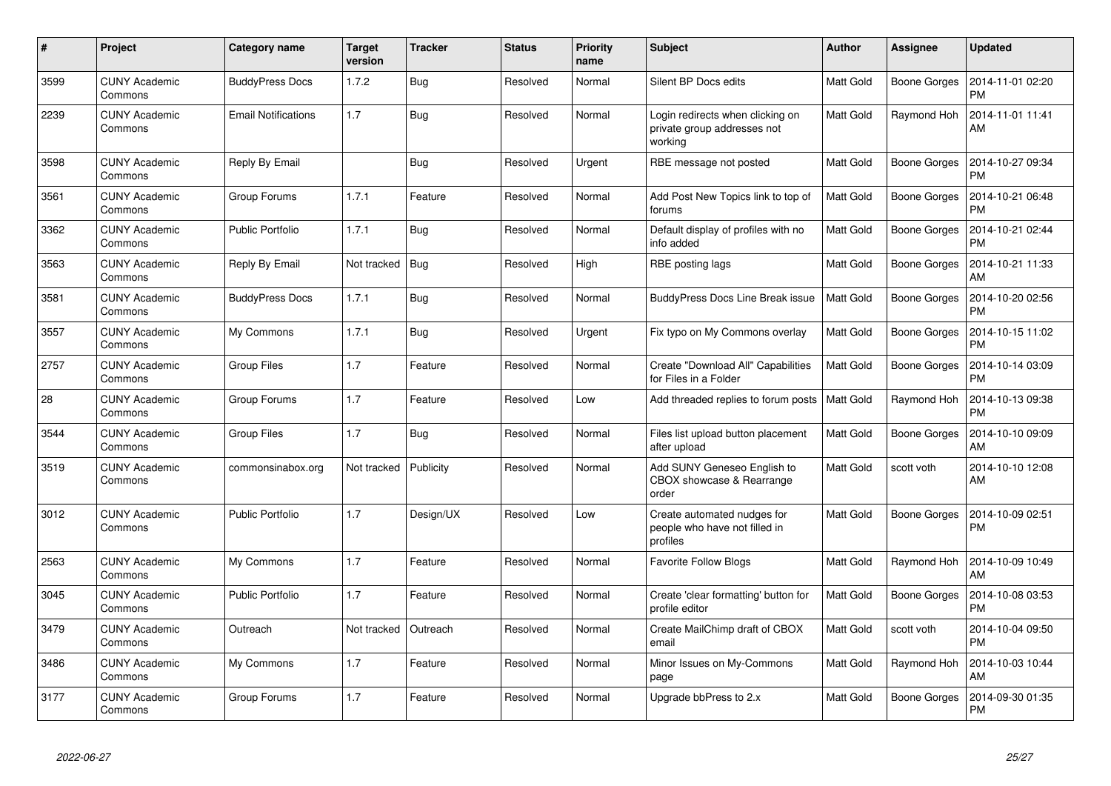| #    | Project                         | Category name              | <b>Target</b><br>version | <b>Tracker</b> | <b>Status</b> | <b>Priority</b><br>name | <b>Subject</b>                                                             | <b>Author</b>    | Assignee            | <b>Updated</b>                |
|------|---------------------------------|----------------------------|--------------------------|----------------|---------------|-------------------------|----------------------------------------------------------------------------|------------------|---------------------|-------------------------------|
| 3599 | <b>CUNY Academic</b><br>Commons | <b>BuddyPress Docs</b>     | 1.7.2                    | <b>Bug</b>     | Resolved      | Normal                  | Silent BP Docs edits                                                       | <b>Matt Gold</b> | Boone Gorges        | 2014-11-01 02:20<br><b>PM</b> |
| 2239 | <b>CUNY Academic</b><br>Commons | <b>Email Notifications</b> | 1.7                      | Bug            | Resolved      | Normal                  | Login redirects when clicking on<br>private group addresses not<br>working | <b>Matt Gold</b> | Raymond Hoh         | 2014-11-01 11:41<br>AM        |
| 3598 | <b>CUNY Academic</b><br>Commons | Reply By Email             |                          | Bug            | Resolved      | Urgent                  | RBE message not posted                                                     | <b>Matt Gold</b> | Boone Gorges        | 2014-10-27 09:34<br><b>PM</b> |
| 3561 | <b>CUNY Academic</b><br>Commons | Group Forums               | 1.7.1                    | Feature        | Resolved      | Normal                  | Add Post New Topics link to top of<br>forums                               | Matt Gold        | <b>Boone Gorges</b> | 2014-10-21 06:48<br><b>PM</b> |
| 3362 | <b>CUNY Academic</b><br>Commons | <b>Public Portfolio</b>    | 1.7.1                    | <b>Bug</b>     | Resolved      | Normal                  | Default display of profiles with no<br>info added                          | <b>Matt Gold</b> | Boone Gorges        | 2014-10-21 02:44<br><b>PM</b> |
| 3563 | <b>CUNY Academic</b><br>Commons | Reply By Email             | Not tracked              | Bug            | Resolved      | High                    | RBE posting lags                                                           | Matt Gold        | Boone Gorges        | 2014-10-21 11:33<br>AM        |
| 3581 | <b>CUNY Academic</b><br>Commons | <b>BuddyPress Docs</b>     | 1.7.1                    | Bug            | Resolved      | Normal                  | <b>BuddyPress Docs Line Break issue</b>                                    | <b>Matt Gold</b> | Boone Gorges        | 2014-10-20 02:56<br><b>PM</b> |
| 3557 | <b>CUNY Academic</b><br>Commons | My Commons                 | 1.7.1                    | <b>Bug</b>     | Resolved      | Urgent                  | Fix typo on My Commons overlay                                             | Matt Gold        | <b>Boone Gorges</b> | 2014-10-15 11:02<br><b>PM</b> |
| 2757 | <b>CUNY Academic</b><br>Commons | <b>Group Files</b>         | 1.7                      | Feature        | Resolved      | Normal                  | Create "Download All" Capabilities<br>for Files in a Folder                | <b>Matt Gold</b> | Boone Gorges        | 2014-10-14 03:09<br><b>PM</b> |
| 28   | <b>CUNY Academic</b><br>Commons | Group Forums               | 1.7                      | Feature        | Resolved      | Low                     | Add threaded replies to forum posts                                        | <b>Matt Gold</b> | Raymond Hoh         | 2014-10-13 09:38<br><b>PM</b> |
| 3544 | <b>CUNY Academic</b><br>Commons | <b>Group Files</b>         | 1.7                      | Bug            | Resolved      | Normal                  | Files list upload button placement<br>after upload                         | <b>Matt Gold</b> | <b>Boone Gorges</b> | 2014-10-10 09:09<br>AM        |
| 3519 | <b>CUNY Academic</b><br>Commons | commonsinabox.org          | Not tracked              | Publicity      | Resolved      | Normal                  | Add SUNY Geneseo English to<br>CBOX showcase & Rearrange<br>order          | <b>Matt Gold</b> | scott voth          | 2014-10-10 12:08<br>AM        |
| 3012 | <b>CUNY Academic</b><br>Commons | <b>Public Portfolio</b>    | 1.7                      | Design/UX      | Resolved      | Low                     | Create automated nudges for<br>people who have not filled in<br>profiles   | Matt Gold        | <b>Boone Gorges</b> | 2014-10-09 02:51<br>PM        |
| 2563 | <b>CUNY Academic</b><br>Commons | My Commons                 | 1.7                      | Feature        | Resolved      | Normal                  | <b>Favorite Follow Blogs</b>                                               | Matt Gold        | Raymond Hoh         | 2014-10-09 10:49<br>AM        |
| 3045 | <b>CUNY Academic</b><br>Commons | Public Portfolio           | 1.7                      | Feature        | Resolved      | Normal                  | Create 'clear formatting' button for<br>profile editor                     | Matt Gold        | Boone Gorges        | 2014-10-08 03:53<br><b>PM</b> |
| 3479 | <b>CUNY Academic</b><br>Commons | Outreach                   | Not tracked              | Outreach       | Resolved      | Normal                  | Create MailChimp draft of CBOX<br>email                                    | <b>Matt Gold</b> | scott voth          | 2014-10-04 09:50<br><b>PM</b> |
| 3486 | <b>CUNY Academic</b><br>Commons | My Commons                 | 1.7                      | Feature        | Resolved      | Normal                  | Minor Issues on My-Commons<br>page                                         | <b>Matt Gold</b> | Raymond Hoh         | 2014-10-03 10:44<br>AM        |
| 3177 | <b>CUNY Academic</b><br>Commons | Group Forums               | 1.7                      | Feature        | Resolved      | Normal                  | Upgrade bbPress to 2.x                                                     | Matt Gold        | Boone Gorges        | 2014-09-30 01:35<br><b>PM</b> |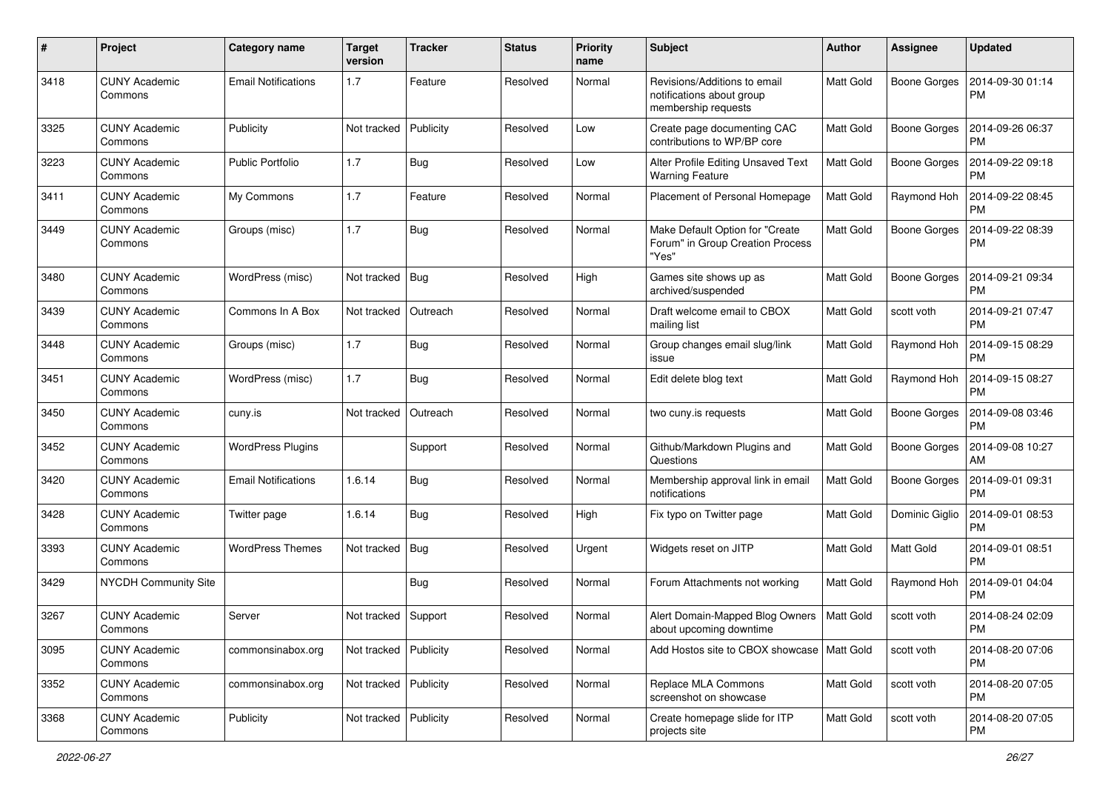| #    | Project                         | Category name              | <b>Target</b><br>version | <b>Tracker</b> | <b>Status</b> | <b>Priority</b><br>name | <b>Subject</b>                                                                   | <b>Author</b>    | Assignee            | <b>Updated</b>                |
|------|---------------------------------|----------------------------|--------------------------|----------------|---------------|-------------------------|----------------------------------------------------------------------------------|------------------|---------------------|-------------------------------|
| 3418 | <b>CUNY Academic</b><br>Commons | <b>Email Notifications</b> | 1.7                      | Feature        | Resolved      | Normal                  | Revisions/Additions to email<br>notifications about group<br>membership requests | <b>Matt Gold</b> | <b>Boone Gorges</b> | 2014-09-30 01:14<br><b>PM</b> |
| 3325 | <b>CUNY Academic</b><br>Commons | Publicity                  | Not tracked              | Publicity      | Resolved      | Low                     | Create page documenting CAC<br>contributions to WP/BP core                       | <b>Matt Gold</b> | <b>Boone Gorges</b> | 2014-09-26 06:37<br>PМ        |
| 3223 | <b>CUNY Academic</b><br>Commons | <b>Public Portfolio</b>    | 1.7                      | Bug            | Resolved      | Low                     | Alter Profile Editing Unsaved Text<br><b>Warning Feature</b>                     | <b>Matt Gold</b> | <b>Boone Gorges</b> | 2014-09-22 09:18<br><b>PM</b> |
| 3411 | <b>CUNY Academic</b><br>Commons | My Commons                 | 1.7                      | Feature        | Resolved      | Normal                  | Placement of Personal Homepage                                                   | <b>Matt Gold</b> | Raymond Hoh         | 2014-09-22 08:45<br><b>PM</b> |
| 3449 | <b>CUNY Academic</b><br>Commons | Groups (misc)              | 1.7                      | Bug            | Resolved      | Normal                  | Make Default Option for "Create<br>Forum" in Group Creation Process<br>'Yes'     | <b>Matt Gold</b> | <b>Boone Gorges</b> | 2014-09-22 08:39<br><b>PM</b> |
| 3480 | <b>CUNY Academic</b><br>Commons | WordPress (misc)           | Not tracked              | Bug            | Resolved      | High                    | Games site shows up as<br>archived/suspended                                     | <b>Matt Gold</b> | <b>Boone Gorges</b> | 2014-09-21 09:34<br><b>PM</b> |
| 3439 | <b>CUNY Academic</b><br>Commons | Commons In A Box           | Not tracked              | Outreach       | Resolved      | Normal                  | Draft welcome email to CBOX<br>mailing list                                      | <b>Matt Gold</b> | scott voth          | 2014-09-21 07:47<br><b>PM</b> |
| 3448 | <b>CUNY Academic</b><br>Commons | Groups (misc)              | 1.7                      | Bug            | Resolved      | Normal                  | Group changes email slug/link<br>issue                                           | <b>Matt Gold</b> | Raymond Hoh         | 2014-09-15 08:29<br><b>PM</b> |
| 3451 | <b>CUNY Academic</b><br>Commons | WordPress (misc)           | 1.7                      | Bug            | Resolved      | Normal                  | Edit delete blog text                                                            | <b>Matt Gold</b> | Raymond Hoh         | 2014-09-15 08:27<br><b>PM</b> |
| 3450 | <b>CUNY Academic</b><br>Commons | cuny.is                    | Not tracked              | Outreach       | Resolved      | Normal                  | two cuny.is requests                                                             | Matt Gold        | <b>Boone Gorges</b> | 2014-09-08 03:46<br>РM        |
| 3452 | <b>CUNY Academic</b><br>Commons | <b>WordPress Plugins</b>   |                          | Support        | Resolved      | Normal                  | Github/Markdown Plugins and<br>Questions                                         | Matt Gold        | <b>Boone Gorges</b> | 2014-09-08 10:27<br>AM        |
| 3420 | <b>CUNY Academic</b><br>Commons | <b>Email Notifications</b> | 1.6.14                   | Bug            | Resolved      | Normal                  | Membership approval link in email<br>notifications                               | Matt Gold        | <b>Boone Gorges</b> | 2014-09-01 09:31<br>PM        |
| 3428 | <b>CUNY Academic</b><br>Commons | Twitter page               | 1.6.14                   | Bug            | Resolved      | High                    | Fix typo on Twitter page                                                         | <b>Matt Gold</b> | Dominic Giglio      | 2014-09-01 08:53<br><b>PM</b> |
| 3393 | <b>CUNY Academic</b><br>Commons | <b>WordPress Themes</b>    | Not tracked              | Bug            | Resolved      | Urgent                  | Widgets reset on JITP                                                            | <b>Matt Gold</b> | Matt Gold           | 2014-09-01 08:51<br><b>PM</b> |
| 3429 | NYCDH Community Site            |                            |                          | Bug            | Resolved      | Normal                  | Forum Attachments not working                                                    | Matt Gold        | Raymond Hoh         | 2014-09-01 04:04<br><b>PM</b> |
| 3267 | <b>CUNY Academic</b><br>Commons | Server                     | Not tracked   Support    |                | Resolved      | Normal                  | Alert Domain-Mapped Blog Owners<br>about upcoming downtime                       | Matt Gold        | scott voth          | 2014-08-24 02:09<br>PM        |
| 3095 | <b>CUNY Academic</b><br>Commons | commonsinabox.org          | Not tracked              | Publicity      | Resolved      | Normal                  | Add Hostos site to CBOX showcase   Matt Gold                                     |                  | scott voth          | 2014-08-20 07:06<br><b>PM</b> |
| 3352 | <b>CUNY Academic</b><br>Commons | commonsinabox.org          | Not tracked   Publicity  |                | Resolved      | Normal                  | Replace MLA Commons<br>screenshot on showcase                                    | Matt Gold        | scott voth          | 2014-08-20 07:05<br><b>PM</b> |
| 3368 | <b>CUNY Academic</b><br>Commons | Publicity                  | Not tracked              | Publicity      | Resolved      | Normal                  | Create homepage slide for ITP<br>projects site                                   | Matt Gold        | scott voth          | 2014-08-20 07:05<br>PM        |